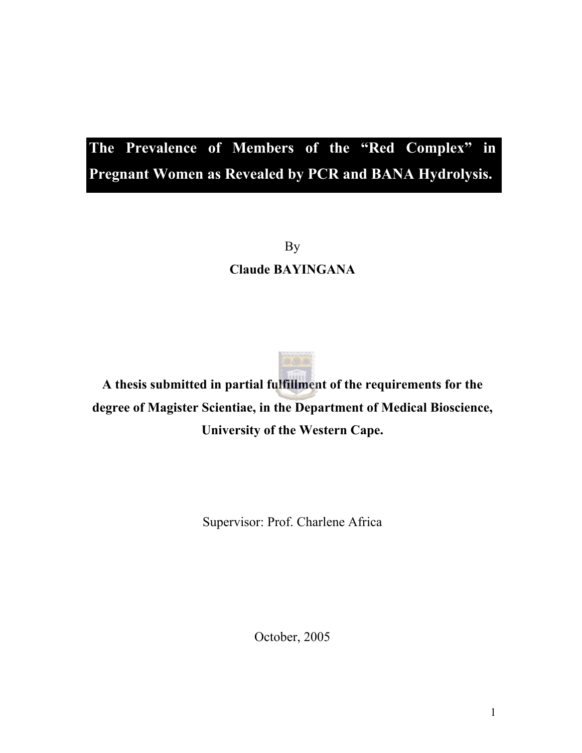# **The Prevalence of Members of the "Red Complex" in Pregnant Women as Revealed by PCR and BANA Hydrolysis.**

By **Claude BAYINGANA** 

**A thesis submitted in partial fulfillment of the requirements for the degree of Magister Scientiae, in the Department of Medical Bioscience, University of the Western Cape.** 

Supervisor: Prof. Charlene Africa

October, 2005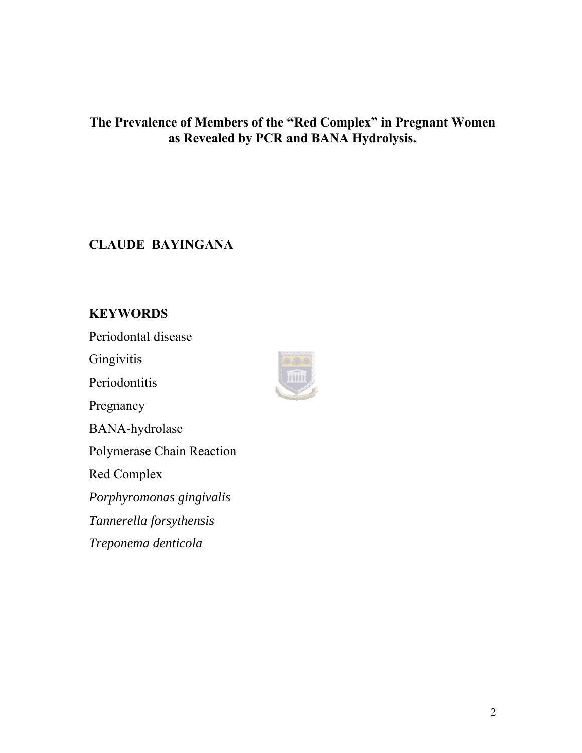## **The Prevalence of Members of the "Red Complex" in Pregnant Women as Revealed by PCR and BANA Hydrolysis.**

## **CLAUDE BAYINGANA**

## **KEYWORDS**

Periodontal disease

**Gingivitis** 

**Periodontitis** 

Pregnancy

BANA-hydrolase

Polymerase Chain Reaction

Red Complex

*Porphyromonas gingivalis* 

*Tannerella forsythensis* 

*Treponema denticola* 

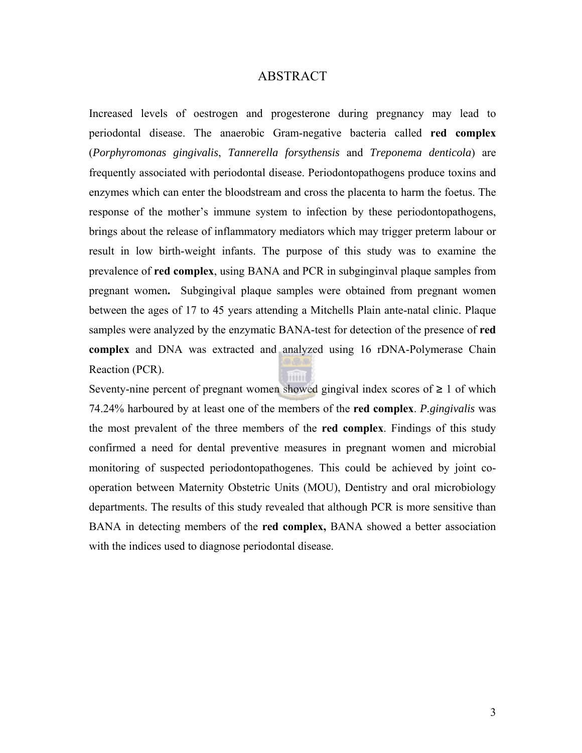#### ABSTRACT

<span id="page-2-0"></span>Increased levels of oestrogen and progesterone during pregnancy may lead to periodontal disease. The anaerobic Gram-negative bacteria called **red complex** (*Porphyromonas gingivalis*, *Tannerella forsythensis* and *Treponema denticola*) are frequently associated with periodontal disease. Periodontopathogens produce toxins and enzymes which can enter the bloodstream and cross the placenta to harm the foetus. The response of the mother's immune system to infection by these periodontopathogens, brings about the release of inflammatory mediators which may trigger preterm labour or result in low birth-weight infants. The purpose of this study was to examine the prevalence of **red complex**, using BANA and PCR in subginginval plaque samples from pregnant women**.** Subgingival plaque samples were obtained from pregnant women between the ages of 17 to 45 years attending a Mitchells Plain ante-natal clinic. Plaque samples were analyzed by the enzymatic BANA-test for detection of the presence of **red complex** and DNA was extracted and analyzed using 16 rDNA-Polymerase Chain Reaction (PCR).

Seventy-nine percent of pregnant women showed gingival index scores of  $\geq 1$  of which 74.24% harboured by at least one of the members of the **red complex**. *P.gingivalis* was the most prevalent of the three members of the **red complex**. Findings of this study confirmed a need for dental preventive measures in pregnant women and microbial monitoring of suspected periodontopathogenes. This could be achieved by joint cooperation between Maternity Obstetric Units (MOU), Dentistry and oral microbiology departments. The results of this study revealed that although PCR is more sensitive than BANA in detecting members of the **red complex,** BANA showed a better association with the indices used to diagnose periodontal disease.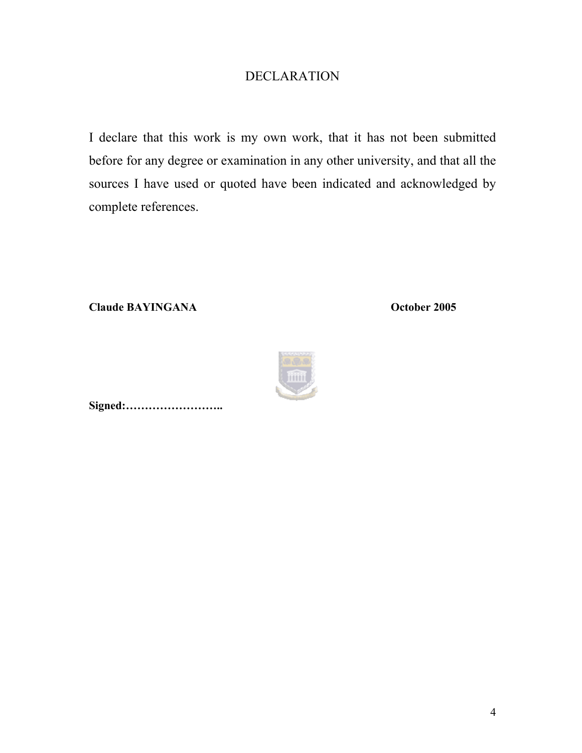## DECLARATION

<span id="page-3-0"></span>I declare that this work is my own work, that it has not been submitted before for any degree or examination in any other university, and that all the sources I have used or quoted have been indicated and acknowledged by complete references.

**Claude BAYINGANA October 2005** 



**Signed:……………………..**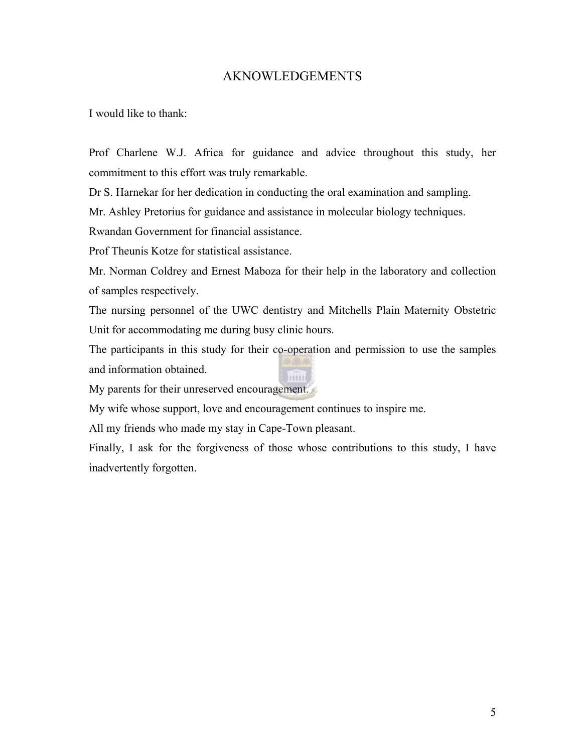### AKNOWLEDGEMENTS

<span id="page-4-0"></span>I would like to thank:

Prof Charlene W.J. Africa for guidance and advice throughout this study, her commitment to this effort was truly remarkable.

Dr S. Harnekar for her dedication in conducting the oral examination and sampling.

Mr. Ashley Pretorius for guidance and assistance in molecular biology techniques.

Rwandan Government for financial assistance.

Prof Theunis Kotze for statistical assistance.

Mr. Norman Coldrey and Ernest Maboza for their help in the laboratory and collection of samples respectively.

The nursing personnel of the UWC dentistry and Mitchells Plain Maternity Obstetric Unit for accommodating me during busy clinic hours.

The participants in this study for their co-operation and permission to use the samples and information obtained. **Time** 

My parents for their unreserved encouragement.

My wife whose support, love and encouragement continues to inspire me.

All my friends who made my stay in Cape-Town pleasant.

Finally, I ask for the forgiveness of those whose contributions to this study, I have inadvertently forgotten.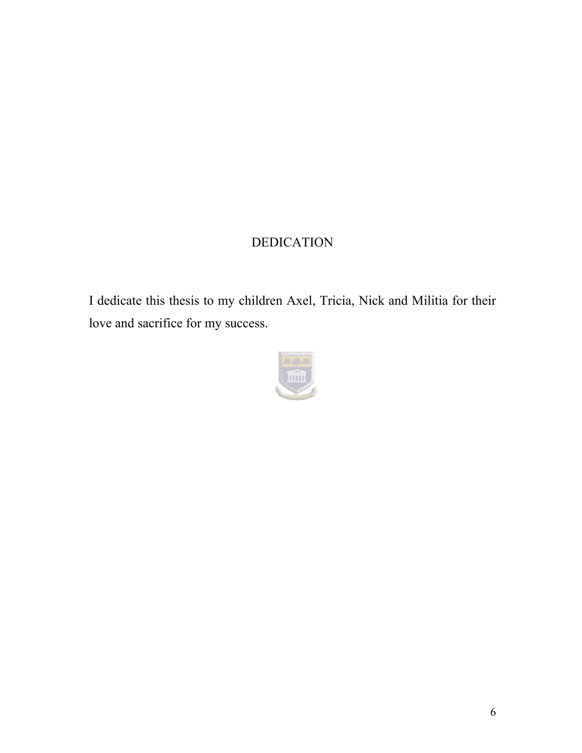## DEDICATION

<span id="page-5-0"></span>I dedicate this thesis to my children Axel, Tricia, Nick and Militia for their love and sacrifice for my success.

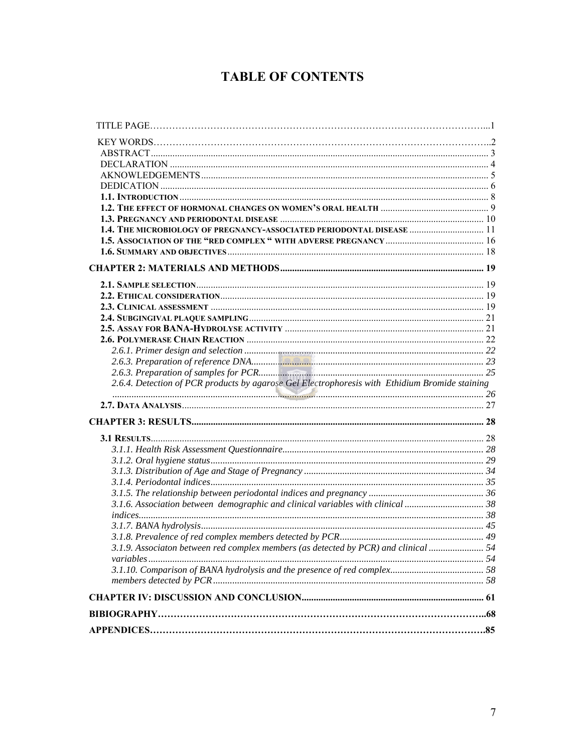## **TABLE OF CONTENTS**

| 1,4. THE MICROBIOLOGY OF PREGNANCY-ASSOCIATED PERIODONTAL DISEASE  11                          |  |
|------------------------------------------------------------------------------------------------|--|
|                                                                                                |  |
|                                                                                                |  |
|                                                                                                |  |
|                                                                                                |  |
|                                                                                                |  |
|                                                                                                |  |
|                                                                                                |  |
|                                                                                                |  |
|                                                                                                |  |
|                                                                                                |  |
|                                                                                                |  |
|                                                                                                |  |
| 2.6.4. Detection of PCR products by agarose Gel Electrophoresis with Ethidium Bromide staining |  |
|                                                                                                |  |
|                                                                                                |  |
|                                                                                                |  |
|                                                                                                |  |
|                                                                                                |  |
|                                                                                                |  |
|                                                                                                |  |
|                                                                                                |  |
| 3.1.6. Association between demographic and clinical variables with clinical                    |  |
|                                                                                                |  |
|                                                                                                |  |
|                                                                                                |  |
| 3.1.9. Associaton between red complex members (as detected by PCR) and clinical  54            |  |
|                                                                                                |  |
|                                                                                                |  |
|                                                                                                |  |
|                                                                                                |  |
|                                                                                                |  |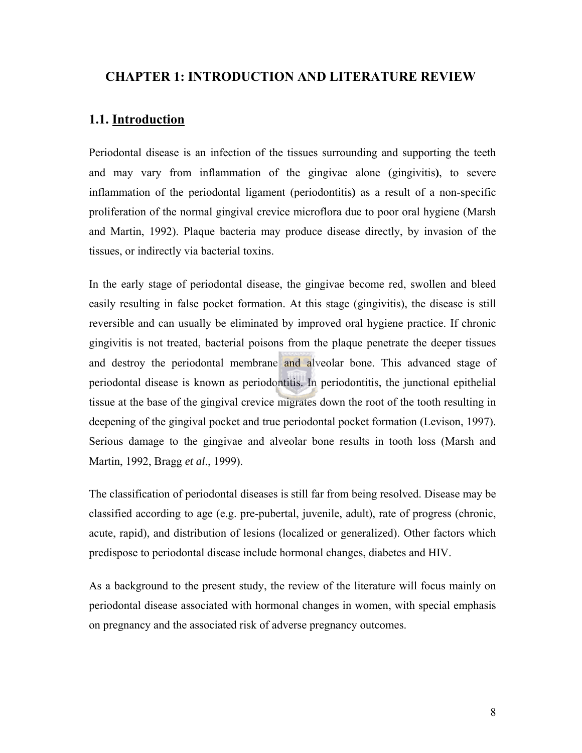### <span id="page-7-0"></span> **CHAPTER 1: INTRODUCTION AND LITERATURE REVIEW**

## **1.1. Introduction**

Periodontal disease is an infection of the tissues surrounding and supporting the teeth and may vary from inflammation of the gingivae alone (gingivitis**)**, to severe inflammation of the periodontal ligament (periodontitis**)** as a result of a non-specific proliferation of the normal gingival crevice microflora due to poor oral hygiene (Marsh and Martin, 1992). Plaque bacteria may produce disease directly, by invasion of the tissues, or indirectly via bacterial toxins.

In the early stage of periodontal disease, the gingivae become red, swollen and bleed easily resulting in false pocket formation. At this stage (gingivitis), the disease is still reversible and can usually be eliminated by improved oral hygiene practice. If chronic gingivitis is not treated, bacterial poisons from the plaque penetrate the deeper tissues and destroy the periodontal membrane and alveolar bone. This advanced stage of periodontal disease is known as periodontitis. In periodontitis, the junctional epithelial tissue at the base of the gingival crevice migrates down the root of the tooth resulting in deepening of the gingival pocket and true periodontal pocket formation (Levison, 1997). Serious damage to the gingivae and alveolar bone results in tooth loss (Marsh and Martin, 1992, Bragg *et al*., 1999).

The classification of periodontal diseases is still far from being resolved. Disease may be classified according to age (e.g. pre-pubertal, juvenile, adult), rate of progress (chronic, acute, rapid), and distribution of lesions (localized or generalized). Other factors which predispose to periodontal disease include hormonal changes, diabetes and HIV.

As a background to the present study, the review of the literature will focus mainly on periodontal disease associated with hormonal changes in women, with special emphasis on pregnancy and the associated risk of adverse pregnancy outcomes.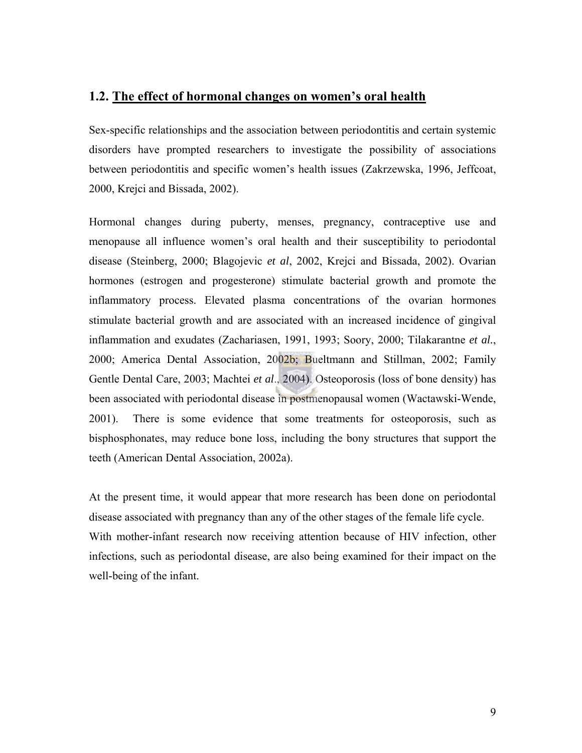## <span id="page-8-0"></span>**1.2. The effect of hormonal changes on women's oral health**

Sex-specific relationships and the association between periodontitis and certain systemic disorders have prompted researchers to investigate the possibility of associations between periodontitis and specific women's health issues (Zakrzewska, 1996, Jeffcoat, 2000, Krejci and Bissada, 2002).

Hormonal changes during puberty, menses, pregnancy, contraceptive use and menopause all influence women's oral health and their susceptibility to periodontal disease (Steinberg, 2000; Blagojevic *et al*, 2002, Krejci and Bissada, 2002). Ovarian hormones (estrogen and progesterone) stimulate bacterial growth and promote the inflammatory process. Elevated plasma concentrations of the ovarian hormones stimulate bacterial growth and are associated with an increased incidence of gingival inflammation and exudates (Zachariasen, 1991, 1993; Soory, 2000; Tilakarantne *et al.*, 2000; America Dental Association, 2002b; Bueltmann and Stillman, 2002; Family Gentle Dental Care, 2003; Machtei *et al*., 2004). Osteoporosis (loss of bone density) has been associated with periodontal disease in postmenopausal women (Wactawski-Wende, 2001). There is some evidence that some treatments for osteoporosis, such as bisphosphonates, may reduce bone loss, including the bony structures that support the teeth (American Dental Association, 2002a).

At the present time, it would appear that more research has been done on periodontal disease associated with pregnancy than any of the other stages of the female life cycle. With mother-infant research now receiving attention because of HIV infection, other infections, such as periodontal disease, are also being examined for their impact on the well-being of the infant.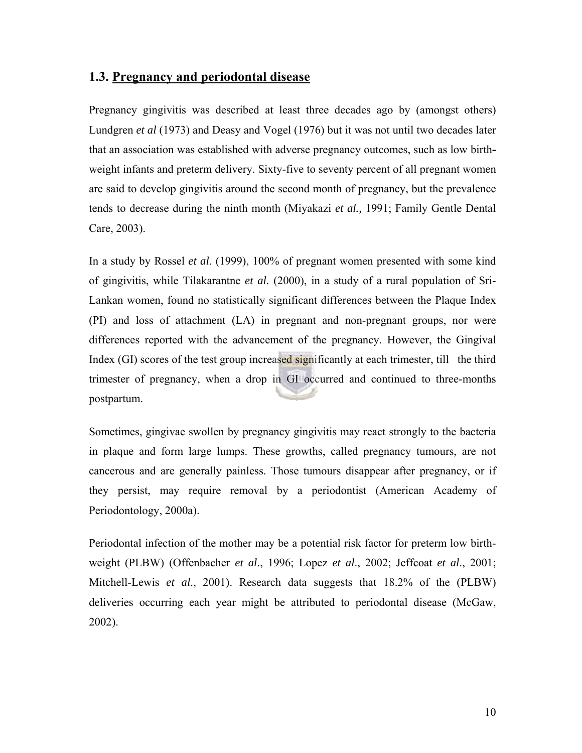## <span id="page-9-0"></span>**1.3. Pregnancy and periodontal disease**

Pregnancy gingivitis was described at least three decades ago by (amongst others) Lundgren *et al* (1973) and Deasy and Vogel (1976) but it was not until two decades later that an association was established with adverse pregnancy outcomes, such as low birthweight infants and preterm delivery. Sixty-five to seventy percent of all pregnant women are said to develop gingivitis around the second month of pregnancy, but the prevalence tends to decrease during the ninth month (Miyakazi *et al.,* 1991; Family Gentle Dental Care, 2003).

In a study by Rossel *et al*. (1999), 100% of pregnant women presented with some kind of gingivitis, while Tilakarantne *et al.* (2000), in a study of a rural population of Sri-Lankan women, found no statistically significant differences between the Plaque Index (PI) and loss of attachment (LA) in pregnant and non-pregnant groups, nor were differences reported with the advancement of the pregnancy. However, the Gingival Index (GI) scores of the test group increased significantly at each trimester, till the third trimester of pregnancy, when a drop in GI occurred and continued to three-months postpartum.

Sometimes, gingivae swollen by pregnancy gingivitis may react strongly to the bacteria in plaque and form large lumps. These growths, called pregnancy tumours, are not cancerous and are generally painless. Those tumours disappear after pregnancy, or if they persist, may require removal by a periodontist (American Academy of Periodontology, 2000a).

Periodontal infection of the mother may be a potential risk factor for preterm low birthweight (PLBW) (Offenbacher *et al*., 1996; Lopez *et al*., 2002; Jeffcoat *et al*., 2001; Mitchell-Lewis *et al*., 2001). Research data suggests that 18.2% of the (PLBW) deliveries occurring each year might be attributed to periodontal disease (McGaw, 2002).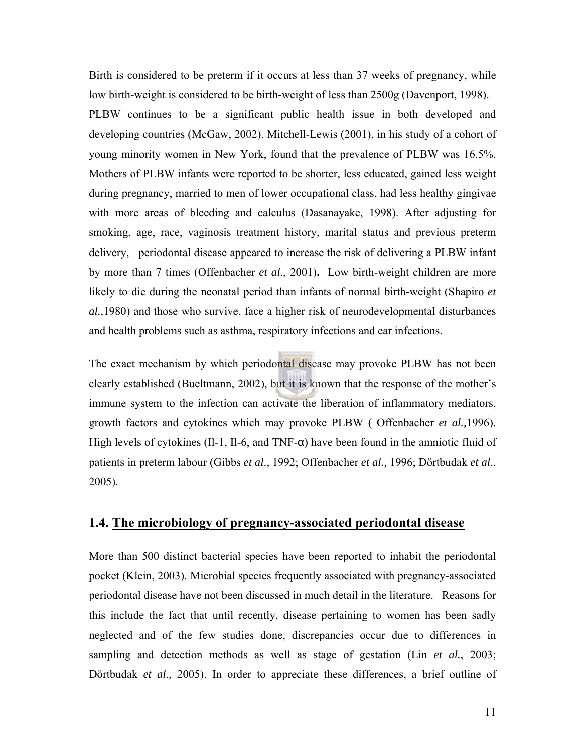<span id="page-10-0"></span>Birth is considered to be preterm if it occurs at less than 37 weeks of pregnancy, while low birth-weight is considered to be birth-weight of less than 2500g (Davenport, 1998). PLBW continues to be a significant public health issue in both developed and developing countries (McGaw, 2002). Mitchell-Lewis (2001), in his study of a cohort of young minority women in New York, found that the prevalence of PLBW was 16.5%. Mothers of PLBW infants were reported to be shorter, less educated, gained less weight during pregnancy, married to men of lower occupational class, had less healthy gingivae with more areas of bleeding and calculus (Dasanayake, 1998). After adjusting for smoking, age, race, vaginosis treatment history, marital status and previous preterm delivery, periodontal disease appeared to increase the risk of delivering a PLBW infant by more than 7 times (Offenbacher *et al*., 2001)**.** Low birth-weight children are more likely to die during the neonatal period than infants of normal birth**-**weight (Shapiro *et al.,*1980) and those who survive, face a higher risk of neurodevelopmental disturbances and health problems such as asthma, respiratory infections and ear infections.

The exact mechanism by which periodontal disease may provoke PLBW has not been clearly established (Bueltmann, 2002), but it is known that the response of the mother's immune system to the infection can activate the liberation of inflammatory mediators, growth factors and cytokines which may provoke PLBW ( Offenbacher *et al.,*1996). High levels of cytokines (Il-1, Il-6, and TNF- $\alpha$ ) have been found in the amniotic fluid of patients in preterm labour (Gibbs *et al*., 1992; Offenbacher *et al.,* 1996; Dörtbudak *et al*., 2005).

### **1.4. The microbiology of pregnancy-associated periodontal disease**

More than 500 distinct bacterial species have been reported to inhabit the periodontal pocket (Klein, 2003). Microbial species frequently associated with pregnancy-associated periodontal disease have not been discussed in much detail in the literature.Reasons for this include the fact that until recently, disease pertaining to women has been sadly neglected and of the few studies done, discrepancies occur due to differences in sampling and detection methods as well as stage of gestation (Lin *et al.*, 2003; Dörtbudak *et al*., 2005). In order to appreciate these differences, a brief outline of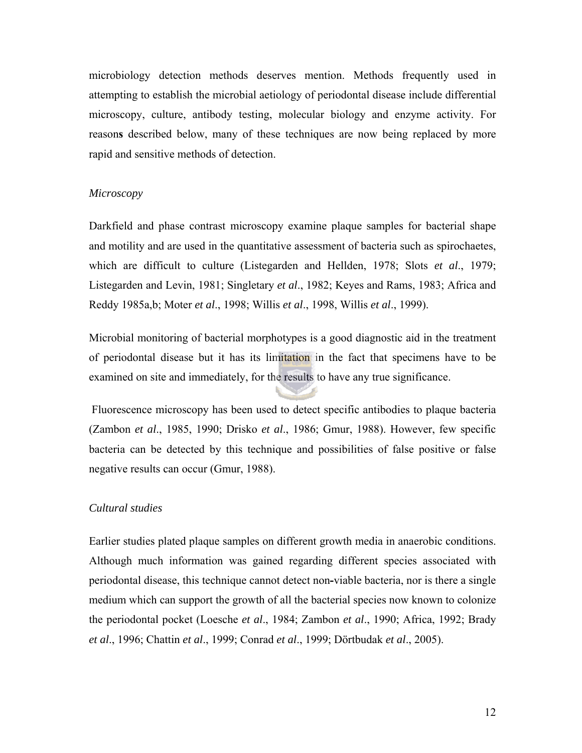microbiology detection methods deserves mention. Methods frequently used in attempting to establish the microbial aetiology of periodontal disease include differential microscopy, culture, antibody testing, molecular biology and enzyme activity. For reason**s** described below, many of these techniques are now being replaced by more rapid and sensitive methods of detection.

#### *Microscopy*

Darkfield and phase contrast microscopy examine plaque samples for bacterial shape and motility and are used in the quantitative assessment of bacteria such as spirochaetes, which are difficult to culture (Listegarden and Hellden, 1978; Slots *et al*., 1979; Listegarden and Levin, 1981; Singletary *et al*., 1982; Keyes and Rams, 1983; Africa and Reddy 1985a,b; Moter *et al*., 1998; Willis *et al*., 1998, Willis *et al*., 1999).

Microbial monitoring of bacterial morphotypes is a good diagnostic aid in the treatment of periodontal disease but it has its limitation in the fact that specimens have to be examined on site and immediately, for the results to have any true significance.

 Fluorescence microscopy has been used to detect specific antibodies to plaque bacteria (Zambon *et al*., 1985, 1990; Drisko *et al*., 1986; Gmur, 1988). However, few specific bacteria can be detected by this technique and possibilities of false positive or false negative results can occur (Gmur, 1988).

#### *Cultural studies*

Earlier studies plated plaque samples on different growth media in anaerobic conditions. Although much information was gained regarding different species associated with periodontal disease, this technique cannot detect non**-**viable bacteria, nor is there a single medium which can support the growth of all the bacterial species now known to colonize the periodontal pocket (Loesche *et al*., 1984; Zambon *et al*., 1990; Africa, 1992; Brady *et al*., 1996; Chattin *et al*., 1999; Conrad *et al*., 1999; Dörtbudak *et al*., 2005).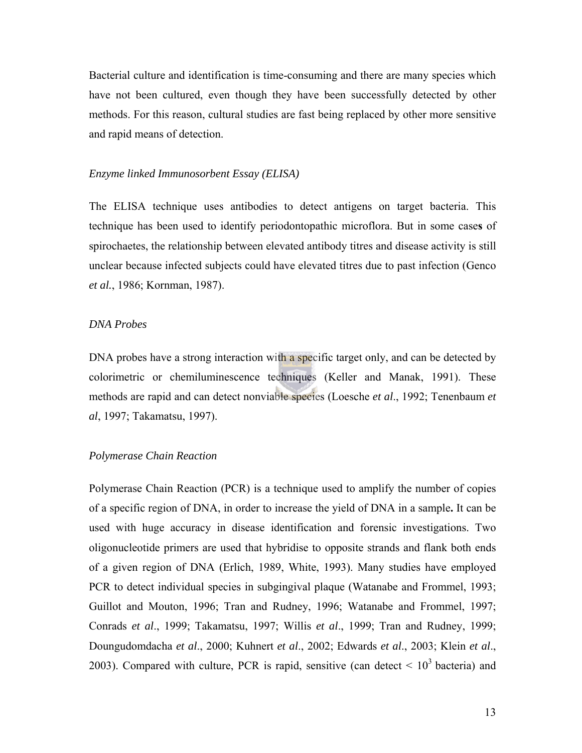Bacterial culture and identification is time-consuming and there are many species which have not been cultured, even though they have been successfully detected by other methods. For this reason, cultural studies are fast being replaced by other more sensitive and rapid means of detection.

#### *Enzyme linked Immunosorbent Essay (ELISA)*

The ELISA technique uses antibodies to detect antigens on target bacteria. This technique has been used to identify periodontopathic microflora. But in some case**s** of spirochaetes, the relationship between elevated antibody titres and disease activity is still unclear because infected subjects could have elevated titres due to past infection (Genco *et al.*, 1986; Kornman, 1987).

#### *DNA Probes*

DNA probes have a strong interaction with a specific target only, and can be detected by colorimetric or chemiluminescence techniques (Keller and Manak, 1991). These methods are rapid and can detect nonviable species (Loesche *et al*., 1992; Tenenbaum *et al*, 1997; Takamatsu, 1997).

#### *Polymerase Chain Reaction*

Polymerase Chain Reaction (PCR) is a technique used to amplify the number of copies of a specific region of DNA, in order to increase the yield of DNA in a sample**.** It can be used with huge accuracy in disease identification and forensic investigations. Two oligonucleotide primers are used that hybridise to opposite strands and flank both ends of a given region of DNA (Erlich, 1989, White, 1993). Many studies have employed PCR to detect individual species in subgingival plaque (Watanabe and Frommel, 1993; Guillot and Mouton, 1996; Tran and Rudney, 1996; Watanabe and Frommel, 1997; Conrads *et al*., 1999; Takamatsu, 1997; Willis *et al*., 1999; Tran and Rudney, 1999; Doungudomdacha *et al*., 2000; Kuhnert *et al*., 2002; Edwards *et al*., 2003; Klein *et al*., 2003). Compared with culture, PCR is rapid, sensitive (can detect  $\leq 10^3$  bacteria) and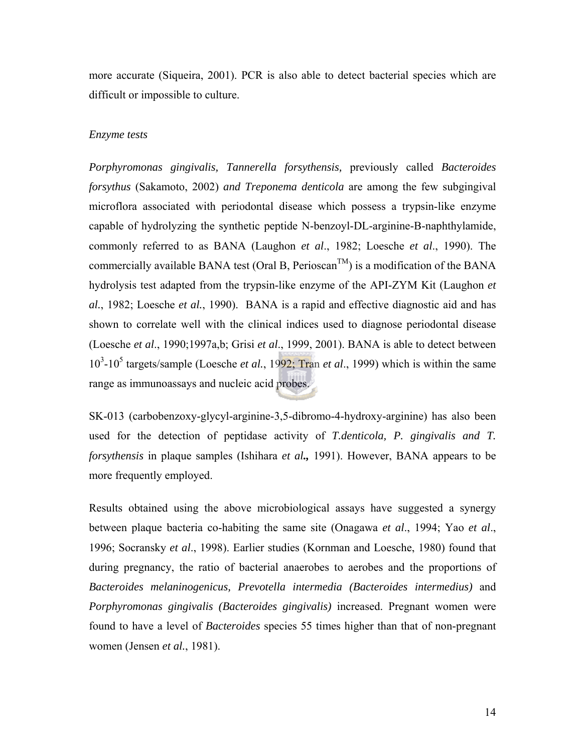more accurate (Siqueira, 2001). PCR is also able to detect bacterial species which are difficult or impossible to culture.

#### *Enzyme tests*

*Porphyromonas gingivalis, Tannerella forsythensis,* previously called *Bacteroides forsythus* (Sakamoto, 2002) *and Treponema denticola* are among the few subgingival microflora associated with periodontal disease which possess a trypsin-like enzyme capable of hydrolyzing the synthetic peptide N-benzoyl-DL-arginine-B-naphthylamide, commonly referred to as BANA (Laughon *et al*., 1982; Loesche *et al*., 1990). The commercially available BANA test (Oral B, Perioscan<sup>TM</sup>) is a modification of the BANA hydrolysis test adapted from the trypsin-like enzyme of the API-ZYM Kit (Laughon *et al.*, 1982; Loesche *et al.*, 1990). BANA is a rapid and effective diagnostic aid and has shown to correlate well with the clinical indices used to diagnose periodontal disease (Loesche *et al*., 1990;1997a,b; Grisi *et al*., 1999, 2001). BANA is able to detect between 10<sup>3</sup> -10<sup>5</sup> targets/sample (Loesche *et al.*, 1992; Tran *et al*., 1999) which is within the same range as immunoassays and nucleic acid probes.

SK-013 (carbobenzoxy-glycyl-arginine-3,5-dibromo-4-hydroxy-arginine) has also been used for the detection of peptidase activity of *T.denticola, P. gingivalis and T. forsythensis* in plaque samples (Ishihara *et al.,* 1991). However, BANA appears to be more frequently employed.

Results obtained using the above microbiological assays have suggested a synergy between plaque bacteria co-habiting the same site (Onagawa *et al*., 1994; Yao *et al*., 1996; Socransky *et al*., 1998). Earlier studies (Kornman and Loesche, 1980) found that during pregnancy, the ratio of bacterial anaerobes to aerobes and the proportions of *Bacteroides melaninogenicus, Prevotella intermedia (Bacteroides intermedius)* and *Porphyromonas gingivalis (Bacteroides gingivalis)* increased. Pregnant women were found to have a level of *Bacteroides* species 55 times higher than that of non-pregnant women (Jensen *et al.*, 1981).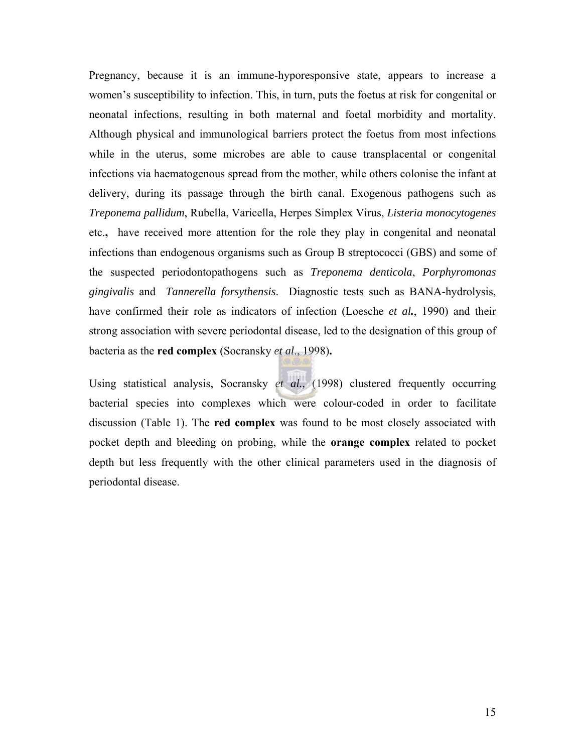Pregnancy, because it is an immune-hyporesponsive state, appears to increase a women's susceptibility to infection. This, in turn, puts the foetus at risk for congenital or neonatal infections, resulting in both maternal and foetal morbidity and mortality. Although physical and immunological barriers protect the foetus from most infections while in the uterus, some microbes are able to cause transplacental or congenital infections via haematogenous spread from the mother, while others colonise the infant at delivery, during its passage through the birth canal. Exogenous pathogens such as *Treponema pallidum*, Rubella, Varicella, Herpes Simplex Virus, *Listeria monocytogenes*  etc.**,** have received more attention for the role they play in congenital and neonatal infections than endogenous organisms such as Group B streptococci (GBS) and some of the suspected periodontopathogens such as *Treponema denticola*, *Porphyromonas gingivalis* and *Tannerella forsythensis*. Diagnostic tests such as BANA-hydrolysis, have confirmed their role as indicators of infection (Loesche *et al.*, 1990) and their strong association with severe periodontal disease, led to the designation of this group of bacteria as the **red complex** (Socransky *et al*., 1998)**.** 

Using statistical analysis, Socransky *et al.,* (1998) clustered frequently occurring bacterial species into complexes which were colour-coded in order to facilitate discussion (Table 1). The **red complex** was found to be most closely associated with pocket depth and bleeding on probing, while the **orange complex** related to pocket depth but less frequently with the other clinical parameters used in the diagnosis of periodontal disease.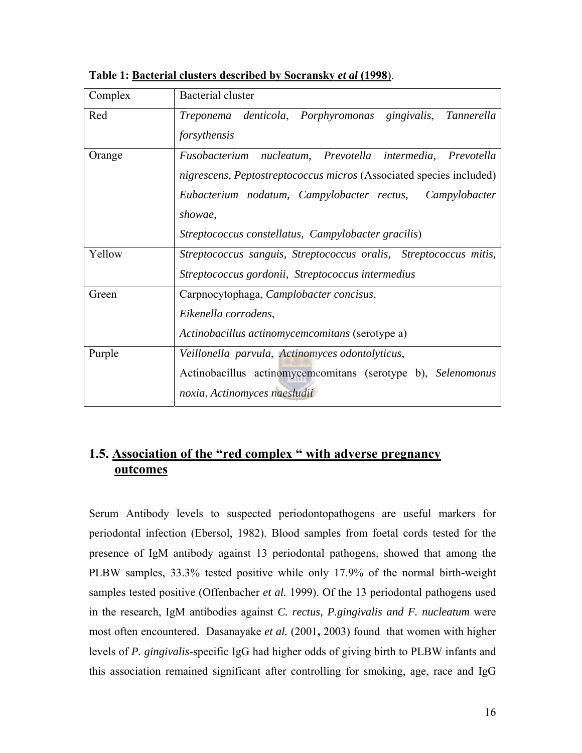| Complex | Bacterial cluster                                                                                                                                                                                                                                               |
|---------|-----------------------------------------------------------------------------------------------------------------------------------------------------------------------------------------------------------------------------------------------------------------|
| Red     | gingivalis, Tannerella<br>Treponema denticola, Porphyromonas<br>forsythensis                                                                                                                                                                                    |
| Orange  | Fusobacterium nucleatum, Prevotella intermedia, Prevotella<br>nigrescens, Peptostreptococcus micros (Associated species included)<br>Eubacterium nodatum, Campylobacter rectus, Campylobacter<br>showae,<br>Streptococcus constellatus, Campylobacter gracilis) |
| Yellow  | Streptococcus sanguis, Streptococcus oralis, Streptococcus mitis,<br>Streptococcus gordonii, Streptococcus intermedius                                                                                                                                          |
| Green   | Carpnocytophaga, Camplobacter concisus,<br>Eikenella corrodens,<br>Actinobacillus actinomycemcomitans (serotype a)                                                                                                                                              |
| Purple  | Veillonella parvula, Actinomyces odontolyticus,<br>Actinobacillus actinomycemcomitans (serotype b), Selenomonus<br>noxia, Actinomyces naesludii                                                                                                                 |

<span id="page-15-0"></span>**Table 1: Bacterial clusters described by Socransky** *et al* **(1998**).

## **1.5. Association of the "red complex " with adverse pregnancy outcomes**

Serum Antibody levels to suspected periodontopathogens are useful markers for periodontal infection (Ebersol, 1982). Blood samples from foetal cords tested for the presence of IgM antibody against 13 periodontal pathogens, showed that among the PLBW samples, 33.3% tested positive while only 17.9% of the normal birth-weight samples tested positive (Offenbacher *et al.* 1999). Of the 13 periodontal pathogens used in the research, IgM antibodies against *C. rectus, P.gingivalis and F. nucleatum* were most often encountered. Dasanayake *et al.* (2001**,** 2003) found that women with higher levels of *P. gingivalis*-specific IgG had higher odds of giving birth to PLBW infants and this association remained significant after controlling for smoking, age, race and IgG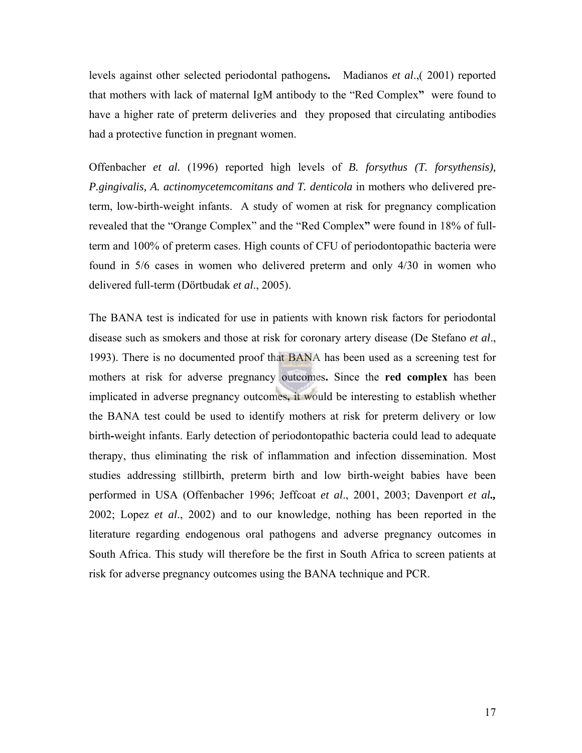levels against other selected periodontal pathogens**.** Madianos *et al*.,( 2001) reported that mothers with lack of maternal IgM antibody to the "Red Complex**"** were found to have a higher rate of preterm deliveries and they proposed that circulating antibodies had a protective function in pregnant women.

Offenbacher *et al.* (1996) reported high levels of *B. forsythus (T. forsythensis), P.gingivalis, A. actinomycetemcomitans and T. denticola* in mothers who delivered preterm, low-birth-weight infants. A study of women at risk for pregnancy complication revealed that the "Orange Complex" and the "Red Complex**"** were found in 18% of fullterm and 100% of preterm cases. High counts of CFU of periodontopathic bacteria were found in 5/6 cases in women who delivered preterm and only 4/30 in women who delivered full-term (Dörtbudak *et al*., 2005).

The BANA test is indicated for use in patients with known risk factors for periodontal disease such as smokers and those at risk for coronary artery disease (De Stefano *et al*., 1993). There is no documented proof that BANA has been used as a screening test for mothers at risk for adverse pregnancy outcomes**.** Since the **red complex** has been implicated in adverse pregnancy outcomes**,** it would be interesting to establish whether the BANA test could be used to identify mothers at risk for preterm delivery or low birth**-**weight infants. Early detection of periodontopathic bacteria could lead to adequate therapy, thus eliminating the risk of inflammation and infection dissemination. Most studies addressing stillbirth, preterm birth and low birth-weight babies have been performed in USA (Offenbacher 1996; Jeffcoat *et al*., 2001, 2003; Davenport *et al.,* 2002; Lopez *et al*., 2002) and to our knowledge, nothing has been reported in the literature regarding endogenous oral pathogens and adverse pregnancy outcomes in South Africa. This study will therefore be the first in South Africa to screen patients at risk for adverse pregnancy outcomes using the BANA technique and PCR.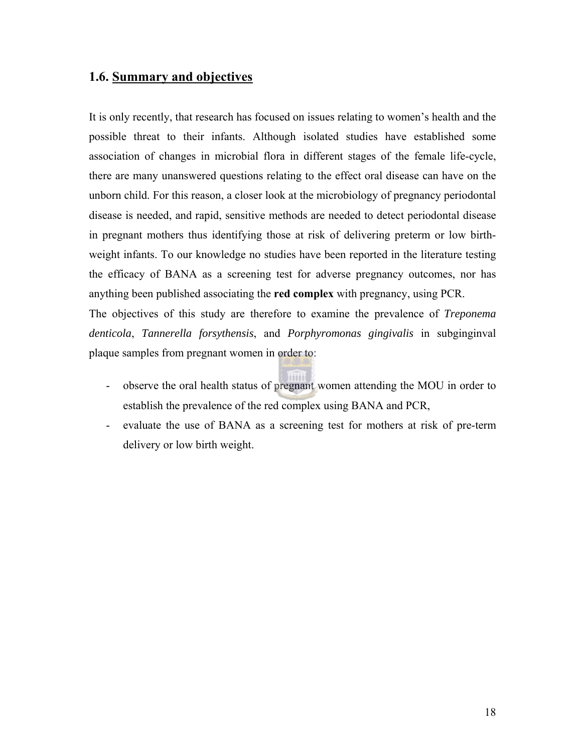## <span id="page-17-0"></span>**1.6. Summary and objectives**

It is only recently, that research has focused on issues relating to women's health and the possible threat to their infants. Although isolated studies have established some association of changes in microbial flora in different stages of the female life-cycle, there are many unanswered questions relating to the effect oral disease can have on the unborn child. For this reason, a closer look at the microbiology of pregnancy periodontal disease is needed, and rapid, sensitive methods are needed to detect periodontal disease in pregnant mothers thus identifying those at risk of delivering preterm or low birthweight infants. To our knowledge no studies have been reported in the literature testing the efficacy of BANA as a screening test for adverse pregnancy outcomes, nor has anything been published associating the **red complex** with pregnancy, using PCR. The objectives of this study are therefore to examine the prevalence of *Treponema denticola*, *Tannerella forsythensis*, and *Porphyromonas gingivalis* in subginginval plaque samples from pregnant women in order to:

- observe the oral health status of pregnant women attending the MOU in order to establish the prevalence of the red complex using BANA and PCR,
- evaluate the use of BANA as a screening test for mothers at risk of pre-term delivery or low birth weight.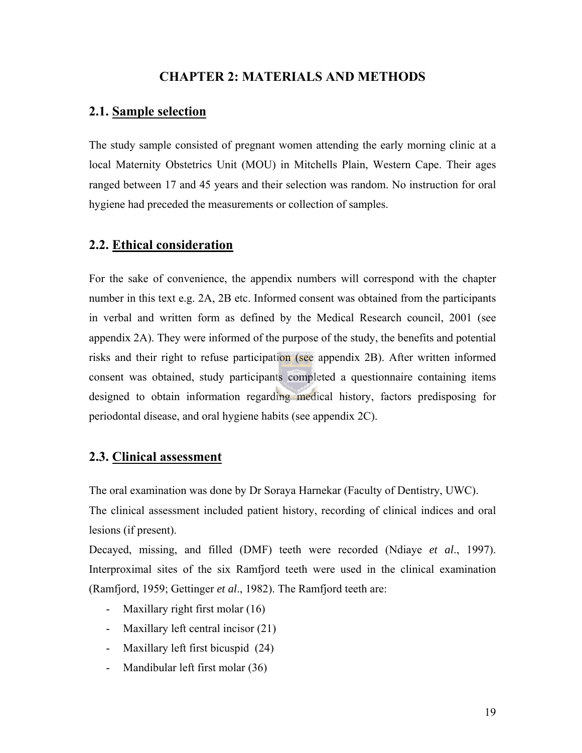#### **CHAPTER 2: MATERIALS AND METHODS**

## <span id="page-18-0"></span>**2.1. Sample selection**

The study sample consisted of pregnant women attending the early morning clinic at a local Maternity Obstetrics Unit (MOU) in Mitchells Plain, Western Cape. Their ages ranged between 17 and 45 years and their selection was random. No instruction for oral hygiene had preceded the measurements or collection of samples.

#### **2.2. Ethical consideration**

For the sake of convenience, the appendix numbers will correspond with the chapter number in this text e.g. 2A, 2B etc. Informed consent was obtained from the participants in verbal and written form as defined by the Medical Research council, 2001 (see appendix 2A). They were informed of the purpose of the study, the benefits and potential risks and their right to refuse participation (see appendix 2B). After written informed consent was obtained, study participants completed a questionnaire containing items designed to obtain information regarding medical history, factors predisposing for periodontal disease, and oral hygiene habits (see appendix 2C).

## **2.3. Clinical assessment**

The oral examination was done by Dr Soraya Harnekar (Faculty of Dentistry, UWC).

The clinical assessment included patient history, recording of clinical indices and oral lesions (if present).

Decayed, missing, and filled (DMF) teeth were recorded (Ndiaye *et al*., 1997). Interproximal sites of the six Ramfjord teeth were used in the clinical examination (Ramfjord, 1959; Gettinger *et al*., 1982). The Ramfjord teeth are:

- Maxillary right first molar (16)
- Maxillary left central incisor (21)
- Maxillary left first bicuspid (24)
- Mandibular left first molar (36)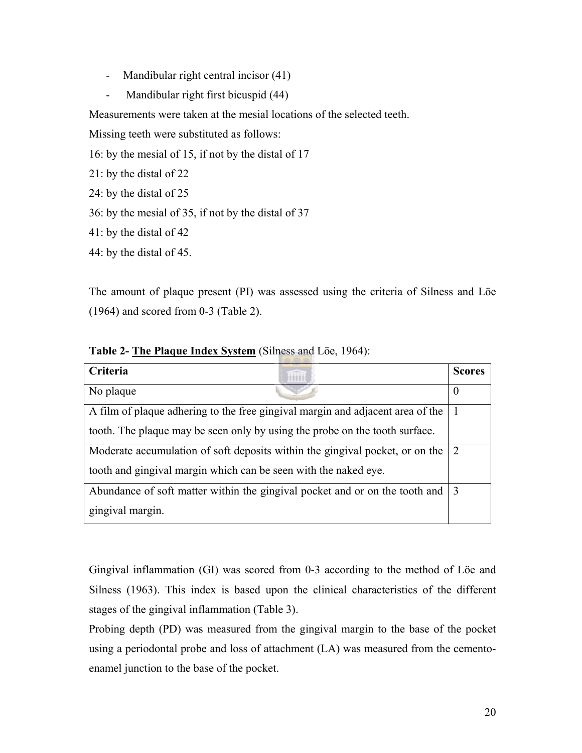- Mandibular right central incisor (41)
- Mandibular right first bicuspid (44)

Measurements were taken at the mesial locations of the selected teeth.

Missing teeth were substituted as follows:

- 16: by the mesial of 15, if not by the distal of 17
- 21: by the distal of 22
- 24: by the distal of 25
- 36: by the mesial of 35, if not by the distal of 37
- 41: by the distal of 42
- 44: by the distal of 45.

The amount of plaque present (PI) was assessed using the criteria of Silness and Löe (1964) and scored from 0-3 (Table 2).

| Criteria                                                                       | <b>Scores</b>    |
|--------------------------------------------------------------------------------|------------------|
| No plaque                                                                      | $\boldsymbol{0}$ |
| A film of plaque adhering to the free gingival margin and adjacent area of the |                  |
| tooth. The plaque may be seen only by using the probe on the tooth surface.    |                  |
| Moderate accumulation of soft deposits within the gingival pocket, or on the   | $\mathcal{L}$    |
| tooth and gingival margin which can be seen with the naked eye.                |                  |
| Abundance of soft matter within the gingival pocket and or on the tooth and 3  |                  |
| gingival margin.                                                               |                  |

#### **Table 2- The Plaque Index System** (Silness and Löe, 1964):

Gingival inflammation (GI) was scored from 0-3 according to the method of Löe and Silness (1963). This index is based upon the clinical characteristics of the different stages of the gingival inflammation (Table 3).

Probing depth (PD) was measured from the gingival margin to the base of the pocket using a periodontal probe and loss of attachment (LA) was measured from the cementoenamel junction to the base of the pocket.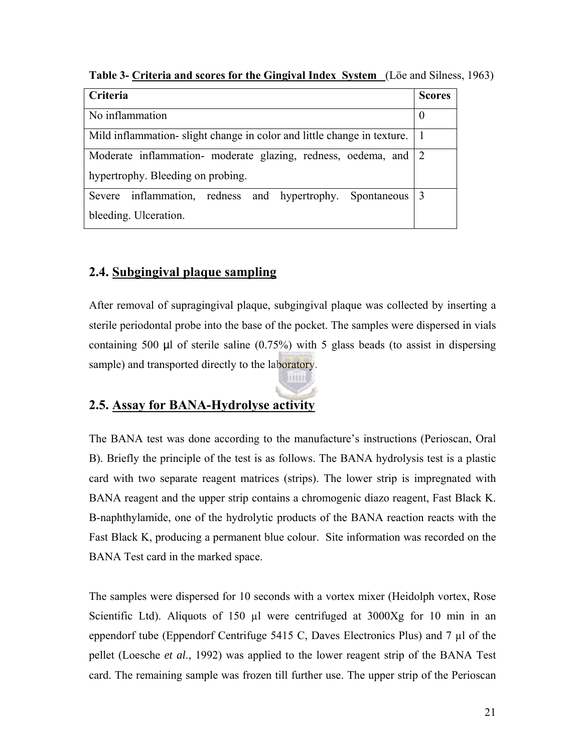| Criteria                                                               | <b>Scores</b> |
|------------------------------------------------------------------------|---------------|
| No inflammation                                                        | $\theta$      |
| Mild inflammation-slight change in color and little change in texture. |               |
| Moderate inflammation- moderate glazing, redness, oedema, and 2        |               |
| hypertrophy. Bleeding on probing.                                      |               |
| Severe inflammation, redness and hypertrophy. Spontaneous 3            |               |
| bleeding. Ulceration.                                                  |               |

<span id="page-20-0"></span>**Table 3- Criteria and scores for the Gingival Index System** (Löe and Silness, 1963)

## **2.4. Subgingival plaque sampling**

After removal of supragingival plaque, subgingival plaque was collected by inserting a sterile periodontal probe into the base of the pocket. The samples were dispersed in vials containing 500  $\mu$ l of sterile saline (0.75%) with 5 glass beads (to assist in dispersing sample) and transported directly to the laboratory.

imini

## **2.5. Assay for BANA-Hydrolyse activity**

The BANA test was done according to the manufacture's instructions (Perioscan, Oral B). Briefly the principle of the test is as follows. The BANA hydrolysis test is a plastic card with two separate reagent matrices (strips). The lower strip is impregnated with BANA reagent and the upper strip contains a chromogenic diazo reagent, Fast Black K. B-naphthylamide, one of the hydrolytic products of the BANA reaction reacts with the Fast Black K, producing a permanent blue colour. Site information was recorded on the BANA Test card in the marked space.

The samples were dispersed for 10 seconds with a vortex mixer (Heidolph vortex, Rose Scientific Ltd). Aliquots of 150 µl were centrifuged at 3000Xg for 10 min in an eppendorf tube (Eppendorf Centrifuge 5415 C, Daves Electronics Plus) and 7 µl of the pellet (Loesche *et al*., 1992) was applied to the lower reagent strip of the BANA Test card. The remaining sample was frozen till further use. The upper strip of the Perioscan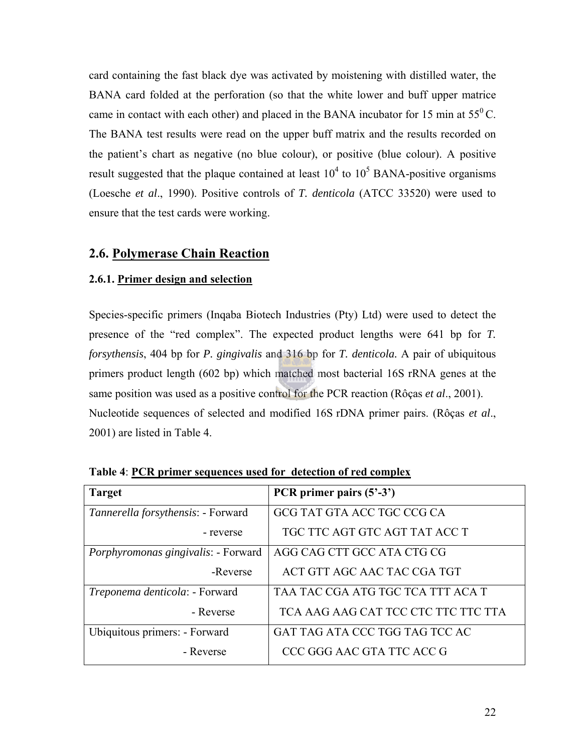<span id="page-21-0"></span>card containing the fast black dye was activated by moistening with distilled water, the BANA card folded at the perforation (so that the white lower and buff upper matrice came in contact with each other) and placed in the BANA incubator for 15 min at  $55^{\circ}$ C. The BANA test results were read on the upper buff matrix and the results recorded on the patient's chart as negative (no blue colour), or positive (blue colour). A positive result suggested that the plaque contained at least  $10^4$  to  $10^5$  BANA-positive organisms (Loesche *et al*., 1990). Positive controls of *T. denticola* (ATCC 33520) were used to ensure that the test cards were working.

### **2.6. Polymerase Chain Reaction**

#### **2.6.1. Primer design and selection**

Species-specific primers (Inqaba Biotech Industries (Pty) Ltd) were used to detect the presence of the "red complex". The expected product lengths were 641 bp for *T. forsythensis*, 404 bp for *P. gingivalis* and 316 bp for *T. denticola.* A pair of ubiquitous primers product length (602 bp) which matched most bacterial 16S rRNA genes at the same position was used as a positive control for the PCR reaction (Rôças *et al*., 2001). Nucleotide sequences of selected and modified 16S rDNA primer pairs. (Rôças *et al*., 2001) are listed in Table 4.

| <b>Target</b>                              | PCR primer pairs $(5' - 3')$        |
|--------------------------------------------|-------------------------------------|
| Tannerella forsythensis: - Forward         | GCG TAT GTA ACC TGC CCG CA          |
| - reverse                                  | TGC TTC AGT GTC AGT TAT ACC T       |
| <i>Porphyromonas gingivalis:</i> - Forward | AGG CAG CTT GCC ATA CTG CG          |
| -Reverse                                   | ACT GTT AGC AAC TAC CGA TGT         |
| Treponema denticola: - Forward             | TAA TAC CGA ATG TGC TCA TTT ACA T   |
| - Reverse                                  | TCA AAG AAG CAT TCC CTC TTC TTC TTA |
| Ubiquitous primers: - Forward              | GAT TAG ATA CCC TGG TAG TCC AC      |
| - Reverse                                  | CCC GGG AAC GTA TTC ACC G           |

**Table 4**: **PCR primer sequences used for detection of red complex**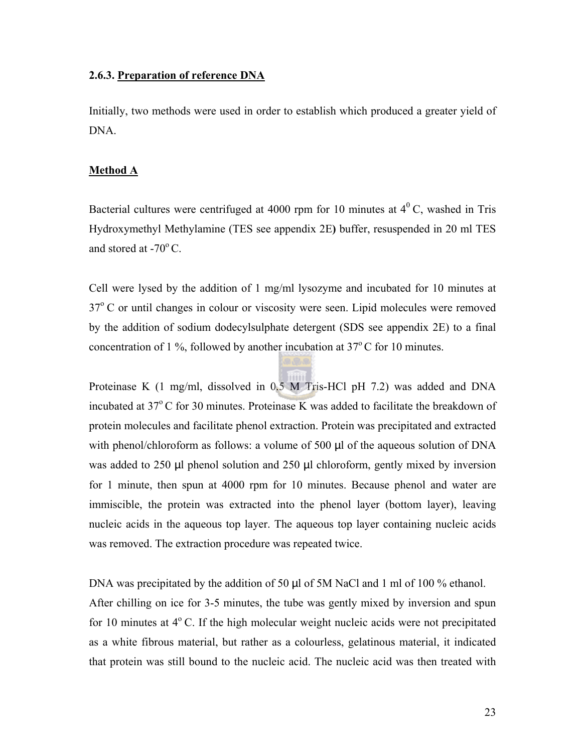#### <span id="page-22-0"></span>**2.6.3. Preparation of reference DNA**

Initially, two methods were used in order to establish which produced a greater yield of DNA.

#### **Method A**

Bacterial cultures were centrifuged at 4000 rpm for 10 minutes at  $4^{\circ}$  C, washed in Tris Hydroxymethyl Methylamine (TES see appendix 2E**)** buffer, resuspended in 20 ml TES and stored at  $-70^{\circ}$  C.

Cell were lysed by the addition of 1 mg/ml lysozyme and incubated for 10 minutes at  $37^{\circ}$  C or until changes in colour or viscosity were seen. Lipid molecules were removed by the addition of sodium dodecylsulphate detergent (SDS see appendix 2E) to a final concentration of 1 %, followed by another incubation at  $37^{\circ}$ C for 10 minutes.

Proteinase K (1 mg/ml, dissolved in 0.5 M Tris-HCl pH 7.2) was added and DNA incubated at  $37^{\circ}$ C for 30 minutes. Proteinase K was added to facilitate the breakdown of protein molecules and facilitate phenol extraction. Protein was precipitated and extracted with phenol/chloroform as follows: a volume of 500 µl of the aqueous solution of DNA was added to 250 µl phenol solution and 250 µl chloroform, gently mixed by inversion for 1 minute, then spun at 4000 rpm for 10 minutes. Because phenol and water are immiscible, the protein was extracted into the phenol layer (bottom layer), leaving nucleic acids in the aqueous top layer. The aqueous top layer containing nucleic acids was removed. The extraction procedure was repeated twice.

DNA was precipitated by the addition of 50 µl of 5M NaCl and 1 ml of 100 % ethanol. After chilling on ice for 3-5 minutes, the tube was gently mixed by inversion and spun for 10 minutes at  $4^{\circ}$  C. If the high molecular weight nucleic acids were not precipitated as a white fibrous material, but rather as a colourless, gelatinous material, it indicated that protein was still bound to the nucleic acid. The nucleic acid was then treated with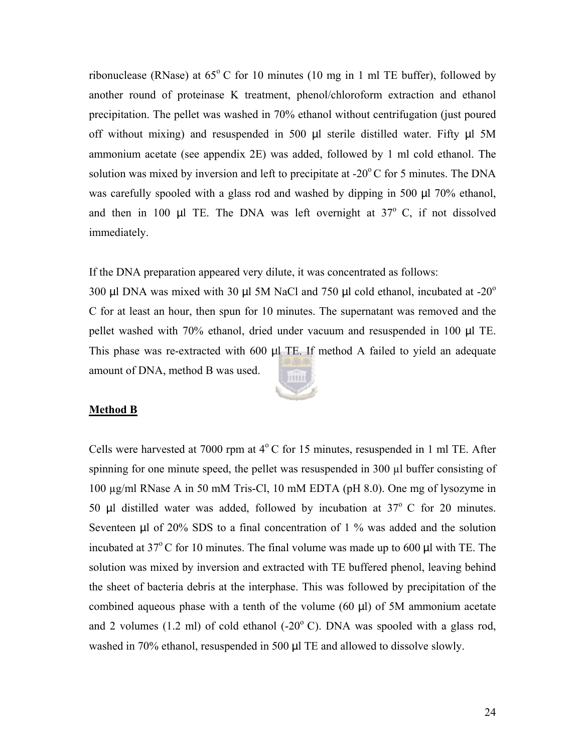ribonuclease (RNase) at  $65^{\circ}$  C for 10 minutes (10 mg in 1 ml TE buffer), followed by another round of proteinase K treatment, phenol/chloroform extraction and ethanol precipitation. The pellet was washed in 70% ethanol without centrifugation (just poured off without mixing) and resuspended in 500  $\mu$ l sterile distilled water. Fifty  $\mu$ l 5M ammonium acetate (see appendix 2E) was added, followed by 1 ml cold ethanol. The solution was mixed by inversion and left to precipitate at  $-20^{\circ}$ C for 5 minutes. The DNA was carefully spooled with a glass rod and washed by dipping in 500 µl 70% ethanol, and then in 100  $\mu$ l TE. The DNA was left overnight at 37 $\degree$  C, if not dissolved immediately.

If the DNA preparation appeared very dilute, it was concentrated as follows:

300  $\mu$ l DNA was mixed with 30  $\mu$ l 5M NaCl and 750  $\mu$ l cold ethanol, incubated at -20<sup>o</sup> C for at least an hour, then spun for 10 minutes. The supernatant was removed and the pellet washed with 70% ethanol, dried under vacuum and resuspended in 100 µl TE. This phase was re-extracted with 600 µl TE. If method A failed to yield an adequate amount of DNA, method B was used.



#### **Method B**

Cells were harvested at 7000 rpm at  $4^{\circ}$ C for 15 minutes, resuspended in 1 ml TE. After spinning for one minute speed, the pellet was resuspended in  $300 \mu l$  buffer consisting of 100 µg/ml RNase A in 50 mM Tris-Cl, 10 mM EDTA (pH 8.0). One mg of lysozyme in 50 µl distilled water was added, followed by incubation at  $37^{\circ}$  C for 20 minutes. Seventeen µl of 20% SDS to a final concentration of 1 % was added and the solution incubated at  $37^{\circ}$ C for 10 minutes. The final volume was made up to 600 µl with TE. The solution was mixed by inversion and extracted with TE buffered phenol, leaving behind the sheet of bacteria debris at the interphase. This was followed by precipitation of the combined aqueous phase with a tenth of the volume  $(60 \mu l)$  of 5M ammonium acetate and 2 volumes (1.2 ml) of cold ethanol (-20 $^{\circ}$  C). DNA was spooled with a glass rod, washed in 70% ethanol, resuspended in 500 µl TE and allowed to dissolve slowly.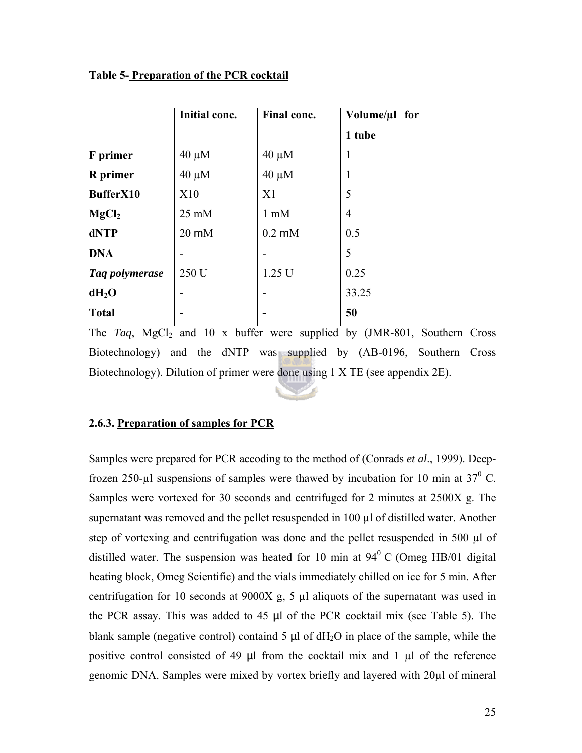|                   | Initial conc.   | Final conc.      | Volume/µl for |
|-------------------|-----------------|------------------|---------------|
|                   |                 |                  | 1 tube        |
| F primer          | $40 \mu M$      | $40 \mu M$       | 1             |
| <b>R</b> primer   | $40 \mu M$      | $40 \mu M$       | 1             |
| BufferX10         | X10             | X <sub>1</sub>   | 5             |
| MgCl <sub>2</sub> | $25 \text{ mM}$ | $1 \text{ mM}$   | 4             |
| dNTP              | $20 \text{ mM}$ | $0.2 \text{ mM}$ | 0.5           |
| <b>DNA</b>        |                 |                  | 5             |
| Taq polymerase    | 250 U           | 1.25 U           | 0.25          |
| $dH_2O$           |                 |                  | 33.25         |
| <b>Total</b>      |                 |                  | 50            |

#### <span id="page-24-0"></span>**Table 5- Preparation of the PCR cocktail**

The *Taq*, MgCl<sub>2</sub> and 10 x buffer were supplied by  $(JMR-801,$  Southern Cross Biotechnology) and the dNTP was supplied by (AB-0196, Southern Cross Biotechnology). Dilution of primer were done using 1 X TE (see appendix 2E).

#### **2.6.3. Preparation of samples for PCR**

Samples were prepared for PCR accoding to the method of (Conrads *et al*., 1999). Deepfrozen 250-µl suspensions of samples were thawed by incubation for 10 min at  $37^{\circ}$  C. Samples were vortexed for 30 seconds and centrifuged for 2 minutes at 2500X g. The supernatant was removed and the pellet resuspended in 100 µl of distilled water. Another step of vortexing and centrifugation was done and the pellet resuspended in 500  $\mu$ l of distilled water. The suspension was heated for 10 min at  $94^{\circ}$  C (Omeg HB/01 digital heating block, Omeg Scientific) and the vials immediately chilled on ice for 5 min. After centrifugation for 10 seconds at 9000X g, 5 µl aliquots of the supernatant was used in the PCR assay. This was added to 45 µl of the PCR cocktail mix (see Table 5). The blank sample (negative control) containd 5  $\mu$ l of dH<sub>2</sub>O in place of the sample, while the positive control consisted of 49  $\mu$ l from the cocktail mix and 1  $\mu$ l of the reference genomic DNA. Samples were mixed by vortex briefly and layered with 20µl of mineral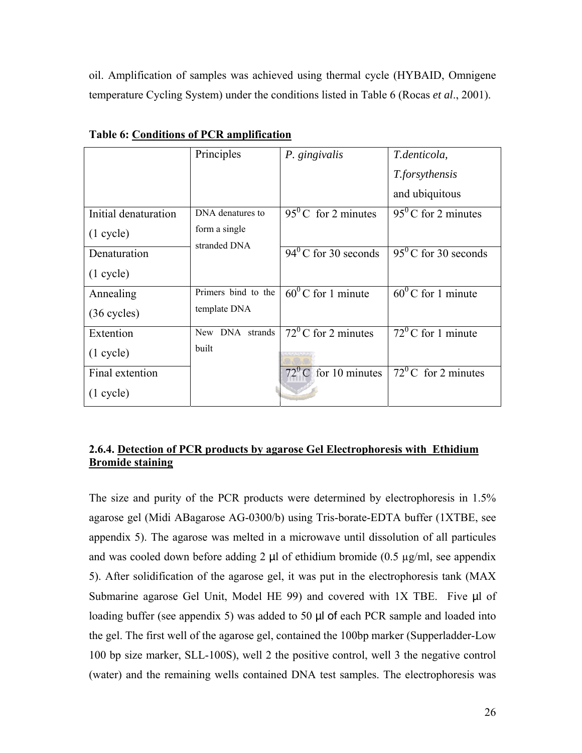<span id="page-25-0"></span>oil. Amplification of samples was achieved using thermal cycle (HYBAID, Omnigene temperature Cycling System) under the conditions listed in Table 6 (Rocas *et al*., 2001).

|                       | Principles                    | P. gingivalis                 | T.denticola,                  |
|-----------------------|-------------------------------|-------------------------------|-------------------------------|
|                       |                               |                               | <i>T.forsythensis</i>         |
|                       |                               |                               | and ubiquitous                |
| Initial denaturation  | DNA denatures to              | $95^{\circ}$ C for 2 minutes  | $95^{\circ}$ C for 2 minutes  |
| $(1 \text{ cycle})$   | form a single<br>stranded DNA |                               |                               |
| Denaturation          |                               | $94^{\circ}$ C for 30 seconds | $95^{\circ}$ C for 30 seconds |
| $(1 \text{ cycle})$   |                               |                               |                               |
| Annealing             | Primers bind to the           | $60^0$ C for 1 minute         | $60^0$ C for 1 minute         |
| $(36 \text{ cycles})$ | template DNA                  |                               |                               |
| Extention             | New DNA strands               | $72^{\circ}$ C for 2 minutes  | $72^{\circ}$ C for 1 minute   |
| $(1 \text{ cycle})$   | built                         |                               |                               |
| Final extention       |                               | $72^{\circ}$ C for 10 minutes | $72^{\circ}$ C for 2 minutes  |
| $(1 \text{ cycle})$   |                               |                               |                               |

**Table 6: Conditions of PCR amplification** 

#### **2.6.4. Detection of PCR products by agarose Gel Electrophoresis with Ethidium Bromide staining**

The size and purity of the PCR products were determined by electrophoresis in 1.5% agarose gel (Midi ABagarose AG-0300/b) using Tris-borate-EDTA buffer (1XTBE, see appendix 5). The agarose was melted in a microwave until dissolution of all particules and was cooled down before adding 2  $\mu$ l of ethidium bromide (0.5  $\mu$ g/ml, see appendix 5). After solidification of the agarose gel, it was put in the electrophoresis tank (MAX Submarine agarose Gel Unit, Model HE 99) and covered with 1X TBE. Five  $\mu$ l of loading buffer (see appendix 5) was added to 50 µl of each PCR sample and loaded into the gel. The first well of the agarose gel, contained the 100bp marker (Supperladder-Low 100 bp size marker, SLL-100S), well 2 the positive control, well 3 the negative control (water) and the remaining wells contained DNA test samples. The electrophoresis was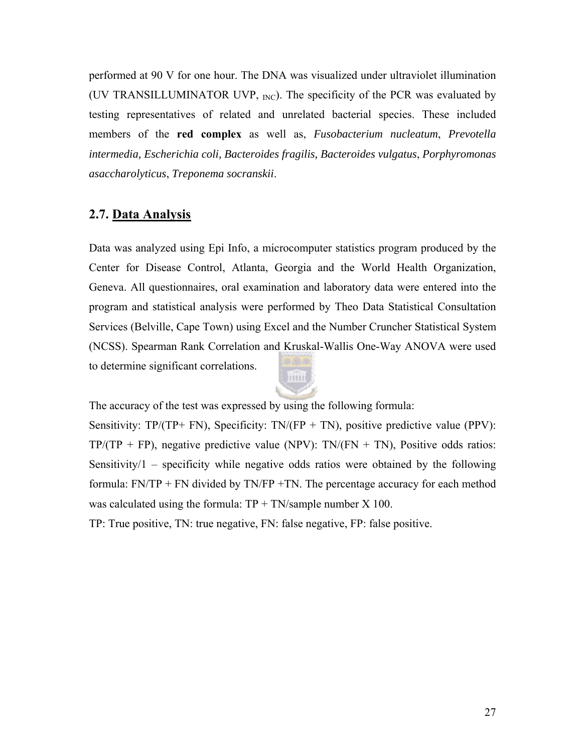<span id="page-26-0"></span>performed at 90 V for one hour. The DNA was visualized under ultraviolet illumination (UV TRANSILLUMINATOR UVP,  $_{\text{INC}}$ ). The specificity of the PCR was evaluated by testing representatives of related and unrelated bacterial species. These included members of the **red complex** as well as, *Fusobacterium nucleatum*, *Prevotella intermedia, Escherichia coli, Bacteroides fragilis, Bacteroides vulgatus*, *Porphyromonas asaccharolyticus*, *Treponema socranskii*.

### **2.7. Data Analysis**

Data was analyzed using Epi Info, a microcomputer statistics program produced by the Center for Disease Control, Atlanta, Georgia and the World Health Organization, Geneva. All questionnaires, oral examination and laboratory data were entered into the program and statistical analysis were performed by Theo Data Statistical Consultation Services (Belville, Cape Town) using Excel and the Number Cruncher Statistical System (NCSS). Spearman Rank Correlation and Kruskal-Wallis One-Way ANOVA were used to determine significant correlations.



The accuracy of the test was expressed by using the following formula:

Sensitivity:  $TP/(TP+FN)$ , Specificity:  $TN/(FP+TN)$ , positive predictive value (PPV):  $TP/(TP + FP)$ , negative predictive value (NPV):  $TN/(FN + TN)$ , Positive odds ratios: Sensitivity/1 – specificity while negative odds ratios were obtained by the following formula: FN/TP + FN divided by TN/FP +TN. The percentage accuracy for each method was calculated using the formula:  $TP + TN/sample$  number  $X$  100.

TP: True positive, TN: true negative, FN: false negative, FP: false positive.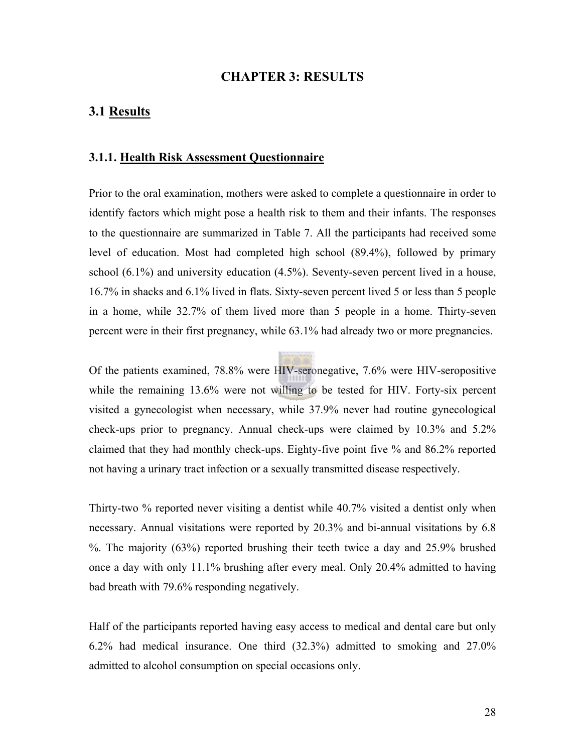#### **CHAPTER 3: RESULTS**

## <span id="page-27-0"></span>**3.1 Results**

#### **3.1.1. Health Risk Assessment Questionnaire**

Prior to the oral examination, mothers were asked to complete a questionnaire in order to identify factors which might pose a health risk to them and their infants. The responses to the questionnaire are summarized in Table 7. All the participants had received some level of education. Most had completed high school (89.4%), followed by primary school (6.1%) and university education (4.5%). Seventy-seven percent lived in a house, 16.7% in shacks and 6.1% lived in flats. Sixty-seven percent lived 5 or less than 5 people in a home, while 32.7% of them lived more than 5 people in a home. Thirty-seven percent were in their first pregnancy, while 63.1% had already two or more pregnancies.

Of the patients examined, 78.8% were HIV-seronegative, 7.6% were HIV-seropositive while the remaining 13.6% were not willing to be tested for HIV. Forty-six percent visited a gynecologist when necessary, while 37.9% never had routine gynecological check-ups prior to pregnancy. Annual check-ups were claimed by 10.3% and 5.2% claimed that they had monthly check-ups. Eighty-five point five % and 86.2% reported not having a urinary tract infection or a sexually transmitted disease respectively.

Thirty-two % reported never visiting a dentist while 40.7% visited a dentist only when necessary. Annual visitations were reported by 20.3% and bi-annual visitations by 6.8 %. The majority (63%) reported brushing their teeth twice a day and 25.9% brushed once a day with only 11.1% brushing after every meal. Only 20.4% admitted to having bad breath with 79.6% responding negatively.

Half of the participants reported having easy access to medical and dental care but only 6.2% had medical insurance. One third (32.3%) admitted to smoking and 27.0% admitted to alcohol consumption on special occasions only.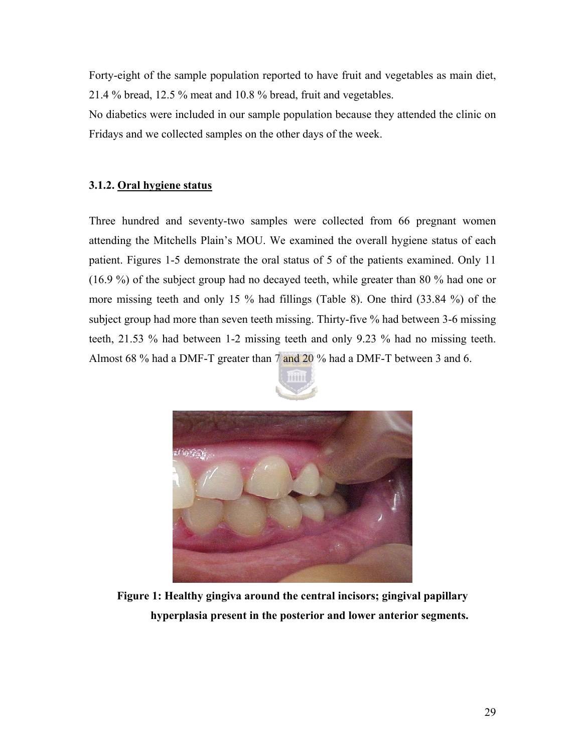<span id="page-28-0"></span>Forty-eight of the sample population reported to have fruit and vegetables as main diet, 21.4 % bread, 12.5 % meat and 10.8 % bread, fruit and vegetables.

No diabetics were included in our sample population because they attended the clinic on Fridays and we collected samples on the other days of the week.

### **3.1.2. Oral hygiene status**

Three hundred and seventy-two samples were collected from 66 pregnant women attending the Mitchells Plain's MOU. We examined the overall hygiene status of each patient. Figures 1-5 demonstrate the oral status of 5 of the patients examined. Only 11 (16.9 %) of the subject group had no decayed teeth, while greater than 80 % had one or more missing teeth and only 15 % had fillings (Table 8). One third (33.84 %) of the subject group had more than seven teeth missing. Thirty-five % had between 3-6 missing teeth, 21.53 % had between 1-2 missing teeth and only 9.23 % had no missing teeth. Almost 68 % had a DMF-T greater than 7 and 20 % had a DMF-T between 3 and 6.





**Figure 1: Healthy gingiva around the central incisors; gingival papillary hyperplasia present in the posterior and lower anterior segments.**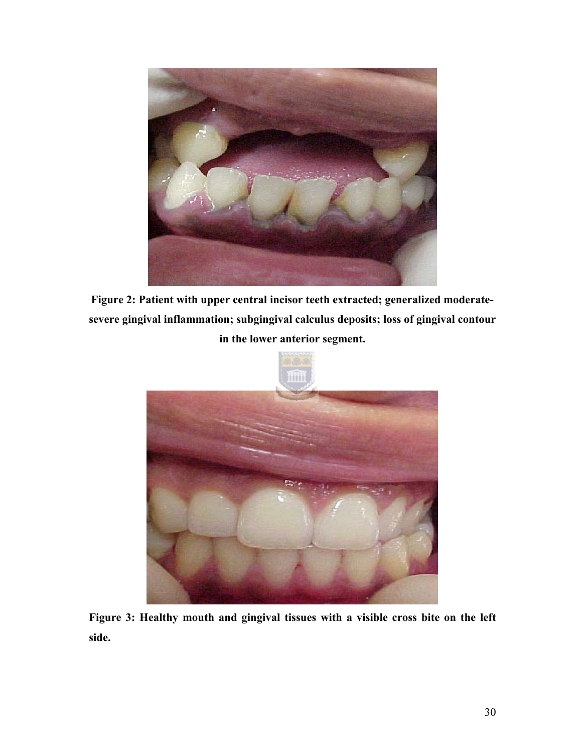

**Figure 2: Patient with upper central incisor teeth extracted; generalized moderatesevere gingival inflammation; subgingival calculus deposits; loss of gingival contour in the lower anterior segment.** 



**Figure 3: Healthy mouth and gingival tissues with a visible cross bite on the left side.**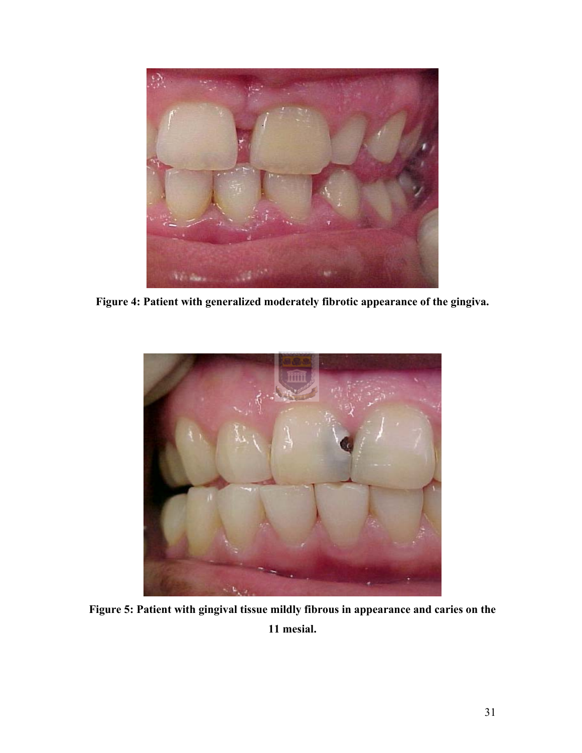

**Figure 4: Patient with generalized moderately fibrotic appearance of the gingiva.** 



**Figure 5: Patient with gingival tissue mildly fibrous in appearance and caries on the 11 mesial.**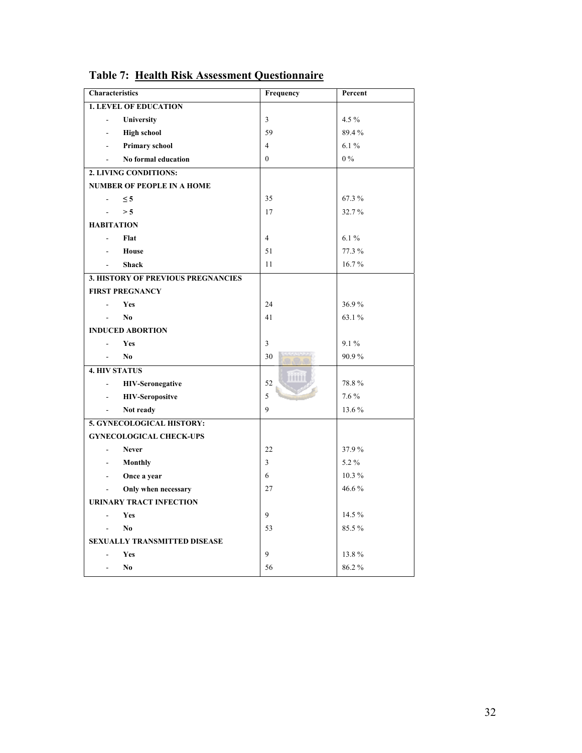| <b>Characteristics</b>                              | Frequency      | Percent |
|-----------------------------------------------------|----------------|---------|
| <b>1. LEVEL OF EDUCATION</b>                        |                |         |
| University                                          | 3              | 4.5 %   |
| <b>High school</b><br>$\overline{a}$                | 59             | 89.4%   |
| <b>Primary school</b><br>÷.                         | $\overline{4}$ | 6.1%    |
| No formal education                                 | $\theta$       | $0\%$   |
| 2. LIVING CONDITIONS:                               |                |         |
| <b>NUMBER OF PEOPLE IN A HOME</b>                   |                |         |
| $\leq$ 5                                            | 35             | 67.3%   |
| > 5<br>÷,                                           | 17             | 32.7%   |
| <b>HABITATION</b>                                   |                |         |
| Flat                                                | $\overline{4}$ | 6.1%    |
| <b>House</b>                                        | 51             | 77.3 %  |
| <b>Shack</b>                                        | 11             | 16.7%   |
| <b>3. HISTORY OF PREVIOUS PREGNANCIES</b>           |                |         |
| <b>FIRST PREGNANCY</b>                              |                |         |
| <b>Yes</b><br>÷,                                    | 24             | 36.9%   |
| N <sub>0</sub><br>$\overline{a}$                    | 41             | 63.1%   |
| <b>INDUCED ABORTION</b>                             |                |         |
| Yes                                                 | 3              | 9.1%    |
| No<br>÷.                                            | 30             | 90.9%   |
| <b>4. HIV STATUS</b>                                | 1111           |         |
| <b>HIV-Seronegative</b><br>$\overline{\phantom{a}}$ | 52             | 78.8%   |
| <b>HIV-Seropositve</b><br>$\overline{\phantom{a}}$  | 5              | 7.6%    |
| Not ready<br>$\overline{\phantom{a}}$               | 9              | 13.6 %  |
| 5. GYNECOLOGICAL HISTORY:                           |                |         |
| <b>GYNECOLOGICAL CHECK-UPS</b>                      |                |         |
| <b>Never</b><br>$\overline{\phantom{a}}$            | 22             | 37.9%   |
| <b>Monthly</b><br>$\overline{\phantom{a}}$          | 3              | 5.2%    |
| Once a year<br>$\overline{\phantom{a}}$             | 6              | 10.3%   |
| Only when necessary<br>$\frac{1}{2}$                | 27             | 46.6%   |
| <b>URINARY TRACT INFECTION</b>                      |                |         |
| Yes<br>$\overline{a}$                               | 9              | 14.5 %  |
| No.<br>$\overline{\phantom{a}}$                     | 53             | 85.5%   |
| <b>SEXUALLY TRANSMITTED DISEASE</b>                 |                |         |
| Yes                                                 | 9              | 13.8%   |
| N <sub>0</sub><br>$\overline{a}$                    | 56             | 86.2%   |

**Table 7: Health Risk Assessment Questionnaire**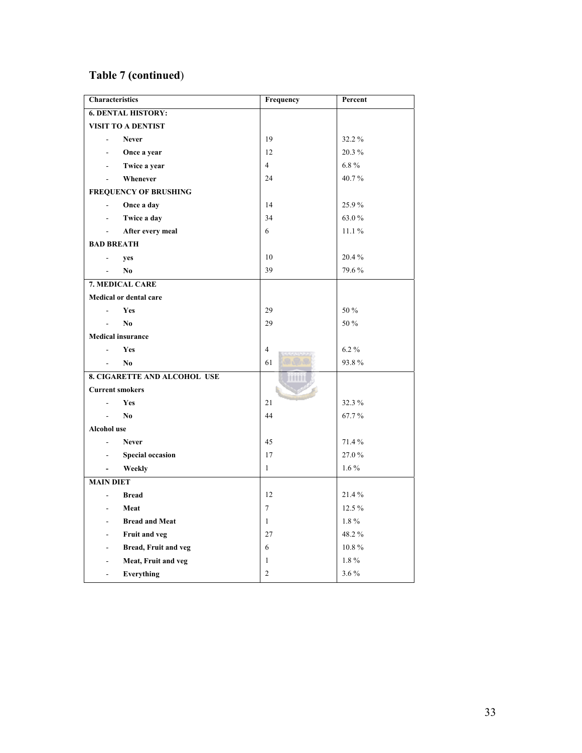## **Table 7 (continued**)

| <b>Characteristics</b>                              | Frequency      | Percent |
|-----------------------------------------------------|----------------|---------|
| <b>6. DENTAL HISTORY:</b>                           |                |         |
| <b>VISIT TO A DENTIST</b>                           |                |         |
| <b>Never</b><br>$\overline{a}$                      | 19             | 32.2%   |
| Once a year                                         | 12             | 20.3%   |
| Twice a year                                        | $\overline{4}$ | $6.8\%$ |
| Whenever                                            | 24             | 40.7%   |
| <b>FREQUENCY OF BRUSHING</b>                        |                |         |
| Once a day<br>$\overline{\phantom{a}}$              | 14             | 25.9%   |
| Twice a day                                         | 34             | 63.0%   |
| After every meal                                    | 6              | 11.1%   |
| <b>BAD BREATH</b>                                   |                |         |
| yes<br>÷,                                           | 10             | 20.4%   |
| No                                                  | 39             | 79.6%   |
| 7. MEDICAL CARE                                     |                |         |
| <b>Medical or dental care</b>                       |                |         |
| Yes                                                 | 29             | 50 %    |
| No<br>÷.                                            | 29             | 50 %    |
| <b>Medical insurance</b>                            |                |         |
| Yes<br>$\overline{a}$                               | $\overline{4}$ | $6.2\%$ |
| No.<br>$\blacksquare$                               | 61             | 93.8%   |
| <b>8. CIGARETTE AND ALCOHOL USE</b>                 | 11111          |         |
| <b>Current smokers</b>                              |                |         |
| Yes<br>÷.                                           | 21             | 32.3 %  |
| No<br>$\mathbb{Z}^{\mathbb{Z}}$                     | 44             | 67.7%   |
| Alcohol use                                         |                |         |
| <b>Never</b><br>$\overline{a}$                      | 45             | 71.4%   |
| <b>Special occasion</b><br>$\overline{\phantom{a}}$ | 17             | 27.0%   |
| Weekly<br>$\blacksquare$                            | $\mathbf{1}$   | $1.6\%$ |
| <b>MAIN DIET</b>                                    |                |         |
| <b>Bread</b><br>$\overline{a}$                      | 12             | 21.4%   |
| Meat                                                | $\overline{7}$ | 12.5 %  |
| <b>Bread and Meat</b><br>$\overline{a}$             | $\mathbf{1}$   | $1.8\%$ |
| Fruit and veg<br>$\overline{a}$                     | 27             | 48.2%   |
| Bread, Fruit and veg<br>÷,                          | 6              | 10.8%   |
| Meat, Fruit and veg<br>$\overline{a}$               | 1              | 1.8%    |
| Everything<br>÷.                                    | $\overline{2}$ | 3.6%    |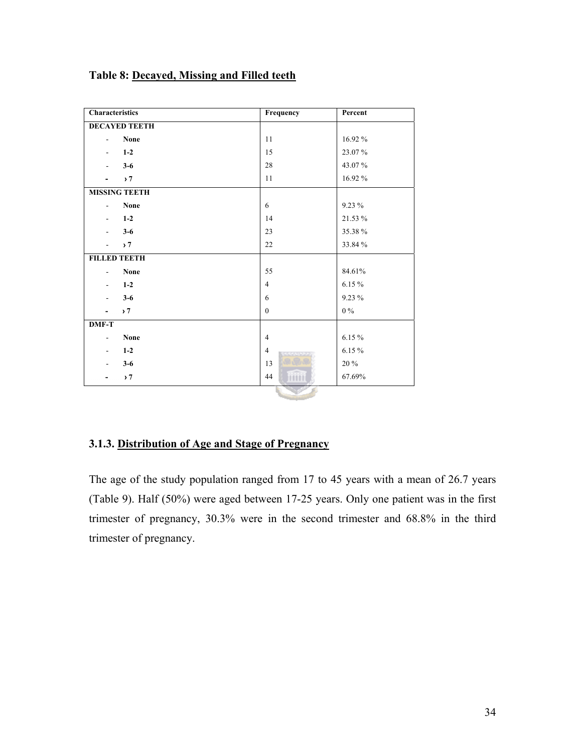#### <span id="page-33-0"></span>**Table 8: Decayed, Missing and Filled teeth**

| Characteristics                   | Frequency      | Percent   |
|-----------------------------------|----------------|-----------|
| <b>DECAYED TEETH</b>              |                |           |
| None<br>$\blacksquare$            | 11             | 16.92 %   |
| $1-2$<br>$\overline{\phantom{a}}$ | 15             | 23.07%    |
| $3-6$<br>$\blacksquare$           | 28             | 43.07%    |
| , 7                               | 11             | 16.92%    |
| <b>MISSING TEETH</b>              |                |           |
| None<br>$\overline{\phantom{a}}$  | 6              | $9.23\%$  |
| $1-2$<br>$\sim$                   | 14             | 21.53 %   |
| $3 - 6$<br>$\blacksquare$         | 23             | 35.38%    |
| , 7                               | 22             | 33.84 %   |
| <b>FILLED TEETH</b>               |                |           |
| None<br>$\overline{\phantom{a}}$  | 55             | 84.61%    |
| $1 - 2$<br>$\blacksquare$         | $\overline{4}$ | 6.15%     |
| $3-6$<br>$\blacksquare$           | 6              | 9.23 %    |
| , 7                               | $\theta$       | $0\%$     |
| <b>DMF-T</b>                      |                |           |
| None<br>$\overline{\phantom{a}}$  | $\overline{4}$ | 6.15%     |
| $1-2$<br>$\overline{\phantom{a}}$ | $\overline{4}$ | $6.15~\%$ |
| $3-6$                             | 13             | 20%       |
| , 7                               | 44<br>mini     | 67.69%    |
|                                   |                |           |

#### **3.1.3. Distribution of Age and Stage of Pregnancy**

The age of the study population ranged from 17 to 45 years with a mean of 26.7 years (Table 9). Half (50%) were aged between 17-25 years. Only one patient was in the first trimester of pregnancy, 30.3% were in the second trimester and 68.8% in the third trimester of pregnancy.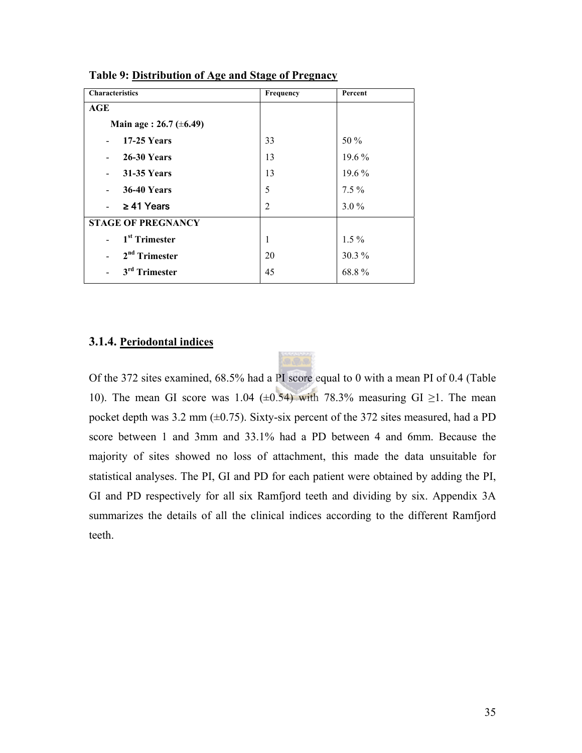| <b>Characteristics</b>                         | Frequency      | Percent  |
|------------------------------------------------|----------------|----------|
| AGE                                            |                |          |
| Main age : $26.7 \ (\pm 6.49)$                 |                |          |
| <b>17-25 Years</b><br>$\overline{a}$           | 33             | 50 %     |
| <b>26-30 Years</b><br>$\overline{a}$           | 13             | 19.6 %   |
| <b>31-35 Years</b><br>$\overline{\phantom{0}}$ | 13             | 19.6 %   |
| <b>36-40 Years</b><br>$\overline{a}$           | 5              | $7.5\%$  |
| $\geq$ 41 Years<br>$\mathcal{L}^{\text{max}}$  | $\overline{2}$ | $3.0\%$  |
| <b>STAGE OF PREGNANCY</b>                      |                |          |
| 1 <sup>st</sup> Trimester                      | 1              | $1.5\%$  |
| $2nd$ Trimester                                | 20             | $30.3\%$ |
| 3 <sup>rd</sup> Trimester                      | 45             | 68.8%    |

<span id="page-34-0"></span>**Table 9: Distribution of Age and Stage of Pregnacy**

#### **3.1.4. Periodontal indices**

Of the 372 sites examined, 68.5% had a PI score equal to 0 with a mean PI of 0.4 (Table 10). The mean GI score was 1.04 ( $\pm$ 0.54) with 78.3% measuring GI  $\geq$ 1. The mean pocket depth was 3.2 mm  $(\pm 0.75)$ . Sixty-six percent of the 372 sites measured, had a PD score between 1 and 3mm and 33.1% had a PD between 4 and 6mm. Because the majority of sites showed no loss of attachment, this made the data unsuitable for statistical analyses. The PI, GI and PD for each patient were obtained by adding the PI, GI and PD respectively for all six Ramfjord teeth and dividing by six. Appendix 3A summarizes the details of all the clinical indices according to the different Ramfjord teeth.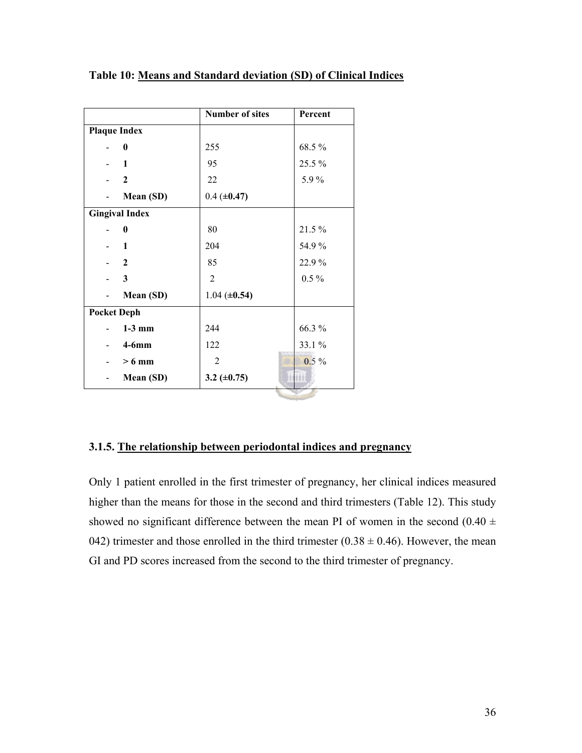|                          |                       | <b>Number of sites</b> | Percent |
|--------------------------|-----------------------|------------------------|---------|
|                          | <b>Plaque Index</b>   |                        |         |
|                          | $\bf{0}$              | 255                    | 68.5%   |
|                          | $-1$                  | 95                     | 25.5 %  |
|                          | $\overline{2}$        | 22                     | 5.9%    |
|                          | Mean (SD)             | $0.4 (\pm 0.47)$       |         |
|                          | <b>Gingival Index</b> |                        |         |
|                          | $\bf{0}$              | 80                     | 21.5%   |
|                          | - 1                   | 204                    | 54.9%   |
|                          | $-2$                  | 85                     | 22.9%   |
|                          | 3                     | $\overline{2}$         | $0.5\%$ |
|                          | Mean (SD)             | $1.04 (\pm 0.54)$      |         |
| <b>Pocket Deph</b>       |                       |                        |         |
|                          | $1-3$ mm              | 244                    | 66.3%   |
|                          | $4-6mm$               | 122                    | 33.1 %  |
|                          | $> 6 \text{ mm}$      | $\overline{2}$         | $0.5\%$ |
| $\overline{\phantom{0}}$ | Mean (SD)             | 3.2 $(\pm 0.75)$       | m       |
|                          |                       |                        |         |

<span id="page-35-0"></span>**Table 10: Means and Standard deviation (SD) of Clinical Indices**

#### **3.1.5. The relationship between periodontal indices and pregnancy**

Only 1 patient enrolled in the first trimester of pregnancy, her clinical indices measured higher than the means for those in the second and third trimesters (Table 12). This study showed no significant difference between the mean PI of women in the second  $(0.40 \pm 1)$ 042) trimester and those enrolled in the third trimester ( $0.38 \pm 0.46$ ). However, the mean GI and PD scores increased from the second to the third trimester of pregnancy.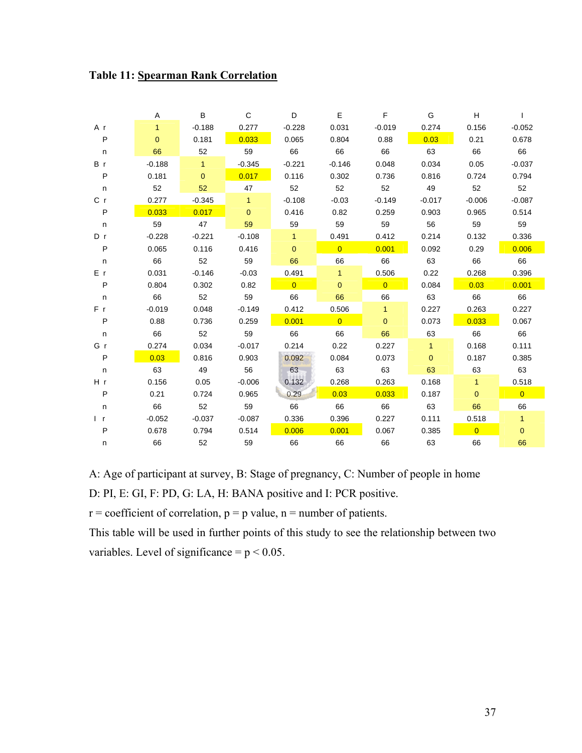| <b>Table 11: Spearman Rank Correlation</b> |  |  |
|--------------------------------------------|--|--|
|--------------------------------------------|--|--|

|              | A        | B            | $\mathsf C$  | D              | E              | $\mathsf F$    | G            | $\boldsymbol{\mathsf{H}}$ |                |
|--------------|----------|--------------|--------------|----------------|----------------|----------------|--------------|---------------------------|----------------|
| A r          | 1        | $-0.188$     | 0.277        | $-0.228$       | 0.031          | $-0.019$       | 0.274        | 0.156                     | $-0.052$       |
| $\sf P$      | $\Omega$ | 0.181        | 0.033        | 0.065          | 0.804          | 0.88           | 0.03         | 0.21                      | 0.678          |
| n            | 66       | 52           | 59           | 66             | 66             | 66             | 63           | 66                        | 66             |
| B r          | $-0.188$ | $\mathbf{1}$ | $-0.345$     | $-0.221$       | $-0.146$       | 0.048          | 0.034        | 0.05                      | $-0.037$       |
| $\sf P$      | 0.181    | $\mathbf{0}$ | 0.017        | 0.116          | 0.302          | 0.736          | 0.816        | 0.724                     | 0.794          |
| $\mathsf n$  | 52       | 52           | 47           | 52             | 52             | 52             | 49           | 52                        | 52             |
| C r          | 0.277    | $-0.345$     | 1            | $-0.108$       | $-0.03$        | $-0.149$       | $-0.017$     | $-0.006$                  | $-0.087$       |
| $\sf P$      | 0.033    | 0.017        | $\mathbf{0}$ | 0.416          | 0.82           | 0.259          | 0.903        | 0.965                     | 0.514          |
| $\mathsf n$  | 59       | 47           | 59           | 59             | 59             | 59             | 56           | 59                        | 59             |
| D r          | $-0.228$ | $-0.221$     | $-0.108$     | $\mathbf{1}$   | 0.491          | 0.412          | 0.214        | 0.132                     | 0.336          |
| P            | 0.065    | 0.116        | 0.416        | $\Omega$       | $\overline{0}$ | 0.001          | 0.092        | 0.29                      | 0.006          |
| $\mathsf n$  | 66       | 52           | 59           | 66             | 66             | 66             | 63           | 66                        | 66             |
| E r          | 0.031    | $-0.146$     | $-0.03$      | 0.491          | $\mathbf{1}$   | 0.506          | 0.22         | 0.268                     | 0.396          |
| P            | 0.804    | 0.302        | 0.82         | $\overline{0}$ | $\mathbf{0}$   | $\overline{0}$ | 0.084        | 0.03                      | 0.001          |
| $\mathsf n$  | 66       | 52           | 59           | 66             | 66             | 66             | 63           | 66                        | 66             |
| F r          | $-0.019$ | 0.048        | $-0.149$     | 0.412          | 0.506          | $\mathbf{1}$   | 0.227        | 0.263                     | 0.227          |
| $\sf P$      | 0.88     | 0.736        | 0.259        | 0.001          | $\overline{0}$ | $\mathbf{0}$   | 0.073        | 0.033                     | 0.067          |
| n            | 66       | 52           | 59           | 66             | 66             | 66             | 63           | 66                        | 66             |
| Gr           | 0.274    | 0.034        | $-0.017$     | 0.214          | 0.22           | 0.227          | $\mathbf{1}$ | 0.168                     | 0.111          |
| P            | 0.03     | 0.816        | 0.903        | 0.092          | 0.084          | 0.073          | $\mathbf{0}$ | 0.187                     | 0.385          |
| n            | 63       | 49           | 56           | 63             | 63             | 63             | 63           | 63                        | 63             |
| H r          | 0.156    | 0.05         | $-0.006$     | 0.132          | 0.268          | 0.263          | 0.168        | $\mathbf{1}$              | 0.518          |
| P            | 0.21     | 0.724        | 0.965        | 0.29           | 0.03           | 0.033          | 0.187        | $\mathbf{0}$              | $\overline{0}$ |
| n            | 66       | 52           | 59           | 66             | 66             | 66             | 63           | 66                        | 66             |
| $\mathsf{r}$ | $-0.052$ | $-0.037$     | $-0.087$     | 0.336          | 0.396          | 0.227          | 0.111        | 0.518                     | $\mathbf{1}$   |
| P            | 0.678    | 0.794        | 0.514        | 0.006          | 0.001          | 0.067          | 0.385        | $\overline{0}$            | $\mathbf{0}$   |
| n            | 66       | 52           | 59           | 66             | 66             | 66             | 63           | 66                        | 66             |

A: Age of participant at survey, B: Stage of pregnancy, C: Number of people in home

D: PI, E: GI, F: PD, G: LA, H: BANA positive and I: PCR positive.

 $r =$  coefficient of correlation,  $p = p$  value,  $n =$  number of patients.

This table will be used in further points of this study to see the relationship between two variables. Level of significance =  $p < 0.05$ .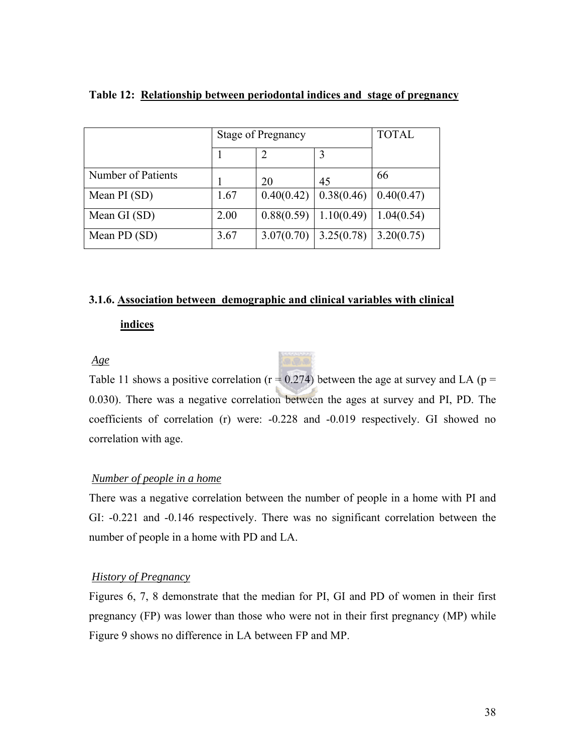|                    | <b>Stage of Pregnancy</b> | <b>TOTAL</b> |            |            |
|--------------------|---------------------------|--------------|------------|------------|
|                    |                           |              |            |            |
| Number of Patients |                           | 20           | 45         | 66         |
| Mean PI (SD)       | 1.67                      | 0.40(0.42)   | 0.38(0.46) | 0.40(0.47) |
| Mean GI (SD)       | 2.00                      | 0.88(0.59)   | 1.10(0.49) | 1.04(0.54) |
| Mean PD (SD)       | 3.67                      | 3.07(0.70)   | 3.25(0.78) | 3.20(0.75) |

#### **Table 12: Relationship between periodontal indices and stage of pregnancy**

## **3.1.6. Association between demographic and clinical variables with clinical**

#### **indices**

*Age*

Table 11 shows a positive correlation ( $r = 0.274$ ) between the age at survey and LA ( $p =$ 0.030). There was a negative correlation between the ages at survey and PI, PD. The coefficients of correlation (r) were: -0.228 and -0.019 respectively. GI showed no correlation with age.

#### *Number of people in a home*

There was a negative correlation between the number of people in a home with PI and GI: -0.221 and -0.146 respectively. There was no significant correlation between the number of people in a home with PD and LA.

## *History of Pregnancy*

Figures 6, 7, 8 demonstrate that the median for PI, GI and PD of women in their first pregnancy (FP) was lower than those who were not in their first pregnancy (MP) while Figure 9 shows no difference in LA between FP and MP.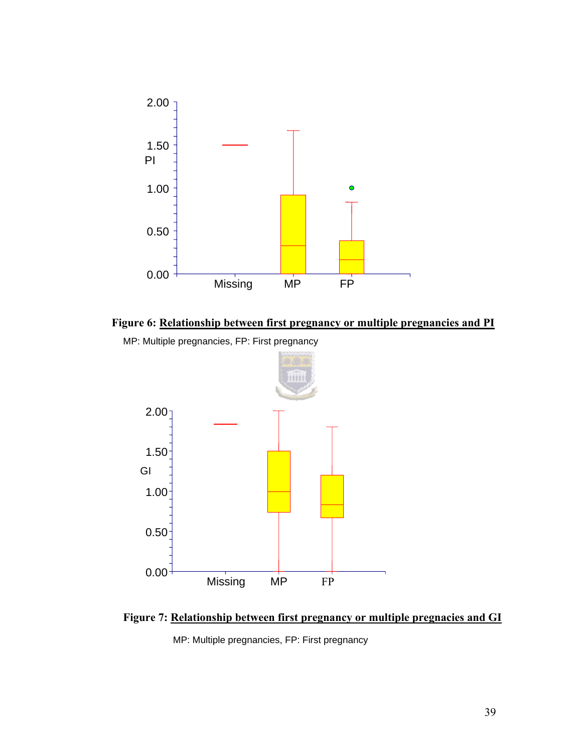



MP: Multiple pregnancies, FP: First pregnancy



**Figure 7: Relationship between first pregnancy or multiple pregnacies and GI**

MP: Multiple pregnancies, FP: First pregnancy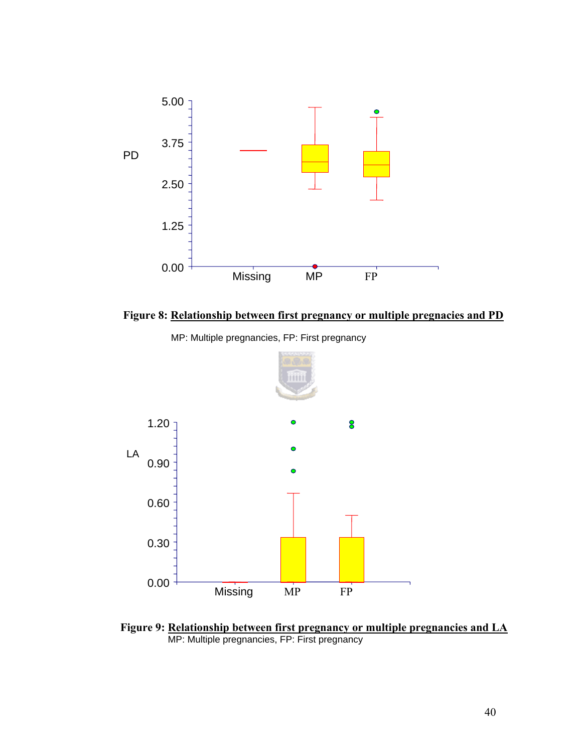

**Figure 8: Relationship between first pregnancy or multiple pregnacies and PD**



MP: Multiple pregnancies, FP: First pregnancy

**Figure 9: <u>Relationship between first pregnancy or multiple pregnancies and LA</u> MP: Multiple pregnancies, FP: First pregnancy**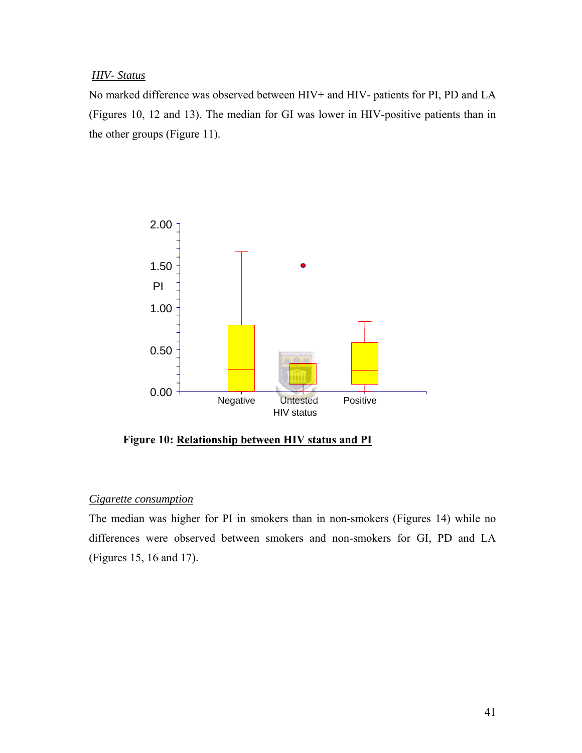#### *HIV- Status*

No marked difference was observed between HIV+ and HIV- patients for PI, PD and LA (Figures 10, 12 and 13). The median for GI was lower in HIV-positive patients than in the other groups (Figure 11).



**Figure 10: Relationship between HIV status and PI**

## *Cigarette consumption*

The median was higher for PI in smokers than in non-smokers (Figures 14) while no differences were observed between smokers and non-smokers for GI, PD and LA (Figures 15, 16 and 17).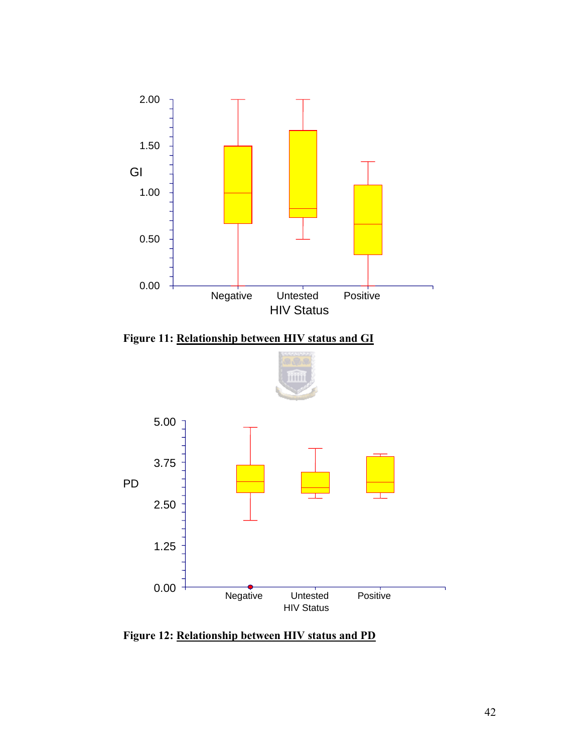

**Figure 11: Relationship between HIV status and GI**



**Figure 12: Relationship between HIV status and PD**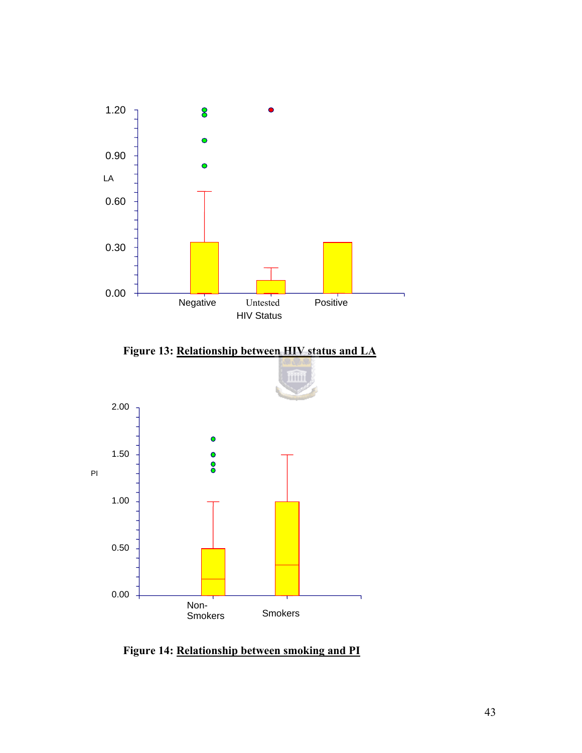

**Figure 13: Relationship between HIV status and LA**



**Figure 14: Relationship between smoking and PI**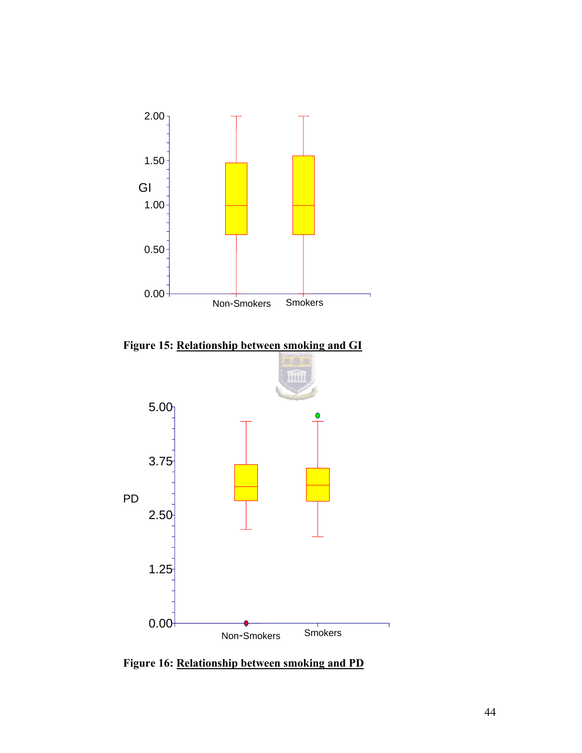

**Figure 15: Relationship between smoking and GI**



**Figure 16: Relationship between smoking and PD**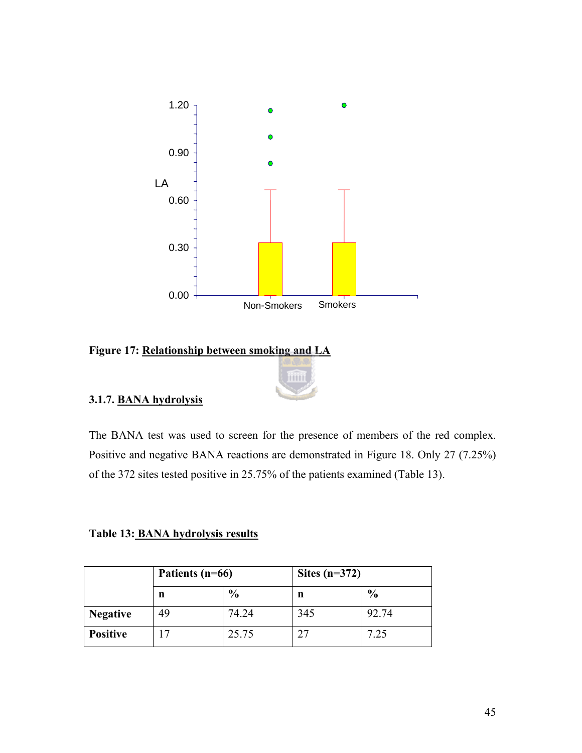

### **Figure 17: Relationship between smoking and LA**



## **3.1.7. BANA hydrolysis**

The BANA test was used to screen for the presence of members of the red complex. Positive and negative BANA reactions are demonstrated in Figure 18. Only 27 (7.25%) of the 372 sites tested positive in 25.75% of the patients examined (Table 13).

**Table 13: BANA hydrolysis results**

|                 | Patients (n=66) |               | Sites $(n=372)$ |               |  |
|-----------------|-----------------|---------------|-----------------|---------------|--|
|                 | n               | $\frac{0}{0}$ | n               | $\frac{0}{0}$ |  |
| <b>Negative</b> | 49              | 74.24         | 345             | 92.74         |  |
| <b>Positive</b> |                 | 25.75         |                 | 7.25          |  |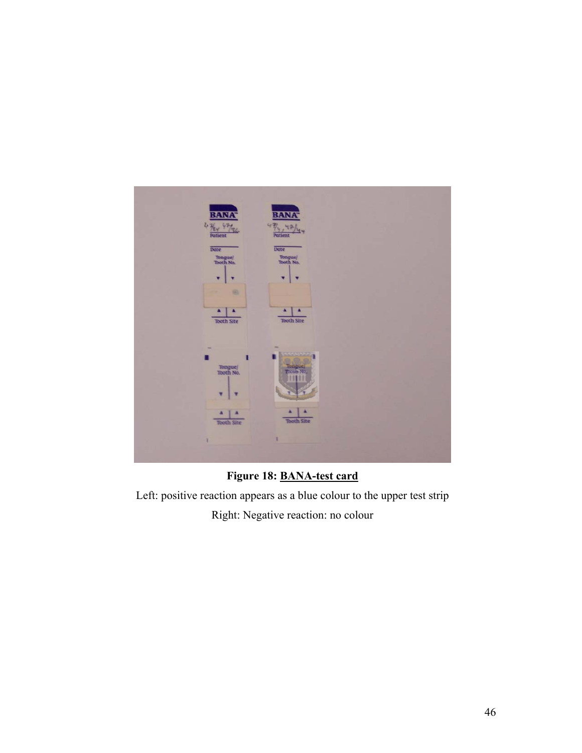

**Figure 18: BANA-test card**

Left: positive reaction appears as a blue colour to the upper test strip

Right: Negative reaction: no colour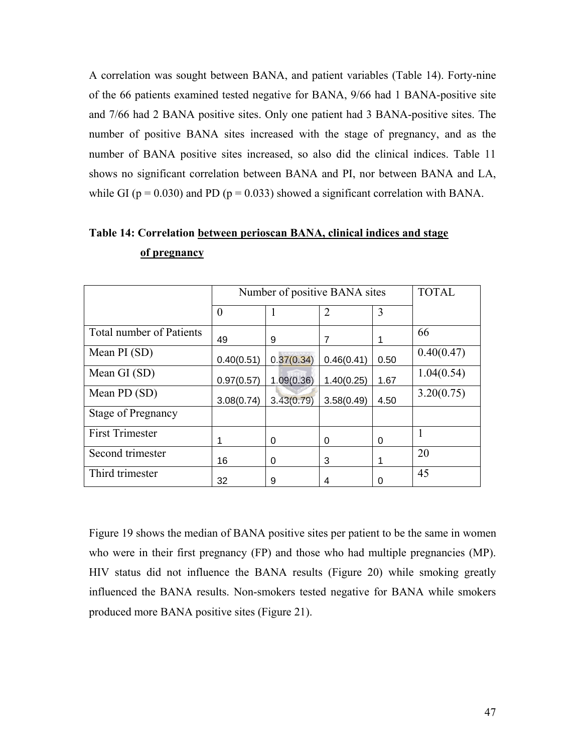A correlation was sought between BANA, and patient variables (Table 14). Forty-nine of the 66 patients examined tested negative for BANA, 9/66 had 1 BANA-positive site and 7/66 had 2 BANA positive sites. Only one patient had 3 BANA-positive sites. The number of positive BANA sites increased with the stage of pregnancy, and as the number of BANA positive sites increased, so also did the clinical indices. Table 11 shows no significant correlation between BANA and PI, nor between BANA and LA, while GI ( $p = 0.030$ ) and PD ( $p = 0.033$ ) showed a significant correlation with BANA.

|                                 | Number of positive BANA sites | <b>TOTAL</b> |            |      |            |
|---------------------------------|-------------------------------|--------------|------------|------|------------|
|                                 | $\overline{0}$                |              | 2          | 3    |            |
| <b>Total number of Patients</b> | 49                            | 9            | 7          |      | 66         |
| Mean PI (SD)                    | 0.40(0.51)                    | 0.37(0.34)   | 0.46(0.41) | 0.50 | 0.40(0.47) |
| Mean GI (SD)                    | 0.97(0.57)                    | 1.09(0.36)   | 1.40(0.25) | 1.67 | 1.04(0.54) |
| Mean PD (SD)                    | 3.08(0.74)                    | 3.43(0.79)   | 3.58(0.49) | 4.50 | 3.20(0.75) |
| <b>Stage of Pregnancy</b>       |                               |              |            |      |            |
| <b>First Trimester</b>          | 1                             | 0            | 0          | 0    |            |
| Second trimester                | 16                            | 0            | 3          |      | 20         |
| Third trimester                 | 32                            | 9            | 4          | 0    | 45         |

**Table 14: Correlation between perioscan BANA, clinical indices and stage of pregnancy**

Figure 19 shows the median of BANA positive sites per patient to be the same in women who were in their first pregnancy (FP) and those who had multiple pregnancies (MP). HIV status did not influence the BANA results (Figure 20) while smoking greatly influenced the BANA results. Non-smokers tested negative for BANA while smokers produced more BANA positive sites (Figure 21).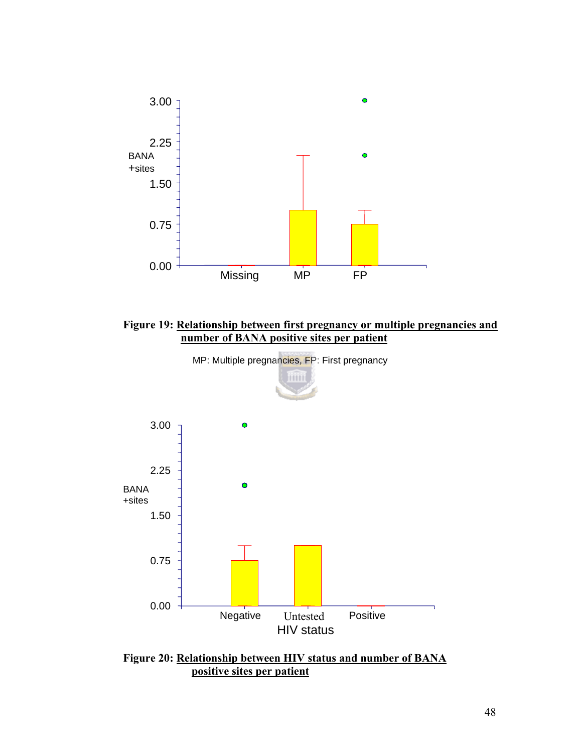







**Figure 20: Relationship between HIV status and number of BANA positive sites per patient**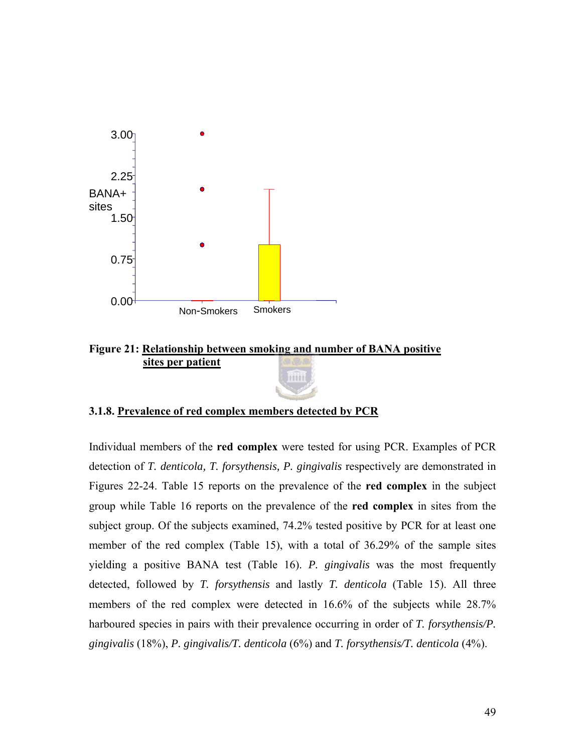

## **Figure 21: Relationship between smoking and number of BANA positive sites per patient**



## **3.1.8. Prevalence of red complex members detected by PCR**

Individual members of the **red complex** were tested for using PCR. Examples of PCR detection of *T. denticola, T. forsythensis, P. gingivalis* respectively are demonstrated in Figures 22-24. Table 15 reports on the prevalence of the **red complex** in the subject group while Table 16 reports on the prevalence of the **red complex** in sites from the subject group. Of the subjects examined, 74.2% tested positive by PCR for at least one member of the red complex (Table 15), with a total of 36.29% of the sample sites yielding a positive BANA test (Table 16). *P. gingivalis* was the most frequently detected, followed by *T. forsythensis* and lastly *T. denticola* (Table 15). All three members of the red complex were detected in 16.6% of the subjects while 28.7% harboured species in pairs with their prevalence occurring in order of *T. forsythensis/P. gingivalis* (18%), *P. gingivalis/T. denticola* (6%) and *T. forsythensis/T. denticola* (4%).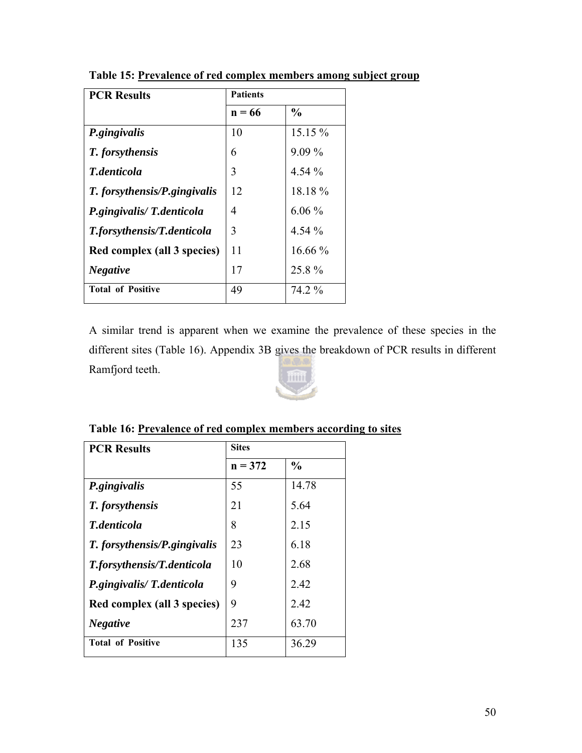| <b>PCR Results</b>           | <b>Patients</b> |               |
|------------------------------|-----------------|---------------|
|                              | $n = 66$        | $\frac{0}{0}$ |
| P.gingivalis                 | 10              | 15.15 %       |
| T. forsythensis              | 6               | $9.09\%$      |
| <b>T</b> .denticola          | 3               | $4.54\%$      |
| T. forsythensis/P.gingivalis | 12              | 18.18%        |
| P.gingivalis/T.denticola     | 4               | $6.06\%$      |
| T.forsythensis/T.denticola   | 3               | $4.54\%$      |
| Red complex (all 3 species)  | 11              | $16.66\%$     |
| <b>Negative</b>              | 17              | 25.8%         |
| <b>Total of Positive</b>     | 49              | 74.2 %        |

**Table 15: Prevalence of red complex members among subject group**

A similar trend is apparent when we examine the prevalence of these species in the different sites (Table 16). Appendix 3B gives the breakdown of PCR results in different Ramfjord teeth.



| <b>PCR Results</b>                | <b>Sites</b> |               |
|-----------------------------------|--------------|---------------|
|                                   | $n = 372$    | $\frac{0}{0}$ |
| <i>P.gingivalis</i>               | 55           | 14.78         |
| T. forsythensis                   | 21           | 5.64          |
| <b>T</b> .denticola               | 8            | 2.15          |
| T. forsythensis/P.gingivalis      | 23           | 6.18          |
| <b>T.forsythensis/T.denticola</b> | 10           | 2.68          |
| P.gingivalis/T.denticola          | 9            | 2.42          |
| Red complex (all 3 species)       | 9            | 2.42          |
| <b>Negative</b>                   | 237          | 63.70         |
| <b>Total of Positive</b>          | 135          | 36.29         |

## **Table 16: Prevalence of red complex members according to sites**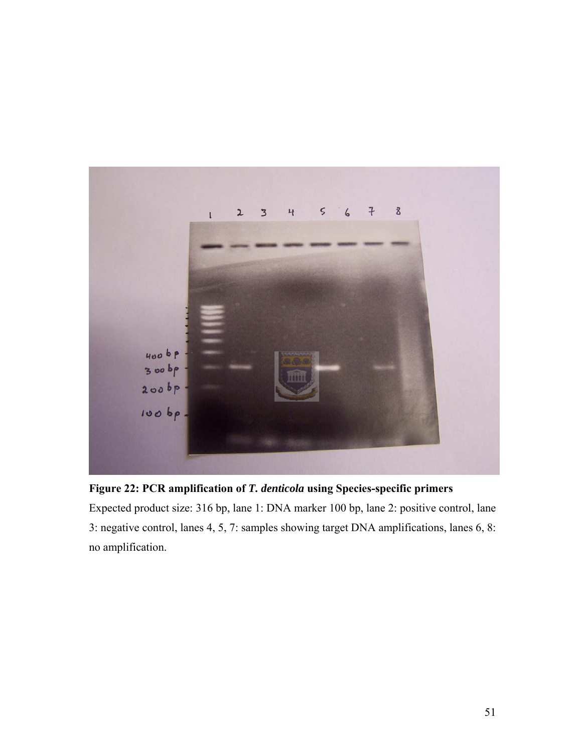

**Figure 22: PCR amplification of** *T. denticola* **using Species-specific primers** 

Expected product size: 316 bp, lane 1: DNA marker 100 bp, lane 2: positive control, lane 3: negative control, lanes 4, 5, 7: samples showing target DNA amplifications, lanes 6, 8: no amplification.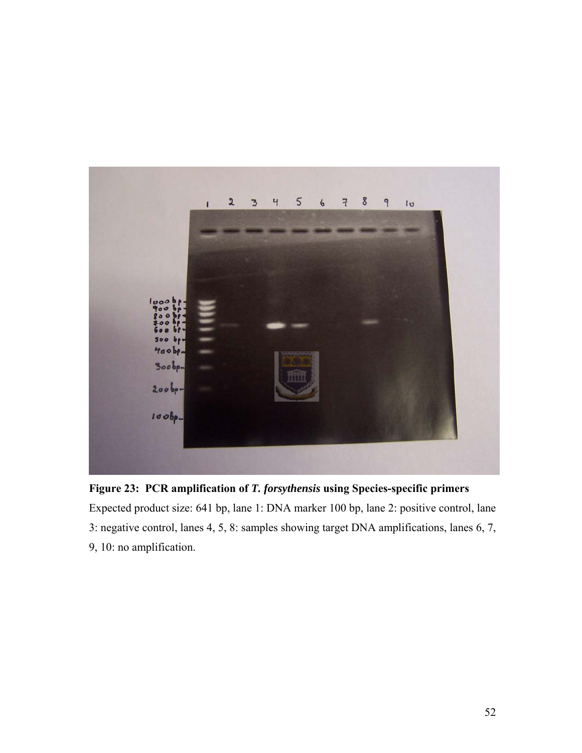

**Figure 23: PCR amplification of** *T. forsythensis* **using Species-specific primers**  Expected product size: 641 bp, lane 1: DNA marker 100 bp, lane 2: positive control, lane 3: negative control, lanes 4, 5, 8: samples showing target DNA amplifications, lanes 6, 7, 9, 10: no amplification.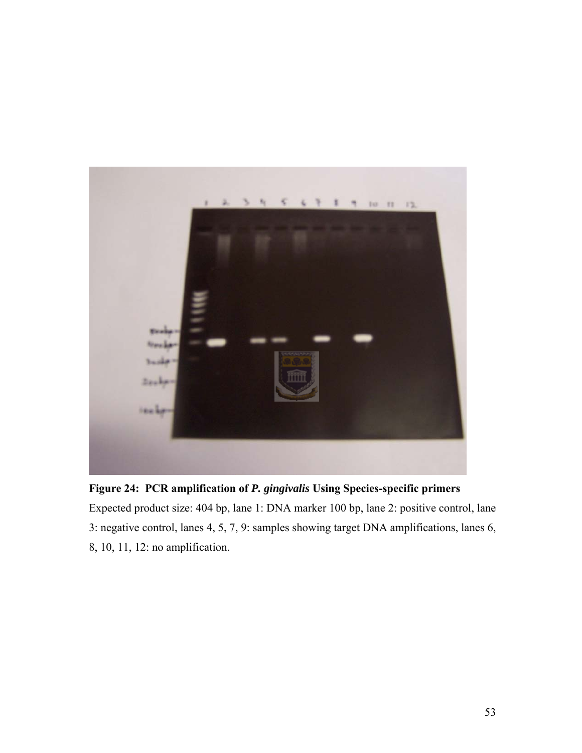

**Figure 24: PCR amplification of** *P. gingivalis* **Using Species-specific primers** 

Expected product size: 404 bp, lane 1: DNA marker 100 bp, lane 2: positive control, lane 3: negative control, lanes 4, 5, 7, 9: samples showing target DNA amplifications, lanes 6, 8, 10, 11, 12: no amplification.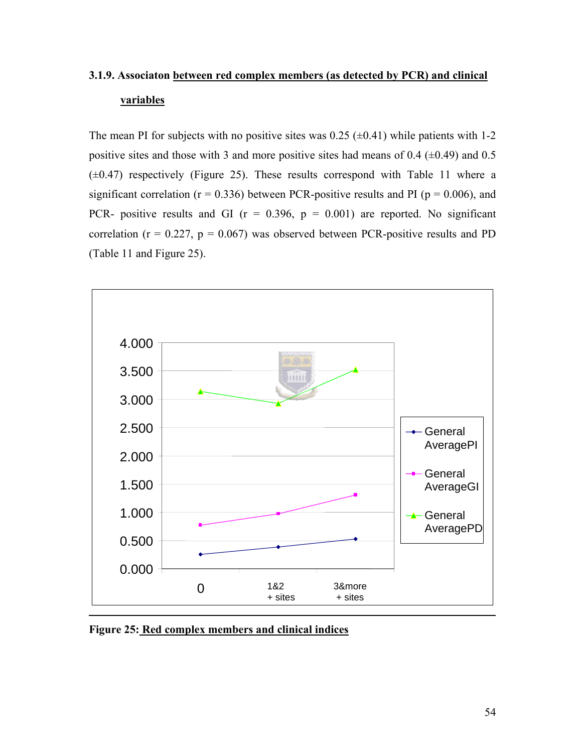# **3.1.9. Associaton between red complex members (as detected by PCR) and clinical variables**

The mean PI for subjects with no positive sites was  $0.25$  ( $\pm 0.41$ ) while patients with 1-2 positive sites and those with 3 and more positive sites had means of 0.4  $(\pm 0.49)$  and 0.5  $(\pm 0.47)$  respectively (Figure 25). These results correspond with Table 11 where a significant correlation ( $r = 0.336$ ) between PCR-positive results and PI ( $p = 0.006$ ), and PCR- positive results and GI ( $r = 0.396$ ,  $p = 0.001$ ) are reported. No significant correlation ( $r = 0.227$ ,  $p = 0.067$ ) was observed between PCR-positive results and PD (Table 11 and Figure 25).



**Figure 25: Red complex members and clinical indices**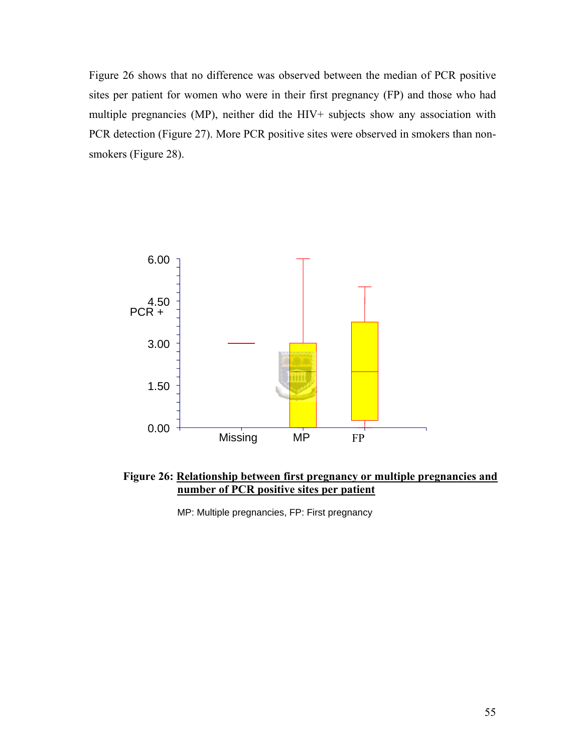Figure 26 shows that no difference was observed between the median of PCR positive sites per patient for women who were in their first pregnancy (FP) and those who had multiple pregnancies (MP), neither did the HIV+ subjects show any association with PCR detection (Figure 27). More PCR positive sites were observed in smokers than nonsmokers (Figure 28).



**Figure 26: Relationship between first pregnancy or multiple pregnancies and number of PCR positive sites per patient** 

MP: Multiple pregnancies, FP: First pregnancy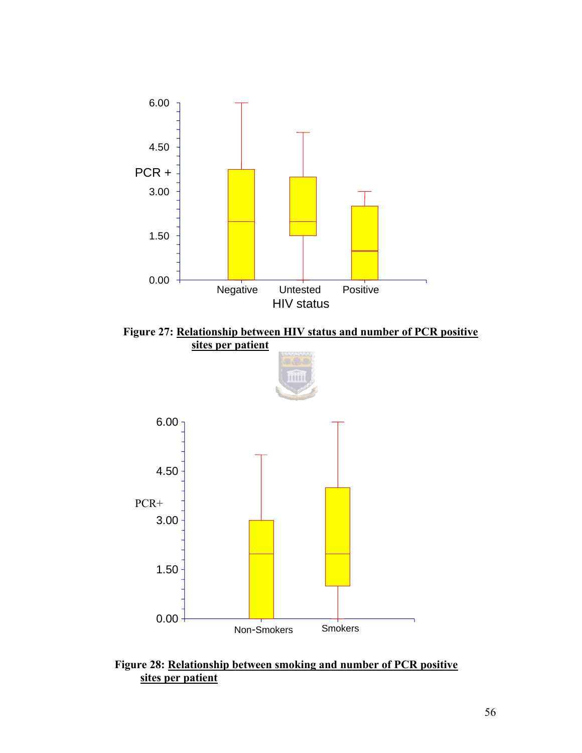



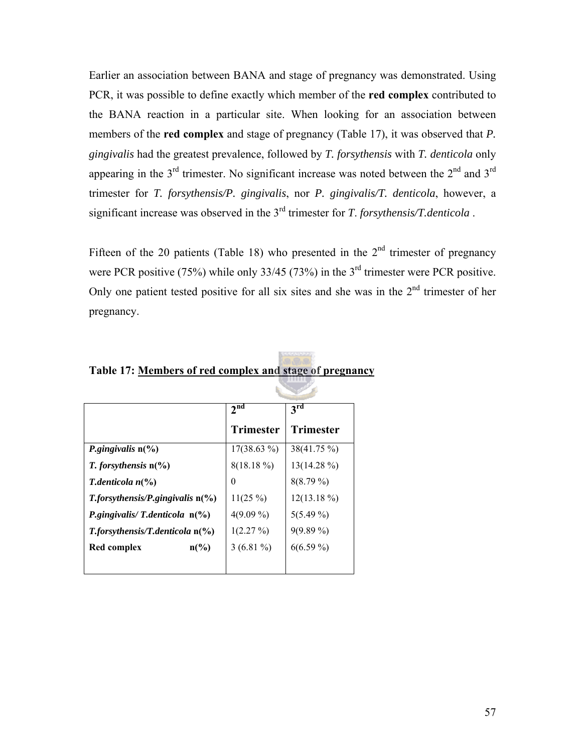Earlier an association between BANA and stage of pregnancy was demonstrated. Using PCR, it was possible to define exactly which member of the **red complex** contributed to the BANA reaction in a particular site. When looking for an association between members of the **red complex** and stage of pregnancy (Table 17), it was observed that *P. gingivalis* had the greatest prevalence, followed by *T. forsythensis* with *T. denticola* only appearing in the  $3<sup>rd</sup>$  trimester. No significant increase was noted between the  $2<sup>nd</sup>$  and  $3<sup>rd</sup>$ trimester for *T. forsythensis/P. gingivalis*, nor *P. gingivalis/T. denticola*, however, a significant increase was observed in the 3rd trimester for *T*. *forsythensis/T.denticola* .

Fifteen of the 20 patients (Table 18) who presented in the  $2<sup>nd</sup>$  trimester of pregnancy were PCR positive (75%) while only 33/45 (73%) in the 3<sup>rd</sup> trimester were PCR positive. Only one patient tested positive for all six sites and she was in the  $2<sup>nd</sup>$  trimester of her pregnancy.

|                                            | 2 <sup>nd</sup> | 3 <sup>rd</sup>  |
|--------------------------------------------|-----------------|------------------|
|                                            | Trimester       | <b>Trimester</b> |
| <i>P.gingivalis</i> $n\frac{6}{6}$         | $17(38.63\%)$   | 38(41.75 %)      |
| <i>T. forsythensis</i> $n\frac{6}{6}$      | 8(18.18%)       | $13(14.28\%)$    |
| <i>T.denticola</i> $n\binom{0}{0}$         | 0               | $8(8.79\%)$      |
| $T$ , for sythensis/P, gingival is $n(\%)$ | $11(25\%)$      | $12(13.18\%)$    |
| P.gingivalis/T.denticola $n$ (%)           | $4(9.09\%)$     | $5(5.49\%)$      |
| $T$ . for sythensis/T. denticola $n$ (%)   | $1(2.27\%)$     | $9(9.89\%)$      |
| $n\binom{0}{0}$<br>Red complex             | $3(6.81\%)$     | $6(6.59\%)$      |
|                                            |                 |                  |

**Table 17: Members of red complex and stage of pregnancy**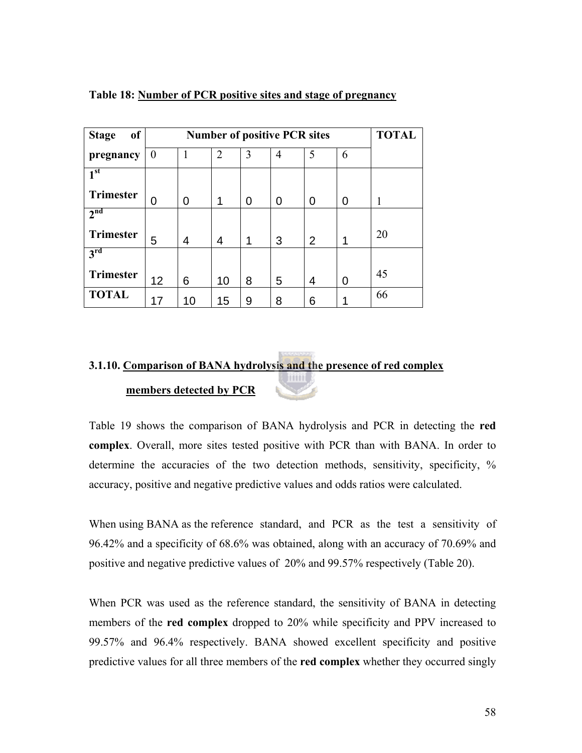| of<br><b>Stage</b> |          | <b>TOTAL</b> |    |   |   |   |   |    |
|--------------------|----------|--------------|----|---|---|---|---|----|
| pregnancy          | $\theta$ |              | 2  | 3 | 4 | 5 | 6 |    |
| 1 <sup>st</sup>    |          |              |    |   |   |   |   |    |
| <b>Trimester</b>   | 0        | 0            | 1  | 0 | 0 | 0 | 0 |    |
| 2 <sup>nd</sup>    |          |              |    |   |   |   |   |    |
| <b>Trimester</b>   | 5        | 4            | 4  | 1 | 3 | 2 | 1 | 20 |
| $3^{\rm rd}$       |          |              |    |   |   |   |   |    |
| <b>Trimester</b>   | 12       | 6            | 10 | 8 | 5 | 4 | 0 | 45 |
| <b>TOTAL</b>       | 17       | 10           | 15 | 9 | 8 | 6 |   | 66 |

#### **Table 18: Number of PCR positive sites and stage of pregnancy**

#### **3.1.10. Comparison of BANA hydrolysis and the presence of red complex Titlit members detected by PCR**

Table 19 shows the comparison of BANA hydrolysis and PCR in detecting the **red complex**. Overall, more sites tested positive with PCR than with BANA. In order to determine the accuracies of the two detection methods, sensitivity, specificity, % accuracy, positive and negative predictive values and odds ratios were calculated.

When using BANA as the reference standard, and PCR as the test a sensitivity of 96.42% and a specificity of 68.6% was obtained, along with an accuracy of 70.69% and positive and negative predictive values of 20% and 99.57% respectively (Table 20).

When PCR was used as the reference standard, the sensitivity of BANA in detecting members of the **red complex** dropped to 20% while specificity and PPV increased to 99.57% and 96.4% respectively. BANA showed excellent specificity and positive predictive values for all three members of the **red complex** whether they occurred singly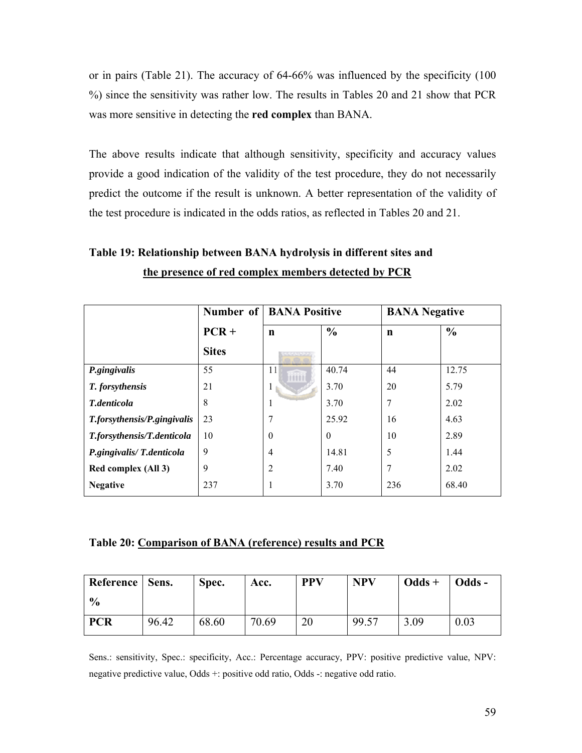or in pairs (Table 21). The accuracy of 64-66% was influenced by the specificity (100 %) since the sensitivity was rather low. The results in Tables 20 and 21 show that PCR was more sensitive in detecting the **red complex** than BANA.

The above results indicate that although sensitivity, specificity and accuracy values provide a good indication of the validity of the test procedure, they do not necessarily predict the outcome if the result is unknown. A better representation of the validity of the test procedure is indicated in the odds ratios, as reflected in Tables 20 and 21.

# **Table 19: Relationship between BANA hydrolysis in different sites and the presence of red complex members detected by PCR**

|                             |              | <b>Number of   BANA Positive</b> |               | <b>BANA</b> Negative |               |
|-----------------------------|--------------|----------------------------------|---------------|----------------------|---------------|
|                             | $PCR +$      | $\mathbf n$                      | $\frac{0}{0}$ | $\mathbf n$          | $\frac{0}{0}$ |
|                             | <b>Sites</b> | -------                          |               |                      |               |
| P.gingivalis                | 55           | 11                               | 40.74         | 44                   | 12.75         |
| T. forsythensis             | 21           | Ι.                               | 3.70          | 20                   | 5.79          |
| T.denticola                 | 8            |                                  | 3.70          | 7                    | 2.02          |
| T.forsythensis/P.gingivalis | 23           | 7                                | 25.92         | 16                   | 4.63          |
| T.forsythensis/T.denticola  | 10           | $\theta$                         | $\theta$      | 10                   | 2.89          |
| P.gingivalis/T.denticola    | 9            | $\overline{4}$                   | 14.81         | 5                    | 1.44          |
| Red complex (All 3)         | 9            | $\overline{c}$                   | 7.40          | 7                    | 2.02          |
| <b>Negative</b>             | 237          |                                  | 3.70          | 236                  | 68.40         |

#### **Table 20: Comparison of BANA (reference) results and PCR**

| Reference   Sens. |       | Spec. | Acc.  | <b>PPV</b> | <b>NPV</b> | $Odds +$ | $\sim$ Odds - |
|-------------------|-------|-------|-------|------------|------------|----------|---------------|
| $\frac{0}{0}$     |       |       |       |            |            |          |               |
| <b>PCR</b>        | 96.42 | 68.60 | 70.69 | 20         | 99.57      | 3.09     | 0.03          |

Sens.: sensitivity, Spec.: specificity, Acc.: Percentage accuracy, PPV: positive predictive value, NPV: negative predictive value, Odds +: positive odd ratio, Odds -: negative odd ratio.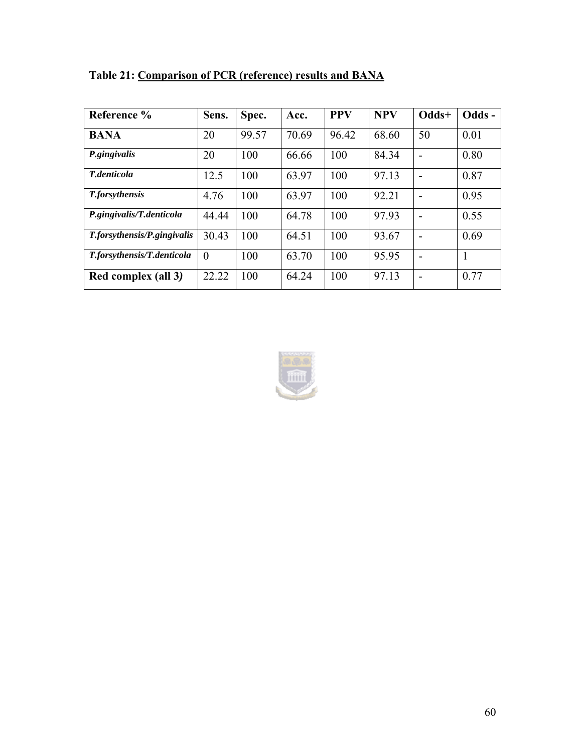| Reference %                 | Sens.    | Spec. | Acc.  | <b>PPV</b> | <b>NPV</b> | Odds+          | Odds- |
|-----------------------------|----------|-------|-------|------------|------------|----------------|-------|
| <b>BANA</b>                 | 20       | 99.57 | 70.69 | 96.42      | 68.60      | 50             | 0.01  |
| P.gingivalis                | 20       | 100   | 66.66 | 100        | 84.34      | $\overline{a}$ | 0.80  |
| T.denticola                 | 12.5     | 100   | 63.97 | 100        | 97.13      | $\blacksquare$ | 0.87  |
| <b>T</b> .forsythensis      | 4.76     | 100   | 63.97 | 100        | 92.21      | $\blacksquare$ | 0.95  |
| P.gingivalis/T.denticola    | 44.44    | 100   | 64.78 | 100        | 97.93      | $\blacksquare$ | 0.55  |
| T.forsythensis/P.gingivalis | 30.43    | 100   | 64.51 | 100        | 93.67      | $\blacksquare$ | 0.69  |
| T.forsythensis/T.denticola  | $\theta$ | 100   | 63.70 | 100        | 95.95      |                | 1     |
| Red complex (all 3)         | 22.22    | 100   | 64.24 | 100        | 97.13      | -              | 0.77  |

**Table 21: Comparison of PCR (reference) results and BANA** 

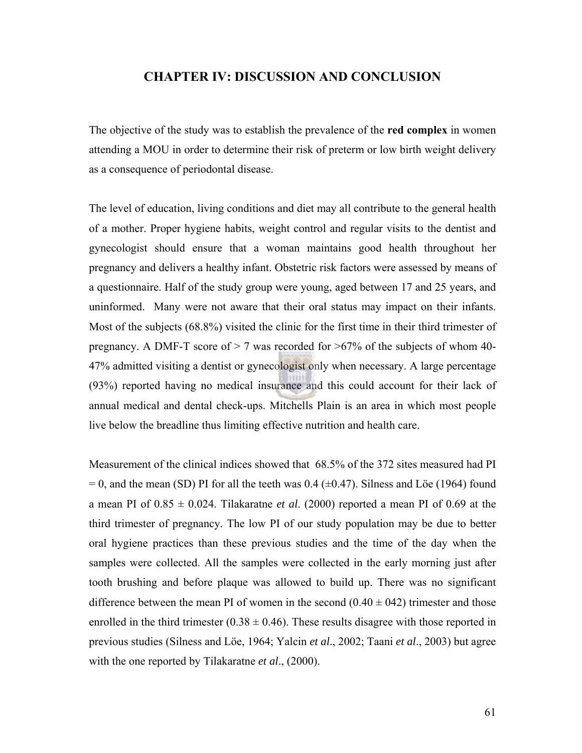### **CHAPTER IV: DISCUSSION AND CONCLUSION**

The objective of the study was to establish the prevalence of the **red complex** in women attending a MOU in order to determine their risk of preterm or low birth weight delivery as a consequence of periodontal disease.

The level of education, living conditions and diet may all contribute to the general health of a mother. Proper hygiene habits, weight control and regular visits to the dentist and gynecologist should ensure that a woman maintains good health throughout her pregnancy and delivers a healthy infant. Obstetric risk factors were assessed by means of a questionnaire. Half of the study group were young, aged between 17 and 25 years, and uninformed. Many were not aware that their oral status may impact on their infants. Most of the subjects (68.8%) visited the clinic for the first time in their third trimester of pregnancy. A DMF-T score of  $> 7$  was recorded for  $> 67\%$  of the subjects of whom 40-47% admitted visiting a dentist or gynecologist only when necessary. A large percentage (93%) reported having no medical insurance and this could account for their lack of annual medical and dental check-ups. Mitchells Plain is an area in which most people live below the breadline thus limiting effective nutrition and health care.

Measurement of the clinical indices showed that 68.5% of the 372 sites measured had PI  $= 0$ , and the mean (SD) PI for all the teeth was 0.4 ( $\pm$ 0.47). Silness and Löe (1964) found a mean PI of  $0.85 \pm 0.024$ . Tilakaratne *et al.* (2000) reported a mean PI of 0.69 at the third trimester of pregnancy. The low PI of our study population may be due to better oral hygiene practices than these previous studies and the time of the day when the samples were collected. All the samples were collected in the early morning just after tooth brushing and before plaque was allowed to build up. There was no significant difference between the mean PI of women in the second  $(0.40 \pm 0.42)$  trimester and those enrolled in the third trimester ( $0.38 \pm 0.46$ ). These results disagree with those reported in previous studies (Silness and Löe, 1964; Yalcin *et al*., 2002; Taani *et al*., 2003) but agree with the one reported by Tilakaratne *et al*., (2000).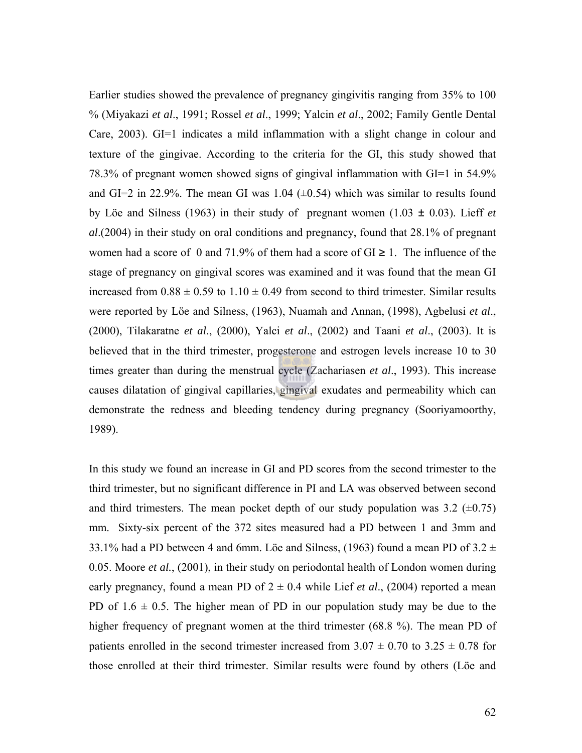Earlier studies showed the prevalence of pregnancy gingivitis ranging from 35% to 100 % (Miyakazi *et al*., 1991; Rossel *et al*., 1999; Yalcin *et al*., 2002; Family Gentle Dental Care, 2003). GI=1 indicates a mild inflammation with a slight change in colour and texture of the gingivae. According to the criteria for the GI, this study showed that 78.3% of pregnant women showed signs of gingival inflammation with GI=1 in 54.9% and GI=2 in 22.9%. The mean GI was 1.04  $(\pm 0.54)$  which was similar to results found by Löe and Silness (1963) in their study of pregnant women (1.03 ± 0.03). Lieff *et al*.(2004) in their study on oral conditions and pregnancy, found that 28.1% of pregnant women had a score of 0 and 71.9% of them had a score of  $GI \ge 1$ . The influence of the stage of pregnancy on gingival scores was examined and it was found that the mean GI increased from  $0.88 \pm 0.59$  to  $1.10 \pm 0.49$  from second to third trimester. Similar results were reported by Löe and Silness, (1963), Nuamah and Annan, (1998), Agbelusi *et al*., (2000), Tilakaratne *et al*., (2000), Yalci *et al*., (2002) and Taani *et al*., (2003). It is believed that in the third trimester, progesterone and estrogen levels increase 10 to 30 times greater than during the menstrual cycle (Zachariasen *et al*., 1993). This increase causes dilatation of gingival capillaries, gingival exudates and permeability which can demonstrate the redness and bleeding tendency during pregnancy (Sooriyamoorthy, 1989).

In this study we found an increase in GI and PD scores from the second trimester to the third trimester, but no significant difference in PI and LA was observed between second and third trimesters. The mean pocket depth of our study population was  $3.2$  ( $\pm 0.75$ ) mm. Sixty-six percent of the 372 sites measured had a PD between 1 and 3mm and 33.1% had a PD between 4 and 6mm. Löe and Silness, (1963) found a mean PD of  $3.2 \pm$ 0.05. Moore *et al.*, (2001), in their study on periodontal health of London women during early pregnancy, found a mean PD of  $2 \pm 0.4$  while Lief *et al.*, (2004) reported a mean PD of  $1.6 \pm 0.5$ . The higher mean of PD in our population study may be due to the higher frequency of pregnant women at the third trimester (68.8 %). The mean PD of patients enrolled in the second trimester increased from  $3.07 \pm 0.70$  to  $3.25 \pm 0.78$  for those enrolled at their third trimester. Similar results were found by others (Löe and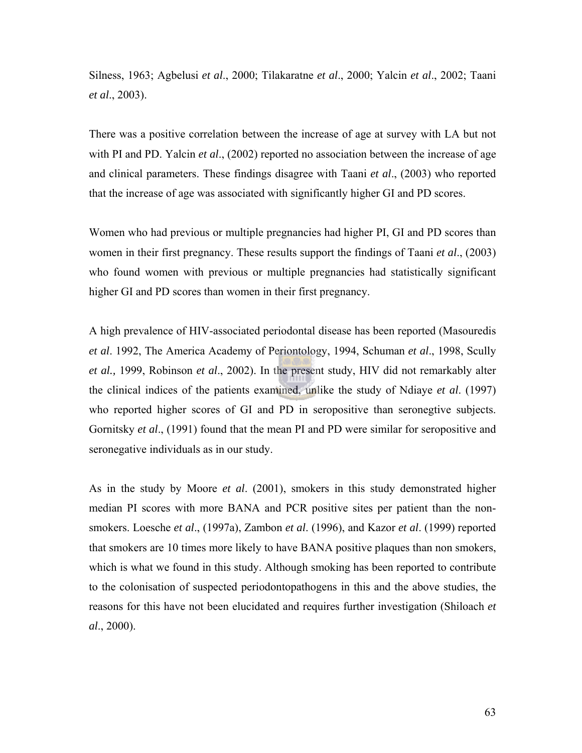Silness, 1963; Agbelusi *et al*., 2000; Tilakaratne *et al*., 2000; Yalcin *et al*., 2002; Taani *et al*., 2003).

There was a positive correlation between the increase of age at survey with LA but not with PI and PD. Yalcin *et al.*, (2002) reported no association between the increase of age and clinical parameters. These findings disagree with Taani *et al*., (2003) who reported that the increase of age was associated with significantly higher GI and PD scores.

Women who had previous or multiple pregnancies had higher PI, GI and PD scores than women in their first pregnancy. These results support the findings of Taani *et al*., (2003) who found women with previous or multiple pregnancies had statistically significant higher GI and PD scores than women in their first pregnancy.

A high prevalence of HIV-associated periodontal disease has been reported (Masouredis *et al*. 1992, The America Academy of Periontology, 1994, Schuman *et al*., 1998, Scully *et al.,* 1999, Robinson *et al*., 2002). In the present study, HIV did not remarkably alter the clinical indices of the patients examined, unlike the study of Ndiaye *et al*. (1997) who reported higher scores of GI and PD in seropositive than seronegtive subjects. Gornitsky *et al*., (1991) found that the mean PI and PD were similar for seropositive and seronegative individuals as in our study.

As in the study by Moore *et al*. (2001), smokers in this study demonstrated higher median PI scores with more BANA and PCR positive sites per patient than the nonsmokers. Loesche *et al*., (1997a), Zambon *et al*. (1996), and Kazor *et al*. (1999) reported that smokers are 10 times more likely to have BANA positive plaques than non smokers, which is what we found in this study. Although smoking has been reported to contribute to the colonisation of suspected periodontopathogens in this and the above studies, the reasons for this have not been elucidated and requires further investigation (Shiloach *et al*., 2000).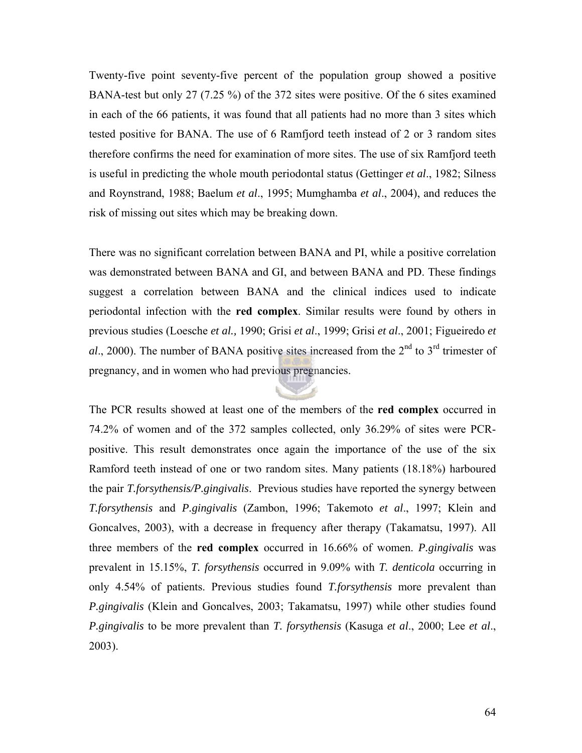Twenty-five point seventy-five percent of the population group showed a positive BANA-test but only 27 (7.25 %) of the 372 sites were positive. Of the 6 sites examined in each of the 66 patients, it was found that all patients had no more than 3 sites which tested positive for BANA. The use of 6 Ramfjord teeth instead of 2 or 3 random sites therefore confirms the need for examination of more sites. The use of six Ramfjord teeth is useful in predicting the whole mouth periodontal status (Gettinger *et al*., 1982; Silness and Roynstrand, 1988; Baelum *et al*., 1995; Mumghamba *et al*., 2004), and reduces the risk of missing out sites which may be breaking down.

There was no significant correlation between BANA and PI, while a positive correlation was demonstrated between BANA and GI, and between BANA and PD. These findings suggest a correlation between BANA and the clinical indices used to indicate periodontal infection with the **red complex**. Similar results were found by others in previous studies (Loesche *et al.,* 1990; Grisi *et al*., 1999; Grisi *et al*., 2001; Figueiredo *et*   $al$ , 2000). The number of BANA positive sites increased from the  $2<sup>nd</sup>$  to  $3<sup>rd</sup>$  trimester of pregnancy, and in women who had previous pregnancies.

The PCR results showed at least one of the members of the **red complex** occurred in 74.2% of women and of the 372 samples collected, only 36.29% of sites were PCRpositive. This result demonstrates once again the importance of the use of the six Ramford teeth instead of one or two random sites. Many patients (18.18%) harboured the pair *T.forsythensis/P.gingivalis*. Previous studies have reported the synergy between *T.forsythensis* and *P.gingivalis* (Zambon, 1996; Takemoto *et al*., 1997; Klein and Goncalves, 2003), with a decrease in frequency after therapy (Takamatsu, 1997). All three members of the **red complex** occurred in 16.66% of women. *P.gingivalis* was prevalent in 15.15%, *T. forsythensis* occurred in 9.09% with *T. denticola* occurring in only 4.54% of patients. Previous studies found *T.forsythensis* more prevalent than *P.gingivalis* (Klein and Goncalves, 2003; Takamatsu, 1997) while other studies found *P.gingivalis* to be more prevalent than *T. forsythensis* (Kasuga *et al*., 2000; Lee *et al*., 2003).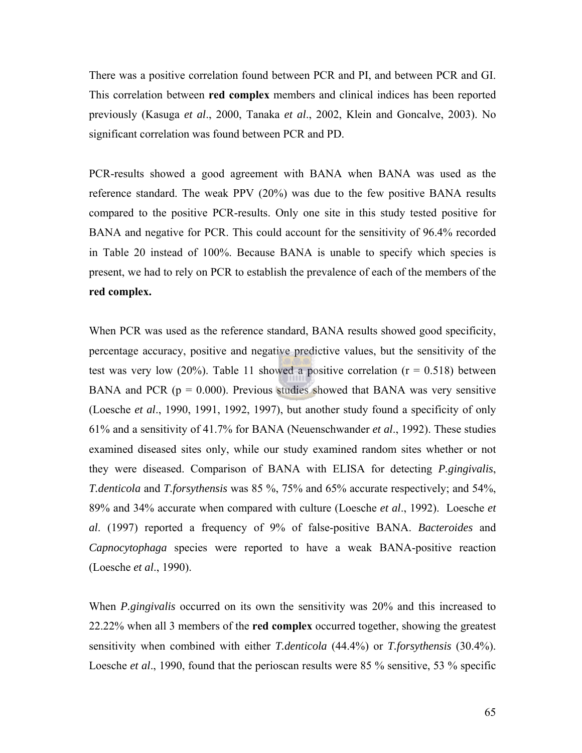There was a positive correlation found between PCR and PI, and between PCR and GI. This correlation between **red complex** members and clinical indices has been reported previously (Kasuga *et al*., 2000, Tanaka *et al*., 2002, Klein and Goncalve, 2003). No significant correlation was found between PCR and PD.

PCR-results showed a good agreement with BANA when BANA was used as the reference standard. The weak PPV (20%) was due to the few positive BANA results compared to the positive PCR-results. Only one site in this study tested positive for BANA and negative for PCR. This could account for the sensitivity of 96.4% recorded in Table 20 instead of 100%. Because BANA is unable to specify which species is present, we had to rely on PCR to establish the prevalence of each of the members of the **red complex.**

When PCR was used as the reference standard, BANA results showed good specificity, percentage accuracy, positive and negative predictive values, but the sensitivity of the test was very low (20%). Table 11 showed a positive correlation  $(r = 0.518)$  between BANA and PCR  $(p = 0.000)$ . Previous studies showed that BANA was very sensitive (Loesche *et al*., 1990, 1991, 1992, 1997), but another study found a specificity of only 61% and a sensitivity of 41.7% for BANA (Neuenschwander *et al*., 1992). These studies examined diseased sites only, while our study examined random sites whether or not they were diseased. Comparison of BANA with ELISA for detecting *P.gingivalis*, *T.denticola* and *T.forsythensis* was 85 %, 75% and 65% accurate respectively; and 54%, 89% and 34% accurate when compared with culture (Loesche *et al*., 1992). Loesche *et al*. (1997) reported a frequency of 9% of false-positive BANA. *Bacteroides* and *Capnocytophaga* species were reported to have a weak BANA-positive reaction (Loesche *et al*., 1990).

When *P.gingivalis* occurred on its own the sensitivity was 20% and this increased to 22.22% when all 3 members of the **red complex** occurred together, showing the greatest sensitivity when combined with either *T.denticola* (44.4%) or *T.forsythensis* (30.4%). Loesche *et al*., 1990, found that the perioscan results were 85 % sensitive, 53 % specific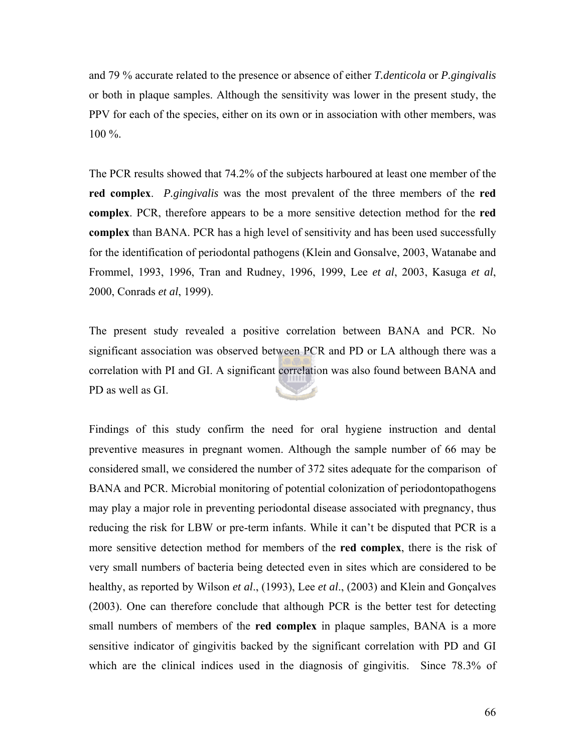and 79 % accurate related to the presence or absence of either *T.denticola* or *P.gingivalis* or both in plaque samples. Although the sensitivity was lower in the present study, the PPV for each of the species, either on its own or in association with other members, was 100 %.

The PCR results showed that 74.2% of the subjects harboured at least one member of the **red complex**. *P.gingivalis* was the most prevalent of the three members of the **red complex**. PCR, therefore appears to be a more sensitive detection method for the **red complex** than BANA. PCR has a high level of sensitivity and has been used successfully for the identification of periodontal pathogens (Klein and Gonsalve, 2003, Watanabe and Frommel, 1993, 1996, Tran and Rudney, 1996, 1999, Lee *et al*, 2003, Kasuga *et al*, 2000, Conrads *et al*, 1999).

The present study revealed a positive correlation between BANA and PCR. No significant association was observed between PCR and PD or LA although there was a correlation with PI and GI. A significant correlation was also found between BANA and PD as well as GI.

Findings of this study confirm the need for oral hygiene instruction and dental preventive measures in pregnant women. Although the sample number of 66 may be considered small, we considered the number of 372 sites adequate for the comparison of BANA and PCR. Microbial monitoring of potential colonization of periodontopathogens may play a major role in preventing periodontal disease associated with pregnancy, thus reducing the risk for LBW or pre-term infants. While it can't be disputed that PCR is a more sensitive detection method for members of the **red complex**, there is the risk of very small numbers of bacteria being detected even in sites which are considered to be healthy, as reported by Wilson *et al*., (1993), Lee *et al*., (2003) and Klein and Gonçalves (2003). One can therefore conclude that although PCR is the better test for detecting small numbers of members of the **red complex** in plaque samples, BANA is a more sensitive indicator of gingivitis backed by the significant correlation with PD and GI which are the clinical indices used in the diagnosis of gingivitis. Since 78.3% of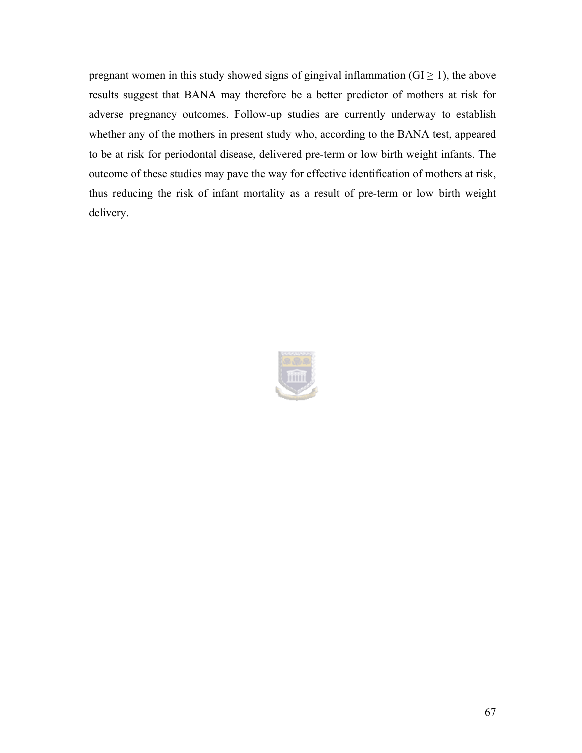pregnant women in this study showed signs of gingival inflammation ( $GI \ge 1$ ), the above results suggest that BANA may therefore be a better predictor of mothers at risk for adverse pregnancy outcomes. Follow-up studies are currently underway to establish whether any of the mothers in present study who, according to the BANA test, appeared to be at risk for periodontal disease, delivered pre-term or low birth weight infants. The outcome of these studies may pave the way for effective identification of mothers at risk, thus reducing the risk of infant mortality as a result of pre-term or low birth weight delivery.

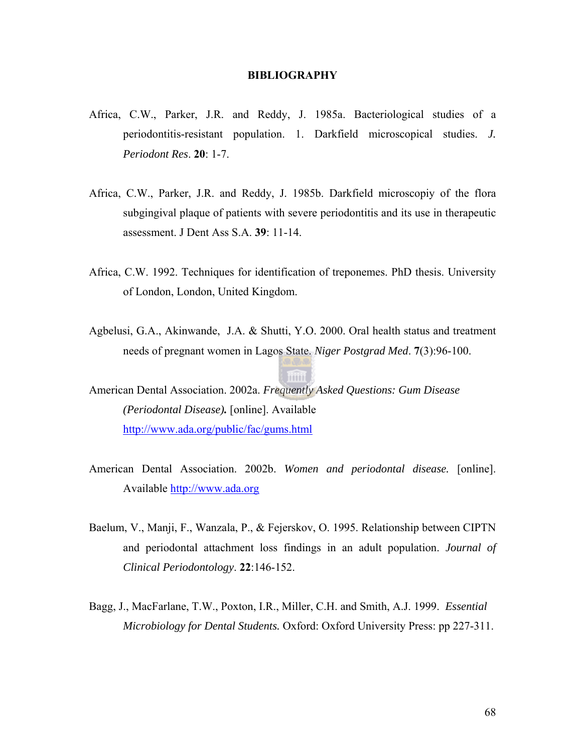#### **BIBLIOGRAPHY**

- Africa, C.W., Parker, J.R. and Reddy, J. 1985a. Bacteriological studies of a periodontitis-resistant population. 1. Darkfield microscopical studies. *J. Periodont Res*. **20**: 1-7.
- Africa, C.W., Parker, J.R. and Reddy, J. 1985b. Darkfield microscopiy of the flora subgingival plaque of patients with severe periodontitis and its use in therapeutic assessment. J Dent Ass S.A. **39**: 11-14.
- Africa, C.W. 1992. Techniques for identification of treponemes. PhD thesis. University of London, London, United Kingdom.
- Agbelusi, G.A., Akinwande, J.A. & Shutti, Y.O. 2000. Oral health status and treatment needs of pregnant women in Lagos State. *Niger Postgrad Med*. **7**(3):96-100.

American Dental Association. 2002a. *Frequently Asked Questions: Gum Disease (Periodontal Disease).* [online]. Available <http://www.ada.org/public/fac/gums.html>

- American Dental Association. 2002b. *Women and periodontal disease.* [online]. Available [http://www.ada.org](http://www.ada.org/)
- Baelum, V., Manji, F., Wanzala, P., & Fejerskov, O. 1995. Relationship between CIPTN and periodontal attachment loss findings in an adult population. *Journal of Clinical Periodontology*. **22**:146-152.
- Bagg, J., MacFarlane, T.W., Poxton, I.R., Miller, C.H. and Smith, A.J. 1999. *Essential Microbiology for Dental Students.* Oxford: Oxford University Press: pp 227-311.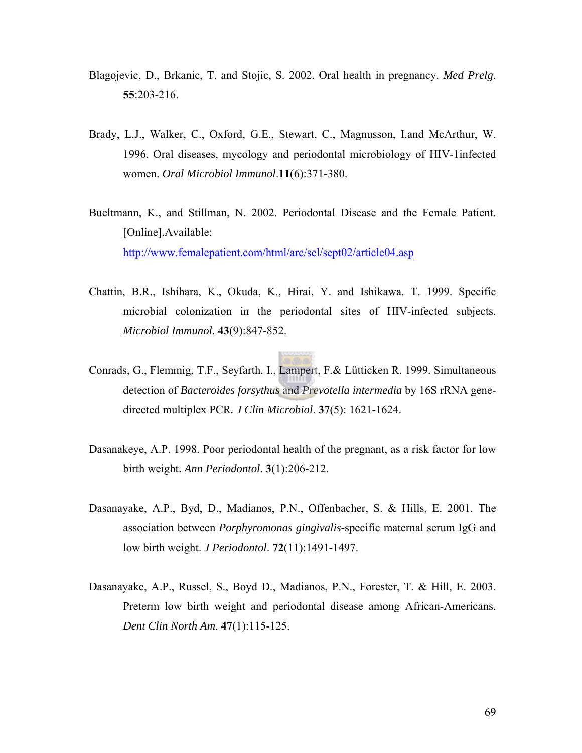- Blagojevic, D., Brkanic, T. and Stojic, S. 2002. Oral health in pregnancy. *Med Prelg*. **55**:203-216.
- Brady, L.J., Walker, C., Oxford, G.E., Stewart, C., Magnusson, I.and McArthur, W. 1996. Oral diseases, mycology and periodontal microbiology of HIV-1infected women. *Oral Microbiol Immunol*.**11**(6):371-380.
- Bueltmann, K., and Stillman, N. 2002. Periodontal Disease and the Female Patient. [Online].Available: <http://www.femalepatient.com/html/arc/sel/sept02/article04.asp>
- Chattin, B.R., Ishihara, K., Okuda, K., Hirai, Y. and Ishikawa. T. 1999. Specific microbial colonization in the periodontal sites of HIV-infected subjects. *Microbiol Immunol*. **43**(9):847-852.
- Conrads, G., Flemmig, T.F., Seyfarth. I., Lampert, F.& Lütticken R. 1999. Simultaneous detection of *Bacteroides forsythus* and *Prevotella intermedia* by 16S rRNA genedirected multiplex PCR*. J Clin Microbiol*. **37**(5): 1621-1624.
- Dasanakeye, A.P. 1998. Poor periodontal health of the pregnant, as a risk factor for low birth weight. *Ann Periodontol*. **3**(1):206-212.
- Dasanayake, A.P., Byd, D., Madianos, P.N., Offenbacher, S. & Hills, E. 2001. The association between *Porphyromonas gingivalis*-specific maternal serum IgG and low birth weight. *J Periodontol*. **72**(11):1491-1497.
- Dasanayake, A.P., Russel, S., Boyd D., Madianos, P.N., Forester, T. & Hill, E. 2003. Preterm low birth weight and periodontal disease among African-Americans. *Dent Clin North Am*. **47**(1):115-125.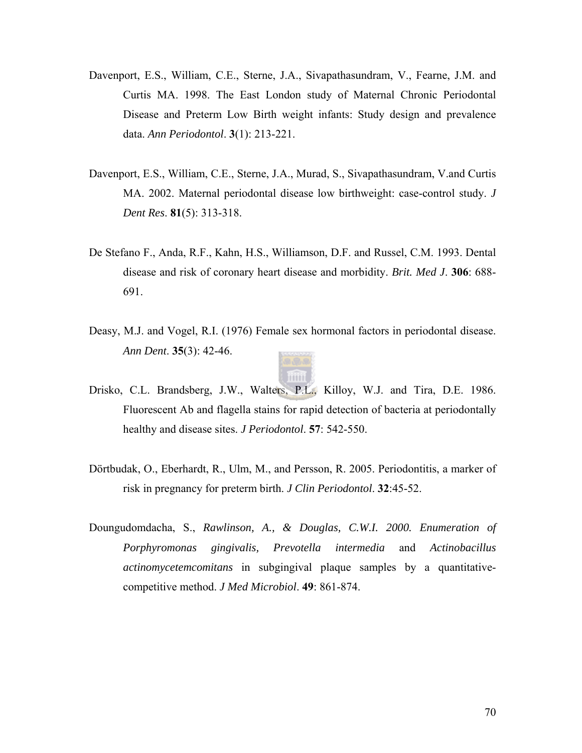- Davenport, E.S., William, C.E., Sterne, J.A., Sivapathasundram, V., Fearne, J.M. and Curtis MA. 1998. The East London study of Maternal Chronic Periodontal Disease and Preterm Low Birth weight infants: Study design and prevalence data. *Ann Periodontol*. **3**(1): 213-221.
- Davenport, E.S., William, C.E., Sterne, J.A., Murad, S., Sivapathasundram, V.and Curtis MA. 2002. Maternal periodontal disease low birthweight: case-control study. *J Dent Res*. **81**(5): 313-318.
- De Stefano F., Anda, R.F., Kahn, H.S., Williamson, D.F. and Russel, C.M. 1993. Dental disease and risk of coronary heart disease and morbidity. *Brit. Med J*. **306**: 688- 691.
- Deasy, M.J. and Vogel, R.I. (1976) Female sex hormonal factors in periodontal disease. *Ann Dent*. **35**(3): 42-46.



- Drisko, C.L. Brandsberg, J.W., Walters, P.L., Killoy, W.J. and Tira, D.E. 1986. Fluorescent Ab and flagella stains for rapid detection of bacteria at periodontally healthy and disease sites. *J Periodontol*. **57**: 542-550.
- Dörtbudak, O., Eberhardt, R., Ulm, M., and Persson, R. 2005. Periodontitis, a marker of risk in pregnancy for preterm birth. *J Clin Periodontol*. **32**:45-52.
- Doungudomdacha, S., *Rawlinson, A., & Douglas, C.W.I. 2000. Enumeration of Porphyromonas gingivalis, Prevotella intermedia* and *Actinobacillus actinomycetemcomitans* in subgingival plaque samples by a quantitativecompetitive method. *J Med Microbiol*. **49**: 861-874.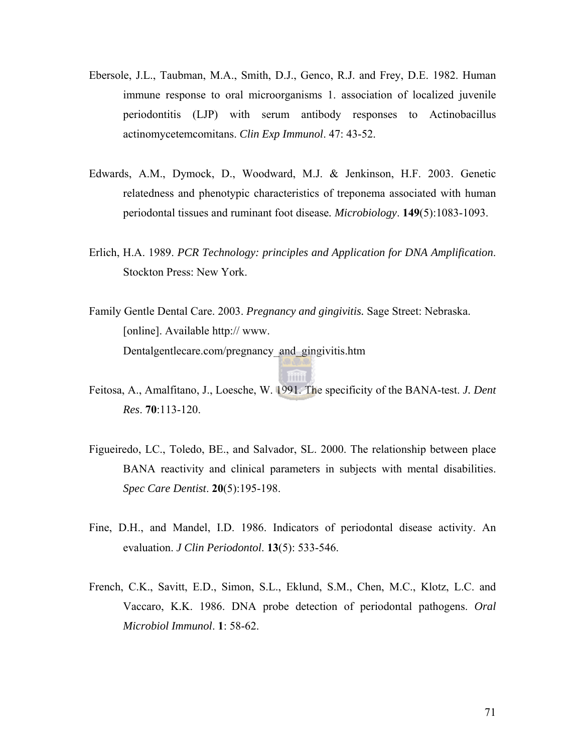- Ebersole, J.L., Taubman, M.A., Smith, D.J., Genco, R.J. and Frey, D.E. 1982. Human immune response to oral microorganisms 1. association of localized juvenile periodontitis (LJP) with serum antibody responses to Actinobacillus actinomycetemcomitans. *Clin Exp Immunol*. 47: 43-52.
- Edwards, A.M., Dymock, D., Woodward, M.J. & Jenkinson, H.F. 2003. Genetic relatedness and phenotypic characteristics of treponema associated with human periodontal tissues and ruminant foot disease*. Microbiology*. **149**(5):1083-1093.
- Erlich, H.A. 1989. *PCR Technology: principles and Application for DNA Amplification*. Stockton Press: New York.
- Family Gentle Dental Care. 2003. *Pregnancy and gingivitis.* Sage Street: Nebraska. [online]. Available http:// www. Dentalgentlecare.com/pregnancy\_and\_gingivitis.htm
- Feitosa, A., Amalfitano, J., Loesche, W. 1991. The specificity of the BANA-test. *J. Dent Res*. **70**:113-120.

mini

- Figueiredo, LC., Toledo, BE., and Salvador, SL. 2000. The relationship between place BANA reactivity and clinical parameters in subjects with mental disabilities. *Spec Care Dentist*. **20**(5):195-198.
- Fine, D.H., and Mandel, I.D. 1986. Indicators of periodontal disease activity. An evaluation. *J Clin Periodontol*. **13**(5): 533-546.
- French, C.K., Savitt, E.D., Simon, S.L., Eklund, S.M., Chen, M.C., Klotz, L.C. and Vaccaro, K.K. 1986. DNA probe detection of periodontal pathogens. *Oral Microbiol Immunol*. **1**: 58-62.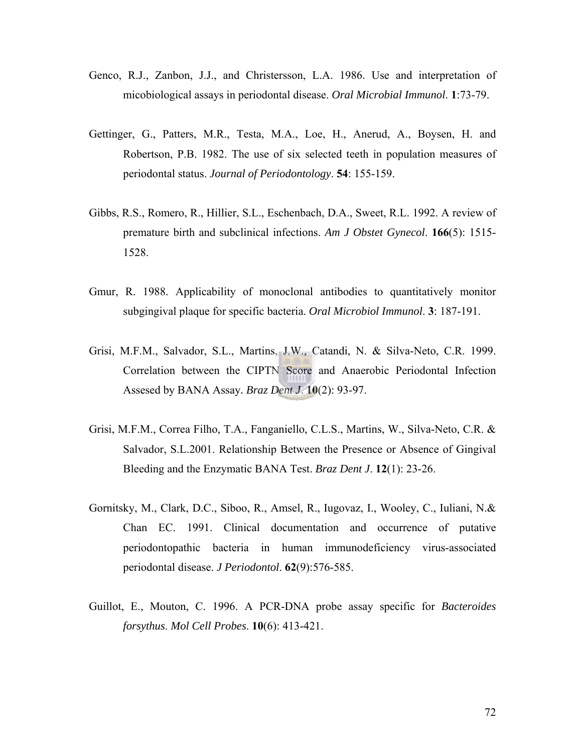- Genco, R.J., Zanbon, J.J., and Christersson, L.A. 1986. Use and interpretation of micobiological assays in periodontal disease. *Oral Microbial Immunol*. **1**:73-79.
- Gettinger, G., Patters, M.R., Testa, M.A., Loe, H., Anerud, A., Boysen, H. and Robertson, P.B. 1982. The use of six selected teeth in population measures of periodontal status. *Journal of Periodontology*. **54**: 155-159.
- Gibbs, R.S., Romero, R., Hillier, S.L., Eschenbach, D.A., Sweet, R.L. 1992. A review of premature birth and subclinical infections. *Am J Obstet Gynecol*. **166**(5): 1515- 1528.
- Gmur, R. 1988. Applicability of monoclonal antibodies to quantitatively monitor subgingival plaque for specific bacteria. *Oral Microbiol Immunol*. **3**: 187-191.
- Grisi, M.F.M., Salvador, S.L., Martins, J.W., Catandi, N. & Silva-Neto, C.R. 1999. Correlation between the CIPTN Score and Anaerobic Periodontal Infection Assesed by BANA Assay*. Braz Dent J*. **10**(2): 93-97.
- Grisi, M.F.M., Correa Filho, T.A., Fanganiello, C.L.S., Martins, W., Silva-Neto, C.R. & Salvador, S.L.2001. Relationship Between the Presence or Absence of Gingival Bleeding and the Enzymatic BANA Test. *Braz Dent J*. **12**(1): 23-26.
- Gornitsky, M., Clark, D.C., Siboo, R., Amsel, R., Iugovaz, I., Wooley, C., Iuliani, N.& Chan EC. 1991. Clinical documentation and occurrence of putative periodontopathic bacteria in human immunodeficiency virus-associated periodontal disease. *J Periodontol*. **62**(9):576-585.
- Guillot, E., Mouton, C. 1996. A PCR-DNA probe assay specific for *Bacteroides forsythus*. *Mol Cell Probes*. **10**(6): 413-421.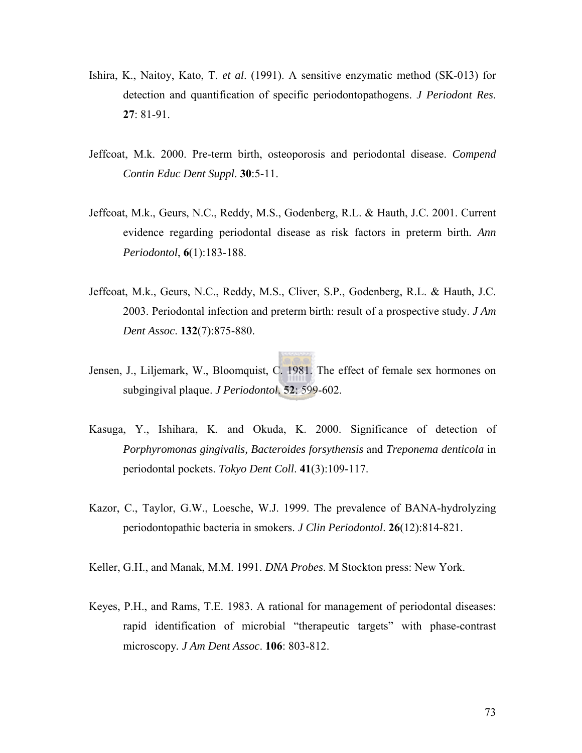- Ishira, K., Naitoy, Kato, T. *et al*. (1991). A sensitive enzymatic method (SK-013) for detection and quantification of specific periodontopathogens. *J Periodont Res*. **27**: 81-91.
- Jeffcoat, M.k. 2000. Pre-term birth, osteoporosis and periodontal disease. *Compend Contin Educ Dent Suppl*. **30**:5-11.
- Jeffcoat, M.k., Geurs, N.C., Reddy, M.S., Godenberg, R.L. & Hauth, J.C. 2001. Current evidence regarding periodontal disease as risk factors in preterm birth*. Ann Periodontol*, **6**(1):183-188.
- Jeffcoat, M.k., Geurs, N.C., Reddy, M.S., Cliver, S.P., Godenberg, R.L. & Hauth, J.C. 2003. Periodontal infection and preterm birth: result of a prospective study. *J Am Dent Assoc*. **132**(7):875-880.
- Jensen, J., Liljemark, W., Bloomquist, C. 1981. The effect of female sex hormones on subgingival plaque. *J Periodontol*. **52**: 599-602.
- Kasuga, Y., Ishihara, K. and Okuda, K. 2000. Significance of detection of *Porphyromonas gingivalis, Bacteroides forsythensis* and *Treponema denticola* in periodontal pockets. *Tokyo Dent Coll*. **41**(3):109-117.
- Kazor, C., Taylor, G.W., Loesche, W.J. 1999. The prevalence of BANA-hydrolyzing periodontopathic bacteria in smokers. *J Clin Periodontol*. **26**(12):814-821.

Keller, G.H., and Manak, M.M. 1991. *DNA Probes*. M Stockton press: New York.

Keyes, P.H., and Rams, T.E. 1983. A rational for management of periodontal diseases: rapid identification of microbial "therapeutic targets" with phase-contrast microscopy*. J Am Dent Assoc*. **106**: 803-812.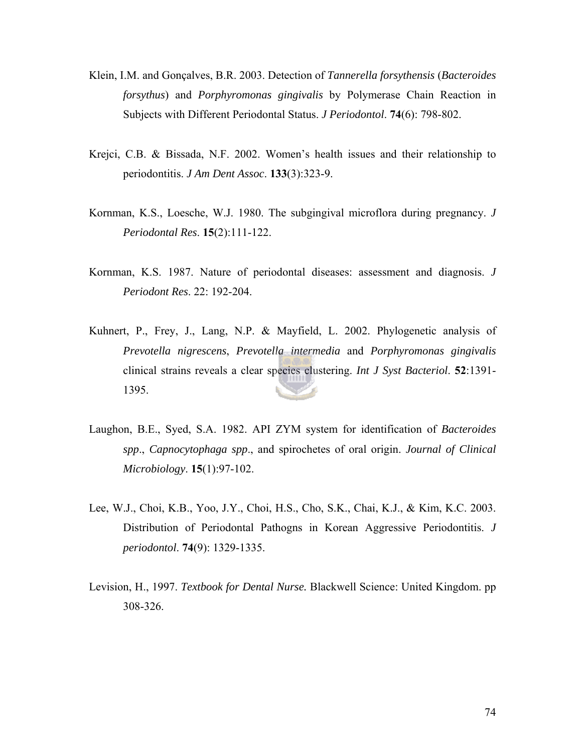- Klein, I.M. and Gonçalves, B.R. 2003. Detection of *Tannerella forsythensis* (*Bacteroides forsythus*) and *Porphyromonas gingivalis* by Polymerase Chain Reaction in Subjects with Different Periodontal Status. *J Periodontol*. **74**(6): 798-802.
- Krejci, C.B. & Bissada, N.F. 2002. Women's health issues and their relationship to periodontitis. *J Am Dent Assoc*. **133**(3):323-9.
- Kornman, K.S., Loesche, W.J. 1980. The subgingival microflora during pregnancy. *J Periodontal Res*. **15**(2):111-122.
- Kornman, K.S. 1987. Nature of periodontal diseases: assessment and diagnosis. *J Periodont Res*. 22: 192-204.
- Kuhnert, P., Frey, J., Lang, N.P. & Mayfield, L. 2002. Phylogenetic analysis of *Prevotella nigrescens*, *Prevotella intermedia* and *Porphyromonas gingivalis* clinical strains reveals a clear species clustering. *Int J Syst Bacteriol*. **52**:1391- 1395.
- Laughon, B.E., Syed, S.A. 1982. API ZYM system for identification of *Bacteroides spp*., *Capnocytophaga spp*., and spirochetes of oral origin. *Journal of Clinical Microbiology*. **15**(1):97-102.
- Lee, W.J., Choi, K.B., Yoo, J.Y., Choi, H.S., Cho, S.K., Chai, K.J., & Kim, K.C. 2003. Distribution of Periodontal Pathogns in Korean Aggressive Periodontitis. *J periodontol*. **74**(9): 1329-1335.
- Levision, H., 1997. *Textbook for Dental Nurse.* Blackwell Science: United Kingdom. pp 308-326.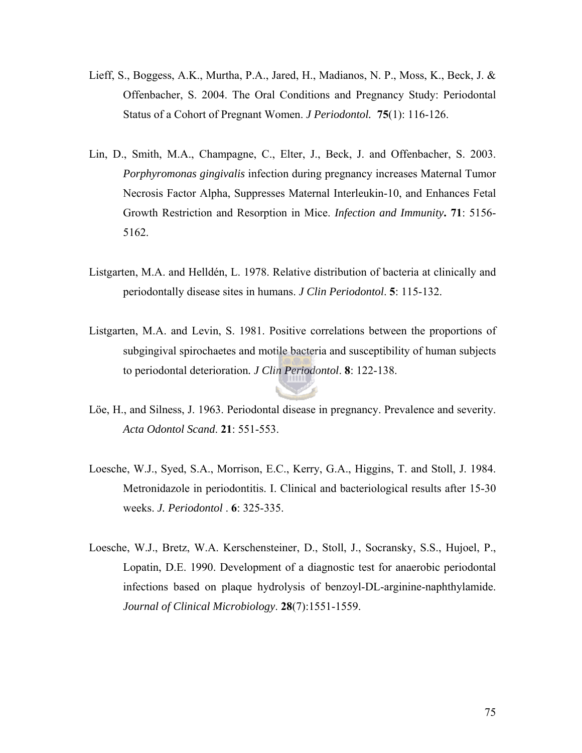- Lieff, S., Boggess, A.K., Murtha, P.A., Jared, H., Madianos, N. P., Moss, K., Beck, J. & Offenbacher, S. 2004. The Oral Conditions and Pregnancy Study: Periodontal Status of a Cohort of Pregnant Women. *J Periodontol.* **75**(1): 116-126.
- Lin, D., Smith, M.A., Champagne, C., Elter, J., Beck, J. and Offenbacher, S. 2003. *Porphyromonas gingivalis* infection during pregnancy increases Maternal Tumor Necrosis Factor Alpha, Suppresses Maternal Interleukin-10, and Enhances Fetal Growth Restriction and Resorption in Mice. *Infection and Immunity***. 71**: 5156- 5162.
- Listgarten, M.A. and Helldén, L. 1978. Relative distribution of bacteria at clinically and periodontally disease sites in humans. *J Clin Periodontol*. **5**: 115-132.
- Listgarten, M.A. and Levin, S. 1981. Positive correlations between the proportions of subgingival spirochaetes and motile bacteria and susceptibility of human subjects to periodontal deterioration*. J Clin Periodontol*. **8**: 122-138.
- Löe, H., and Silness, J. 1963. Periodontal disease in pregnancy. Prevalence and severity. *Acta Odontol Scand*. **21**: 551-553.
- Loesche, W.J., Syed, S.A., Morrison, E.C., Kerry, G.A., Higgins, T. and Stoll, J. 1984. Metronidazole in periodontitis. I. Clinical and bacteriological results after 15-30 weeks. *J. Periodontol* . **6**: 325-335.
- Loesche, W.J., Bretz, W.A. Kerschensteiner, D., Stoll, J., Socransky, S.S., Hujoel, P., Lopatin, D.E. 1990. Development of a diagnostic test for anaerobic periodontal infections based on plaque hydrolysis of benzoyl-DL-arginine-naphthylamide. *Journal of Clinical Microbiology*. **28**(7):1551-1559.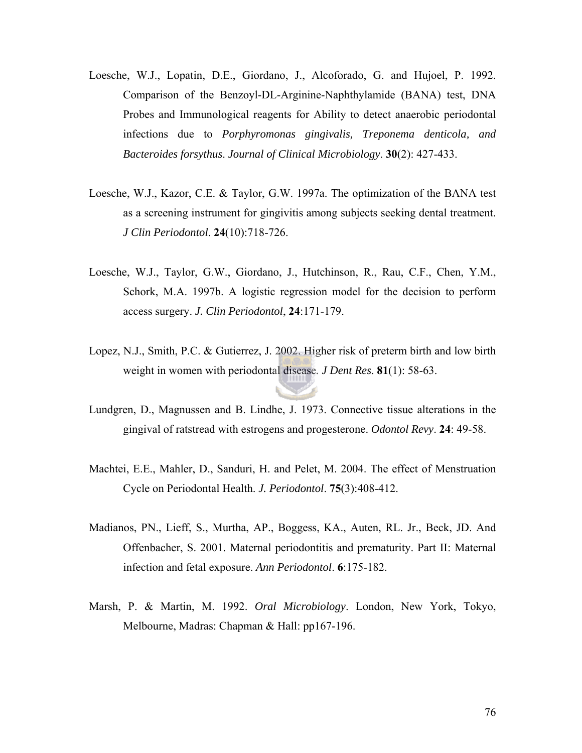- Loesche, W.J., Lopatin, D.E., Giordano, J., Alcoforado, G. and Hujoel, P. 1992. Comparison of the Benzoyl-DL-Arginine-Naphthylamide (BANA) test, DNA Probes and Immunological reagents for Ability to detect anaerobic periodontal infections due to *Porphyromonas gingivalis, Treponema denticola, and Bacteroides forsythus*. *Journal of Clinical Microbiology*. **30**(2): 427-433.
- Loesche, W.J., Kazor, C.E. & Taylor, G.W. 1997a. The optimization of the BANA test as a screening instrument for gingivitis among subjects seeking dental treatment. *J Clin Periodontol*. **24**(10):718-726.
- Loesche, W.J., Taylor, G.W., Giordano, J., Hutchinson, R., Rau, C.F., Chen, Y.M., Schork, M.A. 1997b. A logistic regression model for the decision to perform access surgery. *J. Clin Periodontol*, **24**:171-179.
- Lopez, N.J., Smith, P.C. & Gutierrez, J. 2002. Higher risk of preterm birth and low birth weight in women with periodontal disease*. J Dent Res*. **81**(1): 58-63.
- Lundgren, D., Magnussen and B. Lindhe, J. 1973. Connective tissue alterations in the gingival of ratstread with estrogens and progesterone. *Odontol Revy*. **24**: 49-58.
- Machtei, E.E., Mahler, D., Sanduri, H. and Pelet, M. 2004. The effect of Menstruation Cycle on Periodontal Health. *J. Periodontol*. **75**(3):408-412.
- Madianos, PN., Lieff, S., Murtha, AP., Boggess, KA., Auten, RL. Jr., Beck, JD. And Offenbacher, S. 2001. Maternal periodontitis and prematurity. Part II: Maternal infection and fetal exposure. *Ann Periodontol*. **6**:175-182.
- Marsh, P. & Martin, M. 1992. *Oral Microbiology*. London, New York, Tokyo, Melbourne, Madras: Chapman & Hall: pp167-196.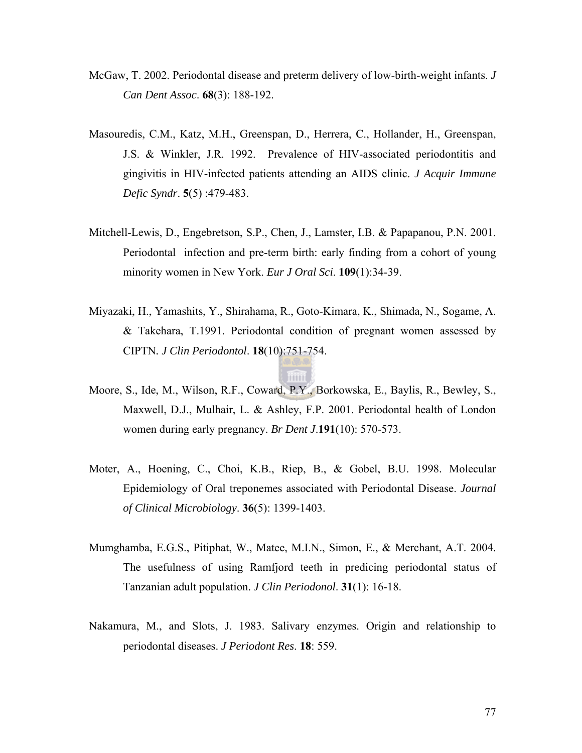- McGaw, T. 2002. Periodontal disease and preterm delivery of low-birth-weight infants. *J Can Dent Assoc*. **68**(3): 188-192.
- Masouredis, C.M., Katz, M.H., Greenspan, D., Herrera, C., Hollander, H., Greenspan, J.S. & Winkler, J.R. 1992. Prevalence of HIV-associated periodontitis and gingivitis in HIV-infected patients attending an AIDS clinic. *J Acquir Immune Defic Syndr*. **5**(5) :479-483.
- Mitchell-Lewis, D., Engebretson, S.P., Chen, J., Lamster, I.B. & Papapanou, P.N. 2001. Periodontal infection and pre-term birth: early finding from a cohort of young minority women in New York. *Eur J Oral Sci*. **109**(1):34-39.
- Miyazaki, H., Yamashits, Y., Shirahama, R., Goto-Kimara, K., Shimada, N., Sogame, A. & Takehara, T.1991. Periodontal condition of pregnant women assessed by CIPTN*. J Clin Periodontol*. **18**(10):751-754.
- Moore, S., Ide, M., Wilson, R.F., Coward, P.Y., Borkowska, E., Baylis, R., Bewley, S., Maxwell, D.J., Mulhair, L. & Ashley, F.P. 2001. Periodontal health of London women during early pregnancy. *Br Dent J*.**191**(10): 570-573.
- Moter, A., Hoening, C., Choi, K.B., Riep, B., & Gobel, B.U. 1998. Molecular Epidemiology of Oral treponemes associated with Periodontal Disease. *Journal of Clinical Microbiology*. **36**(5): 1399-1403.
- Mumghamba, E.G.S., Pitiphat, W., Matee, M.I.N., Simon, E., & Merchant, A.T. 2004. The usefulness of using Ramfjord teeth in predicing periodontal status of Tanzanian adult population. *J Clin Periodonol*. **31**(1): 16-18.
- Nakamura, M., and Slots, J. 1983. Salivary enzymes. Origin and relationship to periodontal diseases. *J Periodont Res*. **18**: 559.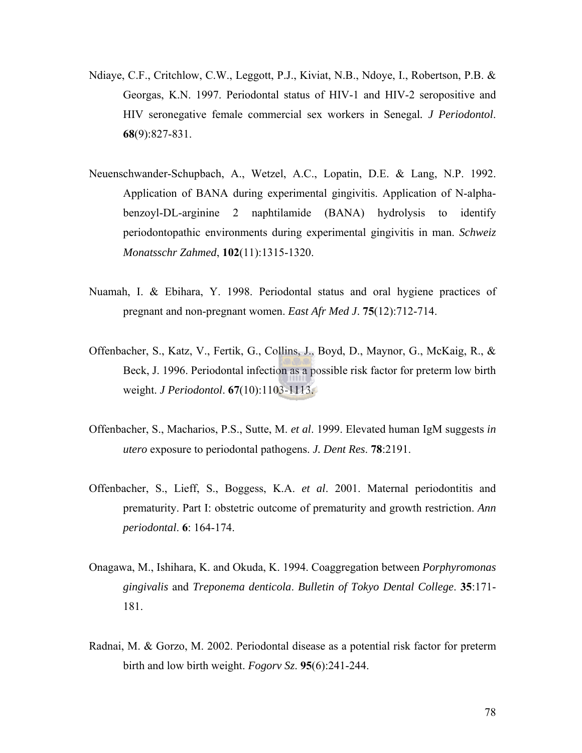- Ndiaye, C.F., Critchlow, C.W., Leggott, P.J., Kiviat, N.B., Ndoye, I., Robertson, P.B. & Georgas, K.N. 1997. Periodontal status of HIV-1 and HIV-2 seropositive and HIV seronegative female commercial sex workers in Senegal*. J Periodontol*. **68**(9):827-831.
- Neuenschwander-Schupbach, A., Wetzel, A.C., Lopatin, D.E. & Lang, N.P. 1992. Application of BANA during experimental gingivitis. Application of N-alphabenzoyl-DL-arginine 2 naphtilamide (BANA) hydrolysis to identify periodontopathic environments during experimental gingivitis in man. *Schweiz Monatsschr Zahmed*, **102**(11):1315-1320.
- Nuamah, I. & Ebihara, Y. 1998. Periodontal status and oral hygiene practices of pregnant and non-pregnant women. *East Afr Med J*. **75**(12):712-714.
- Offenbacher, S., Katz, V., Fertik, G., Collins, J., Boyd, D., Maynor, G., McKaig, R., & Beck, J. 1996. Periodontal infection as a possible risk factor for preterm low birth weight. *J Periodontol*. **67**(10):1103-1113.
- Offenbacher, S., Macharios, P.S., Sutte, M. *et al*. 1999. Elevated human IgM suggests *in utero* exposure to periodontal pathogens. *J. Dent Res*. **78**:2191.
- Offenbacher, S., Lieff, S., Boggess, K.A. *et al*. 2001. Maternal periodontitis and prematurity. Part I: obstetric outcome of prematurity and growth restriction. *Ann periodontal*. **6**: 164-174.
- Onagawa, M., Ishihara, K. and Okuda, K. 1994. Coaggregation between *Porphyromonas gingivalis* and *Treponema denticola*. *Bulletin of Tokyo Dental College*. **35**:171- 181.
- Radnai, M. & Gorzo, M. 2002. Periodontal disease as a potential risk factor for preterm birth and low birth weight. *Fogorv Sz*. **95**(6):241-244.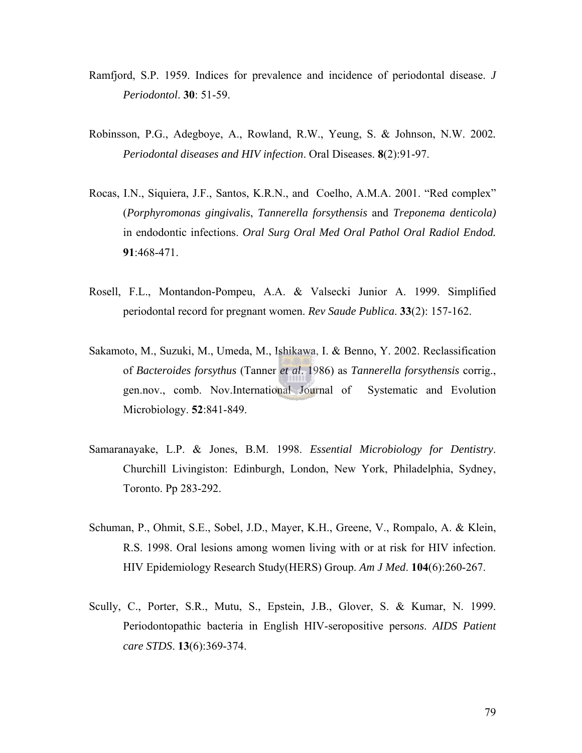- Ramfjord, S.P. 1959. Indices for prevalence and incidence of periodontal disease. *J Periodontol*. **30**: 51-59.
- Robinsson, P.G., Adegboye, A., Rowland, R.W., Yeung, S. & Johnson, N.W. 2002*. Periodontal diseases and HIV infection*. Oral Diseases. **8**(2):91-97.
- Rocas, I.N., Siquiera, J.F., Santos, K.R.N., and Coelho, A.M.A. 2001. "Red complex" (*Porphyromonas gingivalis*, *Tannerella forsythensis* and *Treponema denticola)* in endodontic infections. *Oral Surg Oral Med Oral Pathol Oral Radiol Endod.* **91**:468-471.
- Rosell, F.L., Montandon-Pompeu, A.A. & Valsecki Junior A. 1999. Simplified periodontal record for pregnant women. *Rev Saude Publica*. **33**(2): 157-162.
- Sakamoto, M., Suzuki, M., Umeda, M., Ishikawa, I. & Benno, Y. 2002. Reclassification of *Bacteroides forsythus* (Tanner *et al*. 1986) as *Tannerella forsythensis* corrig., gen.nov., comb. Nov.International Journal of Systematic and Evolution Microbiology. **52**:841-849.
- Samaranayake, L.P. & Jones, B.M. 1998. *Essential Microbiology for Dentistry*. Churchill Livingiston: Edinburgh, London, New York, Philadelphia, Sydney, Toronto. Pp 283-292.
- Schuman, P., Ohmit, S.E., Sobel, J.D., Mayer, K.H., Greene, V., Rompalo, A. & Klein, R.S. 1998. Oral lesions among women living with or at risk for HIV infection. HIV Epidemiology Research Study(HERS) Group. *Am J Med*. **104**(6):260-267.
- Scully, C., Porter, S.R., Mutu, S., Epstein, J.B., Glover, S. & Kumar, N. 1999. Periodontopathic bacteria in English HIV-seropositive perso*ns*. *AIDS Patient care STDS*. **13**(6):369-374.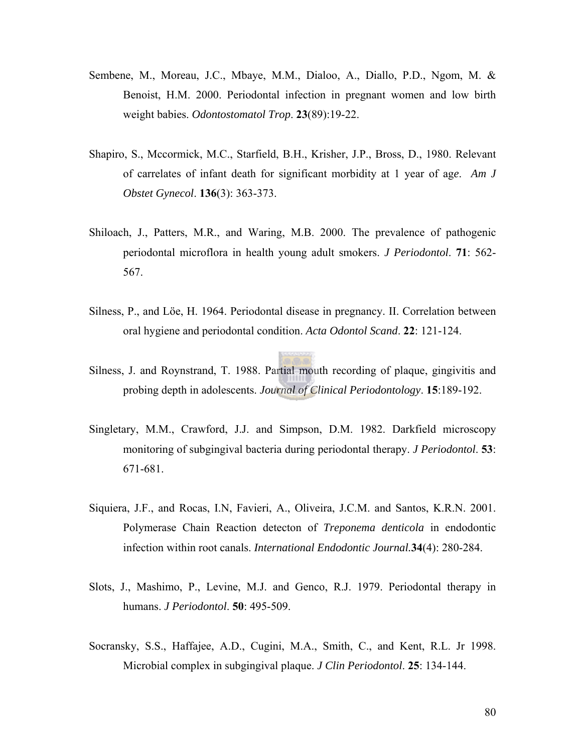- Sembene, M., Moreau, J.C., Mbaye, M.M., Dialoo, A., Diallo, P.D., Ngom, M. & Benoist, H.M. 2000. Periodontal infection in pregnant women and low birth weight babies. *Odontostomatol Trop*. **23**(89):19-22.
- Shapiro, S., Mccormick, M.C., Starfield, B.H., Krisher, J.P., Bross, D., 1980. Relevant of carrelates of infant death for significant morbidity at 1 year of ag*e*. *Am J Obstet Gynecol*. **136**(3): 363-373.
- Shiloach, J., Patters, M.R., and Waring, M.B. 2000. The prevalence of pathogenic periodontal microflora in health young adult smokers. *J Periodontol*. **71**: 562- 567.
- Silness, P., and Löe, H. 1964. Periodontal disease in pregnancy. II. Correlation between oral hygiene and periodontal condition. *Acta Odontol Scand*. **22**: 121-124.
- Silness, J. and Roynstrand, T. 1988. Partial mouth recording of plaque, gingivitis and probing depth in adolescents. *Journal of Clinical Periodontology*. **15**:189-192.
- Singletary, M.M., Crawford, J.J. and Simpson, D.M. 1982. Darkfield microscopy monitoring of subgingival bacteria during periodontal therapy. *J Periodontol*. **53**: 671-681.
- Siquiera, J.F., and Rocas, I.N, Favieri, A., Oliveira, J.C.M. and Santos, K.R.N. 2001. Polymerase Chain Reaction detecton of *Treponema denticola* in endodontic infection within root canals. *International Endodontic Journal.***34**(4): 280-284.
- Slots, J., Mashimo, P., Levine, M.J. and Genco, R.J. 1979. Periodontal therapy in humans. *J Periodontol*. **50**: 495-509.
- Socransky, S.S., Haffajee, A.D., Cugini, M.A., Smith, C., and Kent, R.L. Jr 1998. Microbial complex in subgingival plaque. *J Clin Periodontol*. **25**: 134-144.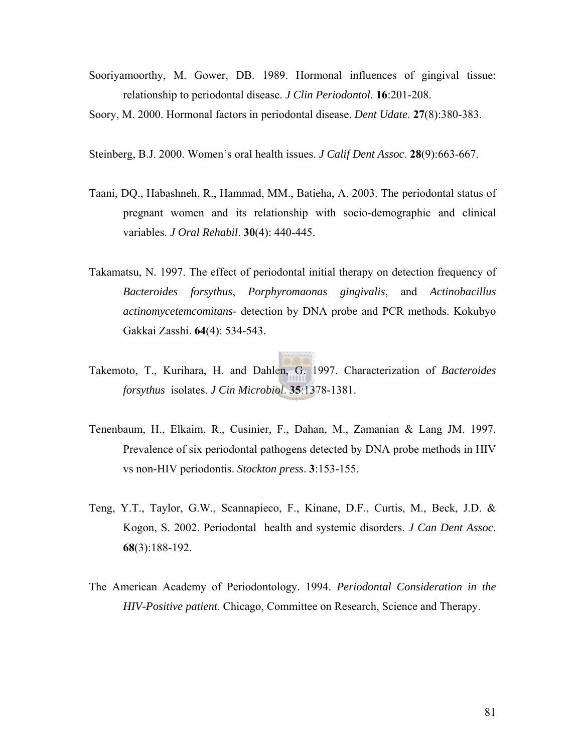- Sooriyamoorthy, M. Gower, DB. 1989. Hormonal influences of gingival tissue: relationship to periodontal disease. *J Clin Periodontol*. **16**:201-208.
- Soory, M. 2000. Hormonal factors in periodontal disease. *Dent Udate*. **27**(8):380-383.
- Steinberg, B.J. 2000. Women's oral health issues. *J Calif Dent Assoc*. **28**(9):663-667.
- Taani, DQ., Habashneh, R., Hammad, MM., Batieha, A. 2003. The periodontal status of pregnant women and its relationship with socio-demographic and clinical variables. *J Oral Rehabil*. **30**(4): 440-445.
- Takamatsu, N. 1997. The effect of periodontal initial therapy on detection frequency of *Bacteroides forsythus*, *Porphyromaonas gingivalis*, and *Actinobacillus actinomycetemcomitans-* detection by DNA probe and PCR methods. Kokubyo Gakkai Zasshi. **64**(4): 534-543.
- Takemoto, T., Kurihara, H. and Dahlen, G. 1997. Characterization of *Bacteroides forsythus* isolates. *J Cin Microbiol*. **35**:1378-1381.
- Tenenbaum, H., Elkaim, R., Cusinier, F., Dahan, M., Zamanian & Lang JM. 1997. Prevalence of six periodontal pathogens detected by DNA probe methods in HIV vs non-HIV periodontis. *Stockton press*. **3**:153-155.
- Teng, Y.T., Taylor, G.W., Scannapieco, F., Kinane, D.F., Curtis, M., Beck, J.D. & Kogon, S. 2002. Periodontal health and systemic disorders. *J Can Dent Assoc*. **68**(3):188-192.
- The American Academy of Periodontology. 1994. *Periodontal Consideration in the HIV-Positive patient*. Chicago, Committee on Research, Science and Therapy.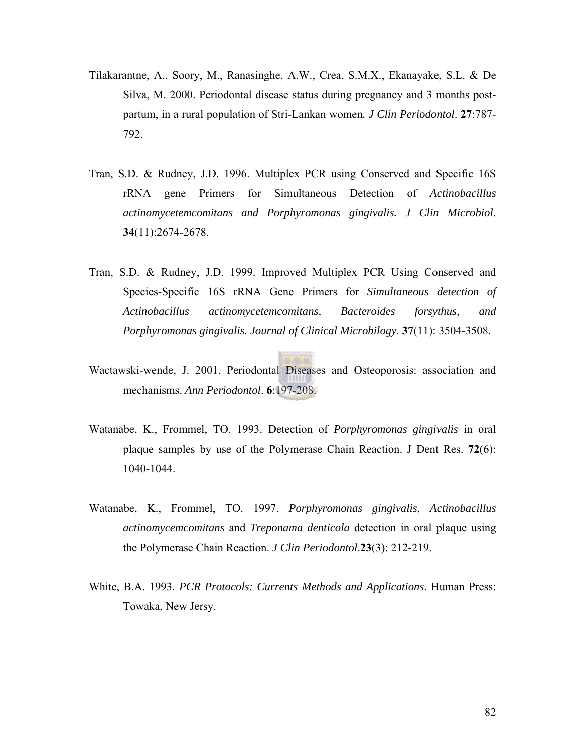- Tilakarantne, A., Soory, M., Ranasinghe, A.W., Crea, S.M.X., Ekanayake, S.L. & De Silva, M. 2000. Periodontal disease status during pregnancy and 3 months postpartum, in a rural population of Stri-Lankan women*. J Clin Periodontol*. **27**:787- 792.
- Tran, S.D. & Rudney, J.D. 1996. Multiplex PCR using Conserved and Specific 16S rRNA gene Primers for Simultaneous Detection of *Actinobacillus actinomycetemcomitans and Porphyromonas gingivalis. J Clin Microbiol*. **34**(11):2674-2678.
- Tran, S.D. & Rudney, J.D. 1999. Improved Multiplex PCR Using Conserved and Species-Specific 16S rRNA Gene Primers for *Simultaneous detection of Actinobacillus actinomycetemcomitans, Bacteroides forsythus, and Porphyromonas gingivalis. Journal of Clinical Microbilogy*. **37**(11): 3504-3508.
- Wactawski-wende, J. 2001. Periodontal Diseases and Osteoporosis: association and mechanisms. *Ann Periodontol*. **6**:197-208.
- Watanabe, K., Frommel, TO. 1993. Detection of *Porphyromonas gingivalis* in oral plaque samples by use of the Polymerase Chain Reaction. J Dent Res. **72**(6): 1040-1044.
- Watanabe, K., Frommel, TO. 1997. *Porphyromonas gingivalis*, *Actinobacillus actinomycemcomitans* and *Treponama denticola* detection in oral plaque using the Polymerase Chain Reaction. *J Clin Periodontol*.**23**(3): 212-219.
- White, B.A. 1993. *PCR Protocols: Currents Methods and Applications*. Human Press: Towaka, New Jersy.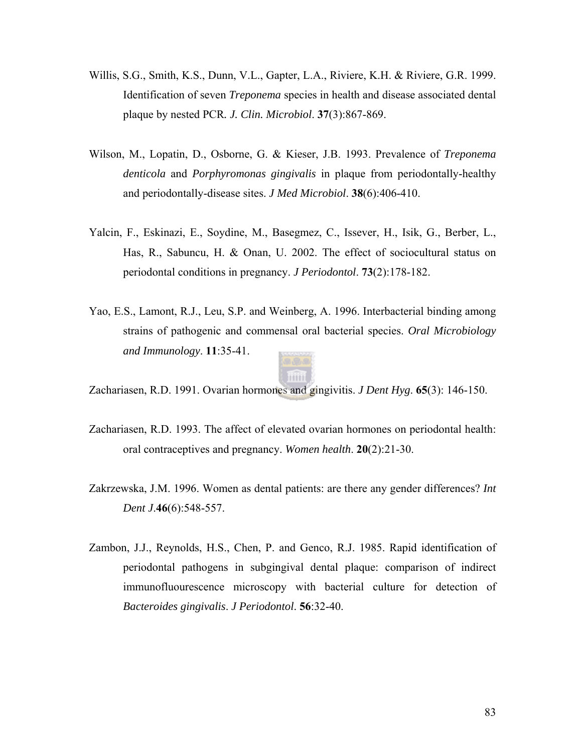- Willis, S.G., Smith, K.S., Dunn, V.L., Gapter, L.A., Riviere, K.H. & Riviere, G.R. 1999. Identification of seven *Treponema* species in health and disease associated dental plaque by nested PCR*. J. Clin. Microbiol*. **37**(3):867-869.
- Wilson, M., Lopatin, D., Osborne, G. & Kieser, J.B. 1993. Prevalence of *Treponema denticola* and *Porphyromonas gingivalis* in plaque from periodontally-healthy and periodontally-disease sites. *J Med Microbiol*. **38**(6):406-410.
- Yalcin, F., Eskinazi, E., Soydine, M., Basegmez, C., Issever, H., Isik, G., Berber, L., Has, R., Sabuncu, H. & Onan, U. 2002. The effect of sociocultural status on periodontal conditions in pregnancy. *J Periodontol*. **73**(2):178-182.
- Yao, E.S., Lamont, R.J., Leu, S.P. and Weinberg, A. 1996. Interbacterial binding among strains of pathogenic and commensal oral bacterial species. *Oral Microbiology and Immunology*. **11**:35-41.



Zachariasen, R.D. 1991. Ovarian hormones and gingivitis. *J Dent Hyg*. **65**(3): 146-150.

- Zachariasen, R.D. 1993. The affect of elevated ovarian hormones on periodontal health: oral contraceptives and pregnancy. *Women health*. **20**(2):21-30.
- Zakrzewska, J.M. 1996. Women as dental patients: are there any gender differences? *Int Dent J*.**46**(6):548-557.
- Zambon, J.J., Reynolds, H.S., Chen, P. and Genco, R.J. 1985. Rapid identification of periodontal pathogens in subgingival dental plaque: comparison of indirect immunofluourescence microscopy with bacterial culture for detection of *Bacteroides gingivalis*. *J Periodontol*. **56**:32-40.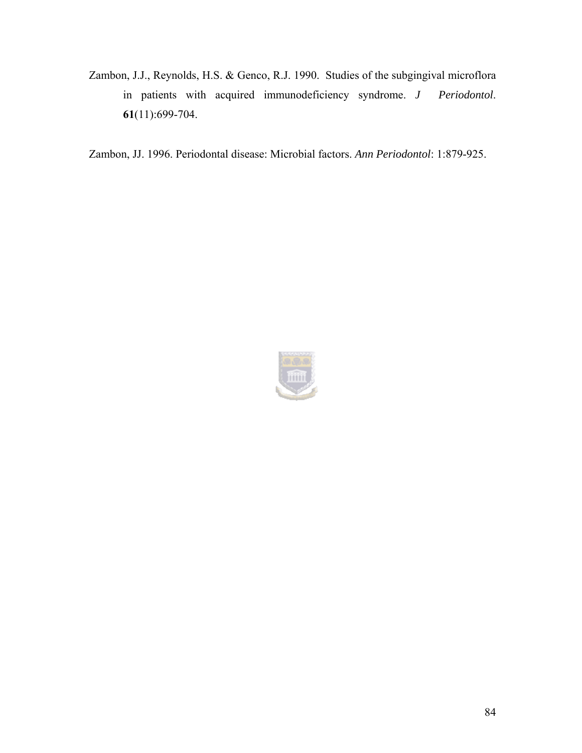Zambon, J.J., Reynolds, H.S. & Genco, R.J. 1990. Studies of the subgingival microflora in patients with acquired immunodeficiency syndrome. *J Periodontol*. **61**(11):699-704.

Zambon, JJ. 1996. Periodontal disease: Microbial factors. *Ann Periodontol*: 1:879-925.

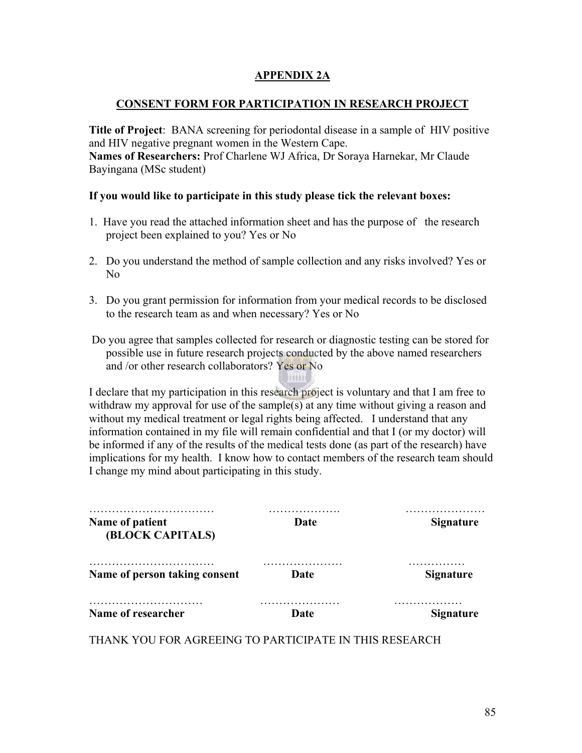#### **APPENDIX 2A**

#### **CONSENT FORM FOR PARTICIPATION IN RESEARCH PROJECT**

**Title of Project**: BANA screening for periodontal disease in a sample of HIV positive and HIV negative pregnant women in the Western Cape.

**Names of Researchers:** Prof Charlene WJ Africa, Dr Soraya Harnekar, Mr Claude Bayingana (MSc student)

#### **If you would like to participate in this study please tick the relevant boxes:**

- 1.Have you read the attached information sheet and has the purpose of the research project been explained to you? Yes or No
- 2. Do you understand the method of sample collection and any risks involved? Yes or No
- 3. Do you grant permission for information from your medical records to be disclosed to the research team as and when necessary? Yes or No
- Do you agree that samples collected for research or diagnostic testing can be stored for possible use in future research projects conducted by the above named researchers and /or other research collaborators? Yes or No

I declare that my participation in this research project is voluntary and that I am free to withdraw my approval for use of the sample(s) at any time without giving a reason and without my medical treatment or legal rights being affected. I understand that any information contained in my file will remain confidential and that I (or my doctor) will be informed if any of the results of the medical tests done (as part of the research) have implications for my health. I know how to contact members of the research team should I change my mind about participating in this study.

| Name of patient<br>(BLOCK CAPITALS) | Date | <b>Signature</b> |  |
|-------------------------------------|------|------------------|--|
| Name of person taking consent       | Date | <b>Signature</b> |  |
| Name of researcher                  | Date | <b>Signature</b> |  |

THANK YOU FOR AGREEING TO PARTICIPATE IN THIS RESEARCH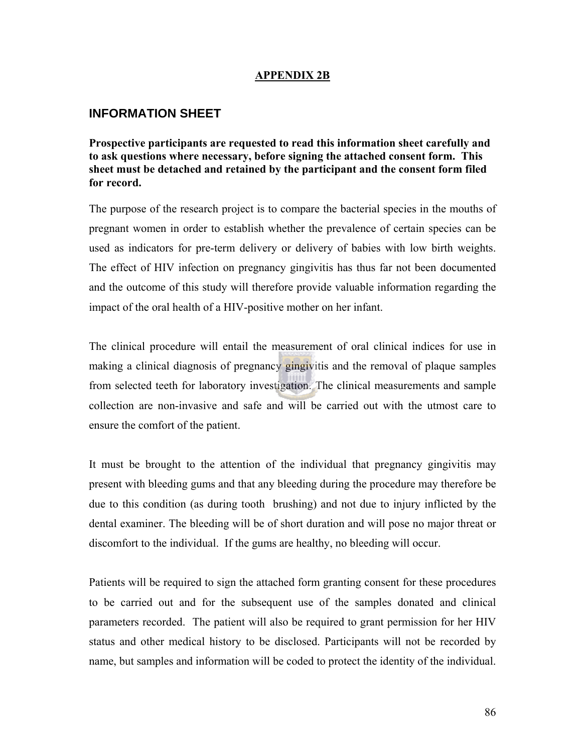#### **APPENDIX 2B**

## **INFORMATION SHEET**

**Prospective participants are requested to read this information sheet carefully and to ask questions where necessary, before signing the attached consent form. This sheet must be detached and retained by the participant and the consent form filed for record.** 

The purpose of the research project is to compare the bacterial species in the mouths of pregnant women in order to establish whether the prevalence of certain species can be used as indicators for pre-term delivery or delivery of babies with low birth weights. The effect of HIV infection on pregnancy gingivitis has thus far not been documented and the outcome of this study will therefore provide valuable information regarding the impact of the oral health of a HIV-positive mother on her infant.

The clinical procedure will entail the measurement of oral clinical indices for use in making a clinical diagnosis of pregnancy gingivitis and the removal of plaque samples from selected teeth for laboratory investigation. The clinical measurements and sample collection are non-invasive and safe and will be carried out with the utmost care to ensure the comfort of the patient.

It must be brought to the attention of the individual that pregnancy gingivitis may present with bleeding gums and that any bleeding during the procedure may therefore be due to this condition (as during tooth brushing) and not due to injury inflicted by the dental examiner. The bleeding will be of short duration and will pose no major threat or discomfort to the individual. If the gums are healthy, no bleeding will occur.

Patients will be required to sign the attached form granting consent for these procedures to be carried out and for the subsequent use of the samples donated and clinical parameters recorded. The patient will also be required to grant permission for her HIV status and other medical history to be disclosed. Participants will not be recorded by name, but samples and information will be coded to protect the identity of the individual.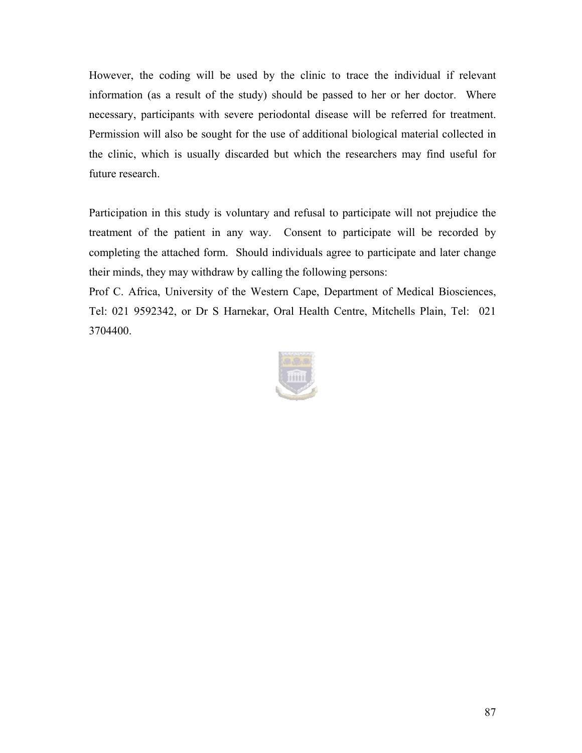However, the coding will be used by the clinic to trace the individual if relevant information (as a result of the study) should be passed to her or her doctor. Where necessary, participants with severe periodontal disease will be referred for treatment. Permission will also be sought for the use of additional biological material collected in the clinic, which is usually discarded but which the researchers may find useful for future research.

Participation in this study is voluntary and refusal to participate will not prejudice the treatment of the patient in any way. Consent to participate will be recorded by completing the attached form. Should individuals agree to participate and later change their minds, they may withdraw by calling the following persons:

Prof C. Africa, University of the Western Cape, Department of Medical Biosciences, Tel: 021 9592342, or Dr S Harnekar, Oral Health Centre, Mitchells Plain, Tel: 021 3704400.

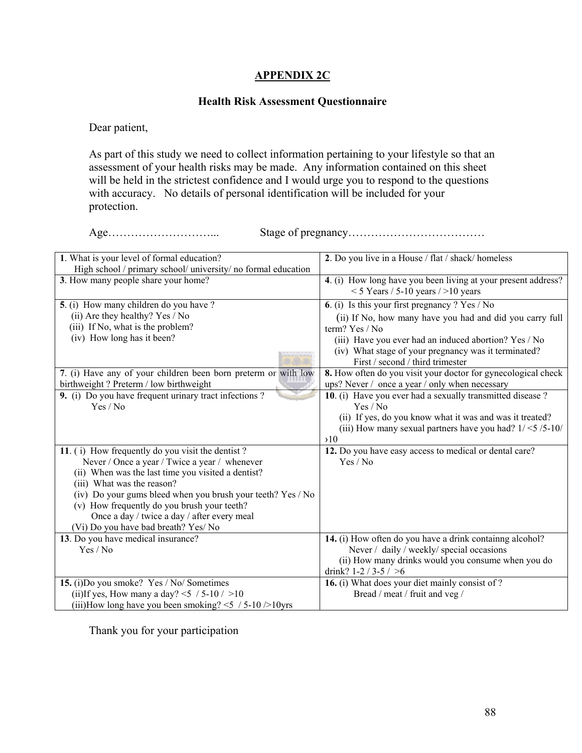#### **APPENDIX 2C**

#### **Health Risk Assessment Questionnaire**

Dear patient,

As part of this study we need to collect information pertaining to your lifestyle so that an assessment of your health risks may be made. Any information contained on this sheet will be held in the strictest confidence and I would urge you to respond to the questions with accuracy. No details of personal identification will be included for your protection.

Age………………………... Stage of pregnancy………………………………

| 1. What is your level of formal education?                     | 2. Do you live in a House / flat / shack/ homeless                                                     |
|----------------------------------------------------------------|--------------------------------------------------------------------------------------------------------|
| High school / primary school/ university/ no formal education  |                                                                                                        |
| 3. How many people share your home?                            | 4. (i) How long have you been living at your present address?<br>$<$ 5 Years / 5-10 years / > 10 years |
| 5. (i) How many children do you have ?                         | 6. (i) Is this your first pregnancy $? Yes / No$                                                       |
| (ii) Are they healthy? Yes / No                                | (ii) If No, how many have you had and did you carry full                                               |
| (iii) If No, what is the problem?                              | term? Yes / No                                                                                         |
| (iv) How long has it been?                                     |                                                                                                        |
|                                                                | (iii) Have you ever had an induced abortion? Yes / No                                                  |
|                                                                | (iv) What stage of your pregnancy was it terminated?                                                   |
|                                                                | First / second / third trimester                                                                       |
| 7. (i) Have any of your children been born preterm or with low | 8. How often do you visit your doctor for gynecological check                                          |
| birthweight? Preterm / low birthweight                         | ups? Never / once a year / only when necessary                                                         |
| 9. (i) Do you have frequent urinary tract infections?          | 10. (i) Have you ever had a sexually transmitted disease ?                                             |
| Yes / No                                                       | Yes / No                                                                                               |
|                                                                | (ii) If yes, do you know what it was and was it treated?                                               |
|                                                                | (iii) How many sexual partners have you had? $1/<5/5$ -10/                                             |
|                                                                | $\lambda$ 10                                                                                           |
| 11. (i) How frequently do you visit the dentist?               | 12. Do you have easy access to medical or dental care?                                                 |
| Never / Once a year / Twice a year / whenever                  | Yes / No                                                                                               |
| (ii) When was the last time you visited a dentist?             |                                                                                                        |
| (iii) What was the reason?                                     |                                                                                                        |
| (iv) Do your gums bleed when you brush your teeth? Yes / No    |                                                                                                        |
| (v) How frequently do you brush your teeth?                    |                                                                                                        |
| Once a day / twice a day / after every meal                    |                                                                                                        |
| (Vi) Do you have bad breath? Yes/ No                           |                                                                                                        |
| 13. Do you have medical insurance?                             | 14. (i) How often do you have a drink containng alcohol?                                               |
| Yes / No                                                       | Never / daily / weekly/ special occasions                                                              |
|                                                                | (ii) How many drinks would you consume when you do                                                     |
|                                                                | drink? $1-2/3-5/ >6$                                                                                   |
| 15. (i)Do you smoke? Yes / No/ Sometimes                       | 16. (i) What does your diet mainly consist of ?                                                        |
| (ii)If yes, How many a day? $\leq$ / 5-10 / >10                | Bread / meat / fruit and veg /                                                                         |
| (iii)How long have you been smoking? $\leq$ / 5-10 />10yrs     |                                                                                                        |

Thank you for your participation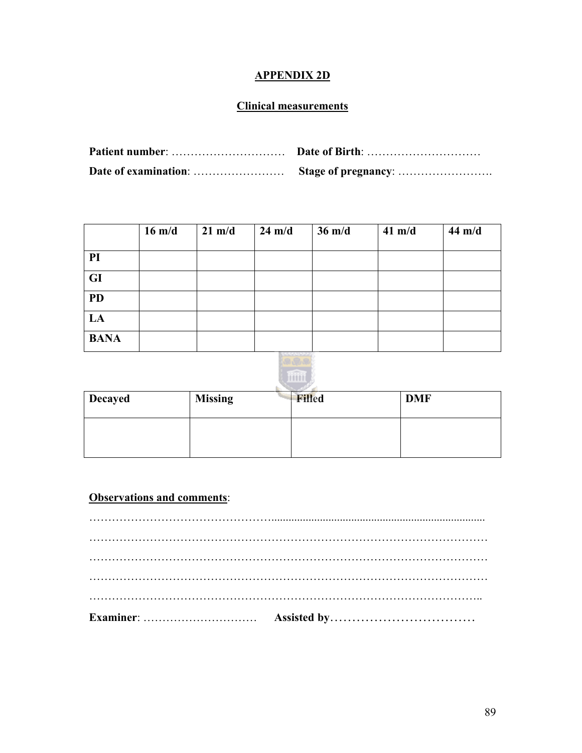# **APPENDIX 2D**

## **Clinical measurements**

|             | $16 \text{ m/d}$ | $21 \text{ m/d}$ | $24 \text{ m/d}$ | $36 \text{ m/d}$ | $41 \text{ m/d}$ | 44 m/d |
|-------------|------------------|------------------|------------------|------------------|------------------|--------|
|             |                  |                  |                  |                  |                  |        |
| PI          |                  |                  |                  |                  |                  |        |
| <b>GI</b>   |                  |                  |                  |                  |                  |        |
| <b>PD</b>   |                  |                  |                  |                  |                  |        |
| LA          |                  |                  |                  |                  |                  |        |
| <b>BANA</b> |                  |                  |                  |                  |                  |        |



| <b>Decayed</b> | <b>Missing</b> | <b>Filled</b> | <b>DMF</b> |
|----------------|----------------|---------------|------------|
|                |                |               |            |

## **Observations and comments**: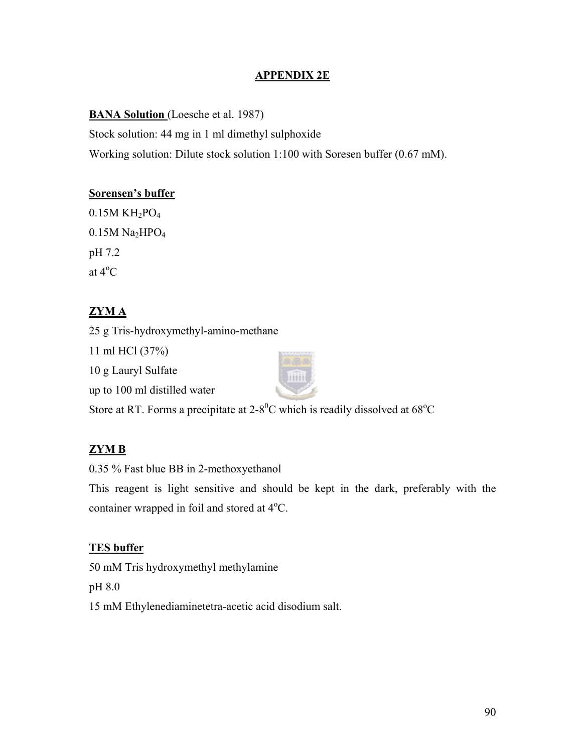## **APPENDIX 2E**

**BANA Solution** (Loesche et al. 1987)

Stock solution: 44 mg in 1 ml dimethyl sulphoxide Working solution: Dilute stock solution 1:100 with Soresen buffer (0.67 mM).

### **Sorensen's buffer**

 $0.15M$  KH<sub>2</sub>PO<sub>4</sub>  $0.15M$  Na<sub>2</sub>HPO<sub>4</sub> pH 7.2 at  $4^{\circ}$ C

## **ZYM A**

25 g Tris-hydroxymethyl-amino-methane

11 ml HCl (37%)

10 g Lauryl Sulfate

up to 100 ml distilled water



Store at RT. Forms a precipitate at  $2-8^0C$  which is readily dissolved at  $68^{\circ}C$ 

## **ZYM B**

0.35 % Fast blue BB in 2-methoxyethanol

This reagent is light sensitive and should be kept in the dark, preferably with the container wrapped in foil and stored at  $4^{\circ}$ C.

## **TES buffer**

50 mM Tris hydroxymethyl methylamine

pH 8.0

15 mM Ethylenediaminetetra-acetic acid disodium salt.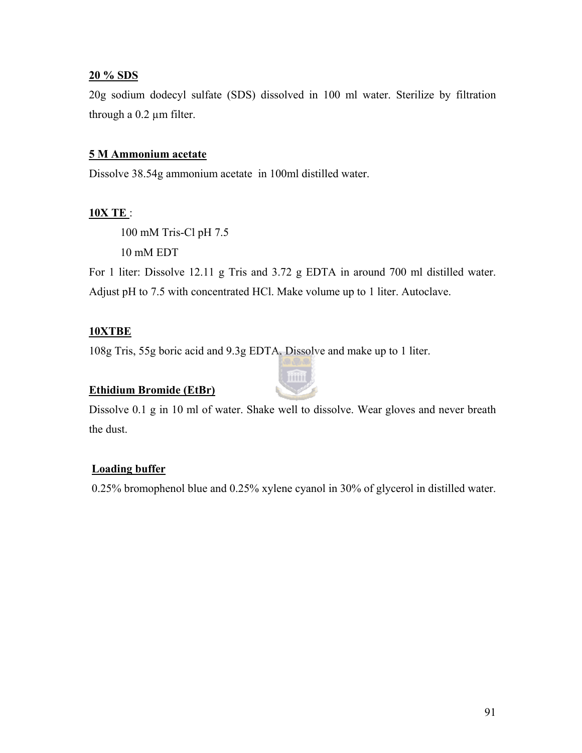### **20 % SDS**

20g sodium dodecyl sulfate (SDS) dissolved in 100 ml water. Sterilize by filtration through a 0.2 µm filter.

### **5 M Ammonium acetate**

Dissolve 38.54g ammonium acetate in 100ml distilled water.

## **10X TE** :

 100 mM Tris-Cl pH 7.5 10 mM EDT

For 1 liter: Dissolve 12.11 g Tris and 3.72 g EDTA in around 700 ml distilled water. Adjust pH to 7.5 with concentrated HCl. Make volume up to 1 liter. Autoclave.

## **10XTBE**

108g Tris, 55g boric acid and 9.3g EDTA. Dissolve and make up to 1 liter.

## **Ethidium Bromide (EtBr)**



Dissolve 0.1 g in 10 ml of water. Shake well to dissolve. Wear gloves and never breath the dust.

## **Loading buffer**

0.25% bromophenol blue and 0.25% xylene cyanol in 30% of glycerol in distilled water.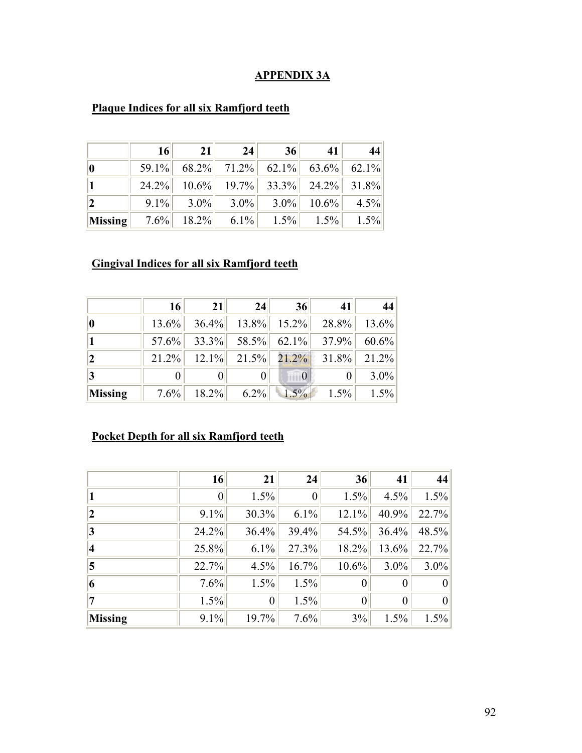## **APPENDIX 3A**

|                | 16 | 21 | 24                                     | 36 | 41 |  |
|----------------|----|----|----------------------------------------|----|----|--|
|                |    |    | $59.1\%$ 68.2% 71.2% 62.1% 63.6% 62.1% |    |    |  |
|                |    |    | 24.2% 10.6% 19.7% 33.3% 24.2% 31.8%    |    |    |  |
|                |    |    | 9.1% 3.0% 3.0% 3.0% 10.6% 4.5%         |    |    |  |
| <b>Missing</b> |    |    | 7.6% 18.2% 6.1% 1.5% 1.5% 1.5% 1.5%    |    |    |  |

# **Plaque Indices for all six Ramfjord teeth**

# **Gingival Indices for all six Ramfjord teeth**

|             | 16 | 21 | 24 | 36 | 41                                     | 44      |
|-------------|----|----|----|----|----------------------------------------|---------|
| $ 0\rangle$ |    |    |    |    | $13.6\%$ 36.4% 13.8% 15.2% 28.8% 13.6% |         |
|             |    |    |    |    | $57.6\%$ 33.3% 58.5% 62.1% 37.9% 60.6% |         |
| 2           |    |    |    |    | $21.2\%$ 12.1% 21.5% 21.2% 31.8% 21.2% |         |
| 3           |    |    |    | 0  |                                        | $3.0\%$ |
| Missing     |    |    |    |    | 7.6% 18.2% 6.2% 1.5% 1.5% 1.5% 1.5%    |         |

# **Pocket Depth for all six Ramfjord teeth**

|                | 16       | 21               | 24             | 36    | 41      | 44      |
|----------------|----------|------------------|----------------|-------|---------|---------|
|                | $\theta$ | 1.5%             | $\overline{0}$ | 1.5%  | 4.5%    | 1.5%    |
| $ 2 \>$        | 9.1%     | 30.3%            | 6.1%           | 12.1% | 40.9%   | 22.7%   |
| 3              | 24.2%    | 36.4%            | 39.4%          | 54.5% | 36.4%   | 48.5%   |
| 4              | 25.8%    | 6.1%             | 27.3%          | 18.2% | 13.6%   | 22.7%   |
| $\vert$ 5      | 22.7%    | 4.5%             | 16.7%          | 10.6% | $3.0\%$ | $3.0\%$ |
| 6              | 7.6%     | 1.5%             | 1.5%           |       |         | 0       |
|                | 1.5%     | $\boldsymbol{0}$ | 1.5%           |       | 0       | 0       |
| <b>Missing</b> | 9.1%     | 19.7%            | 7.6%           | 3%    | 1.5%    | 1.5%    |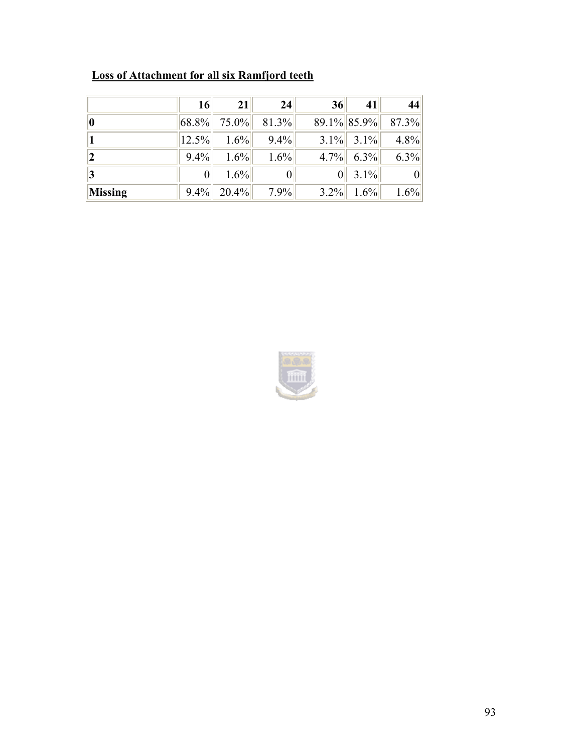|         | <b>16</b>  | <b>21</b>        | 24       | 36      | 41           | 44                |
|---------|------------|------------------|----------|---------|--------------|-------------------|
|         |            | $ 68.8\% $ 75.0% | $81.3\%$ |         |              | 89.1% 85.9% 87.3% |
|         | $ 12.5\% $ | $1.6\%$          | $9.4\%$  |         | $3.1\%$ 3.1% | 4.8%              |
|         | $9.4\%$    | $1.6\%$          | 1.6%     |         | $4.7\%$ 6.3% | 6.3%              |
|         |            | $1.6\%$          |          | 0       | $3.1\%$      | $\vert 0 \vert$   |
| Missing | $9.4\%$    | $20.4\%$         | $7.9\%$  | $3.2\%$ | $1.6\%$      | 1.6%              |

# **Loss of Attachment for all six Ramfjord teeth**